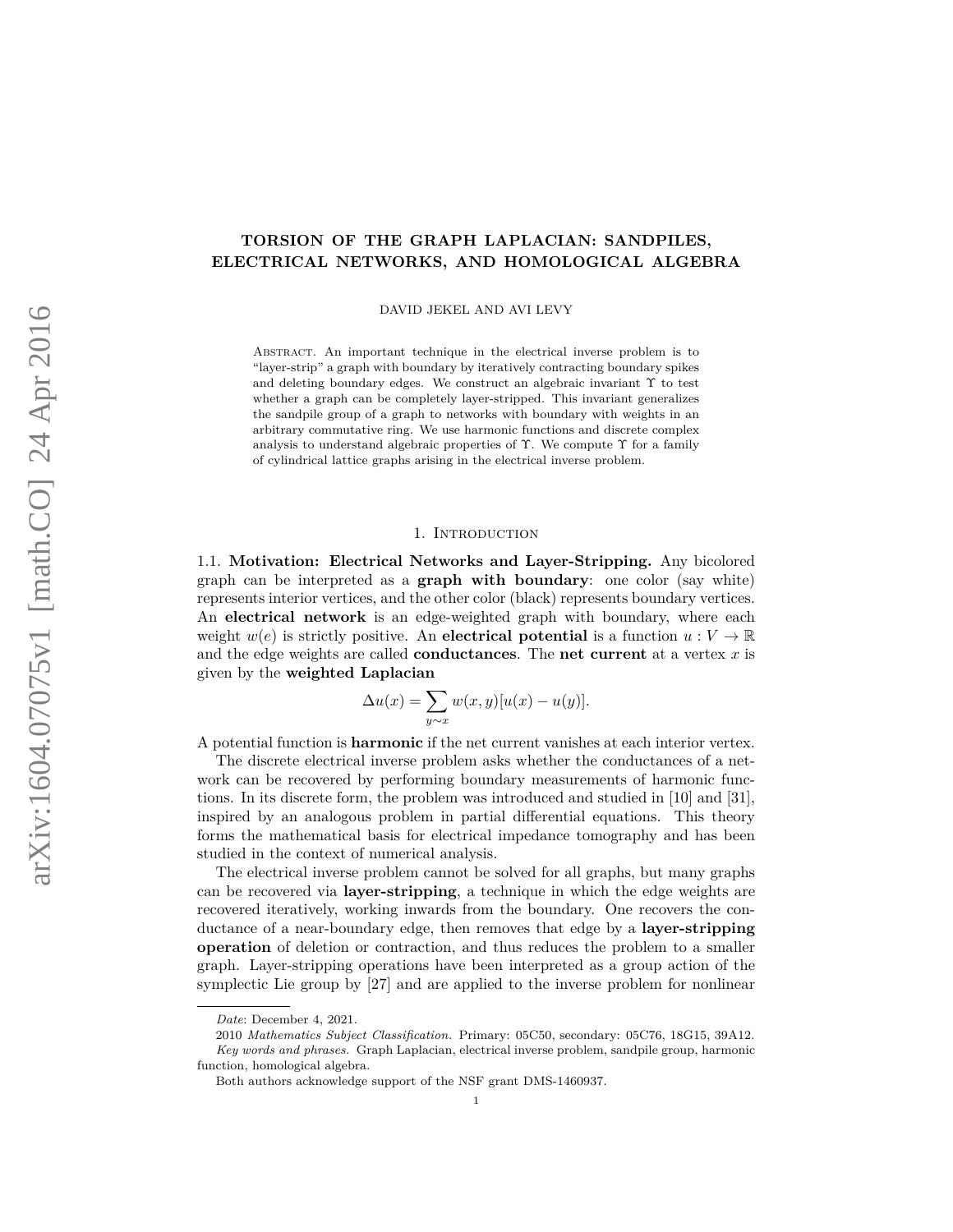# **TORSION OF THE GRAPH LAPLACIAN: SANDPILES, ELECTRICAL NETWORKS, AND HOMOLOGICAL ALGEBRA**

DAVID JEKEL AND AVI LEVY

ABSTRACT. An important technique in the electrical inverse problem is to "layer-strip" a graph with boundary by iteratively contracting boundary spikes and deleting boundary edges. We construct an algebraic invariant  $\Upsilon$  to test whether a graph can be completely layer-stripped. This invariant generalizes the sandpile group of a graph to networks with boundary with weights in an arbitrary commutative ring. We use harmonic functions and discrete complex analysis to understand algebraic properties of Υ. We compute Υ for a family of cylindrical lattice graphs arising in the electrical inverse problem.

#### 1. INTRODUCTION

1.1. **Motivation: Electrical Networks and Layer-Stripping.** Any bicolored graph can be interpreted as a **graph with boundary**: one color (say white) represents interior vertices, and the other color (black) represents boundary vertices. An **electrical network** is an edge-weighted graph with boundary, where each weight  $w(e)$  is strictly positive. An **electrical potential** is a function  $u: V \to \mathbb{R}$ and the edge weights are called **conductances**. The **net current** at a vertex *x* is given by the **weighted Laplacian**

$$
\Delta u(x) = \sum_{y \sim x} w(x, y)[u(x) - u(y)].
$$

A potential function is **harmonic** if the net current vanishes at each interior vertex.

The discrete electrical inverse problem asks whether the conductances of a network can be recovered by performing boundary measurements of harmonic functions. In its discrete form, the problem was introduced and studied in [10] and [31], inspired by an analogous problem in partial differential equations. This theory forms the mathematical basis for electrical impedance tomography and has been studied in the context of numerical analysis.

The electrical inverse problem cannot be solved for all graphs, but many graphs can be recovered via **layer-stripping**, a technique in which the edge weights are recovered iteratively, working inwards from the boundary. One recovers the conductance of a near-boundary edge, then removes that edge by a **layer-stripping operation** of deletion or contraction, and thus reduces the problem to a smaller graph. Layer-stripping operations have been interpreted as a group action of the symplectic Lie group by [27] and are applied to the inverse problem for nonlinear

*Date*: December 4, 2021.

<sup>2010</sup> *Mathematics Subject Classification.* Primary: 05C50, secondary: 05C76, 18G15, 39A12. *Key words and phrases.* Graph Laplacian, electrical inverse problem, sandpile group, harmonic function, homological algebra.

Both authors acknowledge support of the NSF grant DMS-1460937.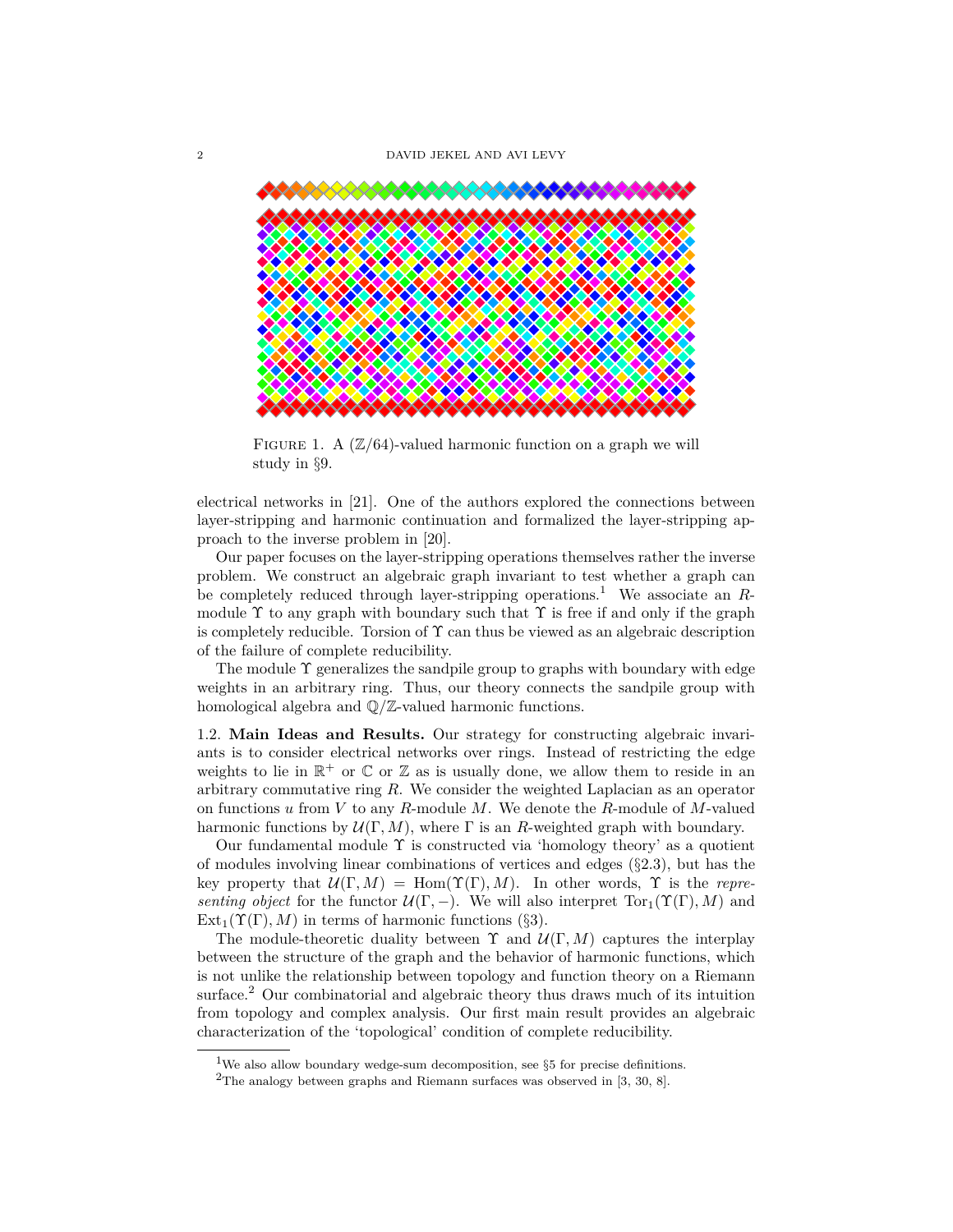

FIGURE 1. A  $(\mathbb{Z}/64)$ -valued harmonic function on a graph we will study in §9.

electrical networks in [21]. One of the authors explored the connections between layer-stripping and harmonic continuation and formalized the layer-stripping approach to the inverse problem in [20].

Our paper focuses on the layer-stripping operations themselves rather the inverse problem. We construct an algebraic graph invariant to test whether a graph can be completely reduced through layer-stripping operations.<sup>1</sup> We associate an *R*module  $\Upsilon$  to any graph with boundary such that  $\Upsilon$  is free if and only if the graph is completely reducible. Torsion of  $\Upsilon$  can thus be viewed as an algebraic description of the failure of complete reducibility.

The module  $\Upsilon$  generalizes the sandpile group to graphs with boundary with edge weights in an arbitrary ring. Thus, our theory connects the sandpile group with homological algebra and Q*/*Z-valued harmonic functions.

1.2. **Main Ideas and Results.** Our strategy for constructing algebraic invariants is to consider electrical networks over rings. Instead of restricting the edge weights to lie in  $\mathbb{R}^+$  or  $\mathbb C$  or  $\mathbb Z$  as is usually done, we allow them to reside in an arbitrary commutative ring *R*. We consider the weighted Laplacian as an operator on functions *u* from *V* to any *R*-module *M*. We denote the *R*-module of *M*-valued harmonic functions by  $\mathcal{U}(\Gamma, M)$ , where  $\Gamma$  is an *R*-weighted graph with boundary.

Our fundamental module  $\Upsilon$  is constructed via 'homology theory' as a quotient of modules involving linear combinations of vertices and edges (§2.3), but has the key property that  $\mathcal{U}(\Gamma, M) = \text{Hom}(\Upsilon(\Gamma), M)$ . In other words,  $\Upsilon$  is the *representing object* for the functor  $\mathcal{U}(\Gamma, -)$ . We will also interpret  $\text{Tor}_1(\Upsilon(\Gamma), M)$  and  $Ext_1(\Upsilon(\Gamma), M)$  in terms of harmonic functions (§3).

The module-theoretic duality between  $\Upsilon$  and  $\mathcal{U}(\Gamma, M)$  captures the interplay between the structure of the graph and the behavior of harmonic functions, which is not unlike the relationship between topology and function theory on a Riemann surface.<sup>2</sup> Our combinatorial and algebraic theory thus draws much of its intuition from topology and complex analysis. Our first main result provides an algebraic characterization of the 'topological' condition of complete reducibility.

<sup>&</sup>lt;sup>1</sup>We also allow boundary wedge-sum decomposition, see  $\S5$  for precise definitions.

<sup>&</sup>lt;sup>2</sup>The analogy between graphs and Riemann surfaces was observed in  $[3, 30, 8]$ .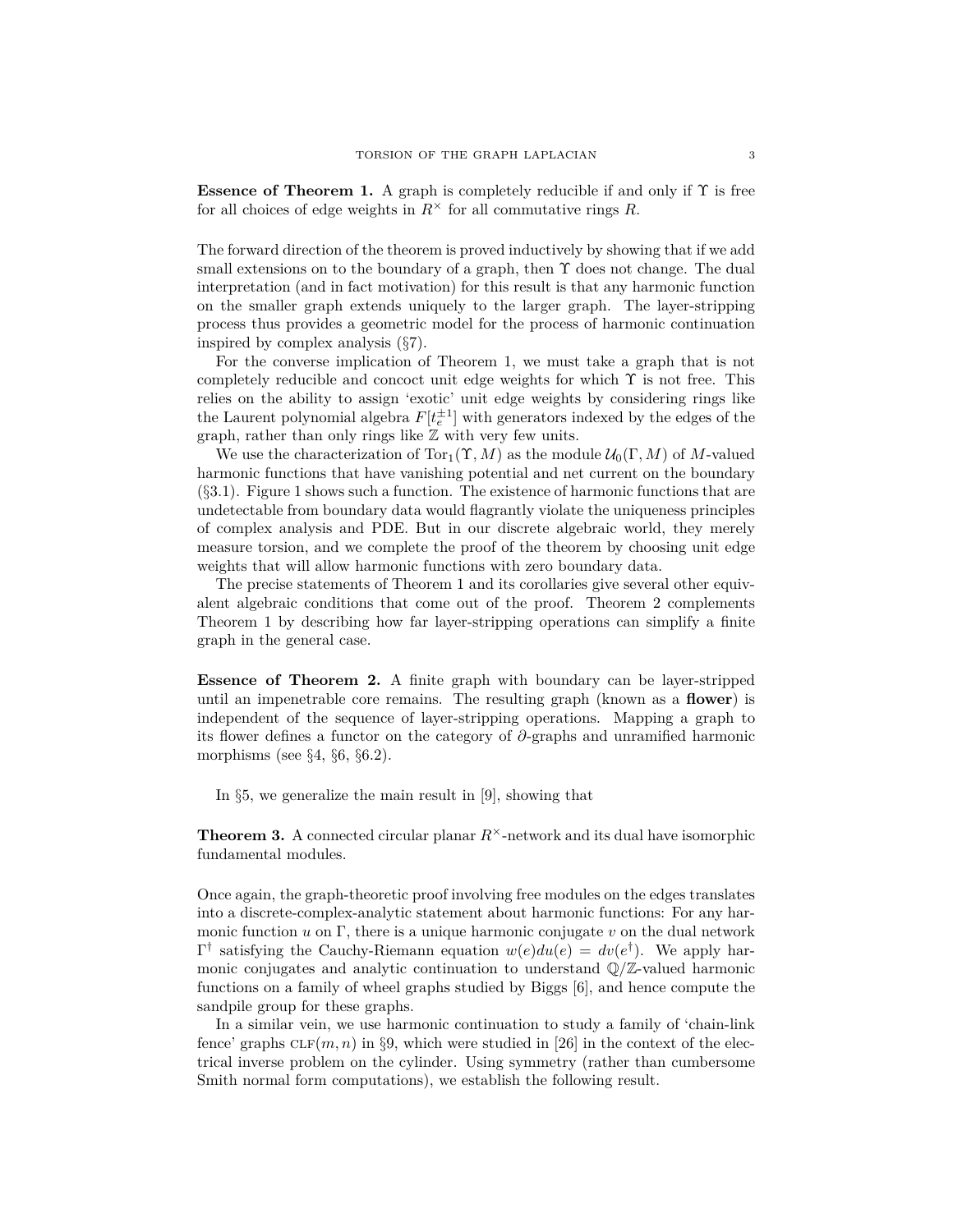**Essence of Theorem 1.** A graph is completely reducible if and only if  $\Upsilon$  is free for all choices of edge weights in  $R^{\times}$  for all commutative rings R.

The forward direction of the theorem is proved inductively by showing that if we add small extensions on to the boundary of a graph, then  $\Upsilon$  does not change. The dual interpretation (and in fact motivation) for this result is that any harmonic function on the smaller graph extends uniquely to the larger graph. The layer-stripping process thus provides a geometric model for the process of harmonic continuation inspired by complex analysis (§7).

For the converse implication of Theorem 1, we must take a graph that is not completely reducible and concoct unit edge weights for which  $\Upsilon$  is not free. This relies on the ability to assign 'exotic' unit edge weights by considering rings like the Laurent polynomial algebra  $F[t_e^{\pm 1}]$  with generators indexed by the edges of the graph, rather than only rings like  $Z$  with very few units.

We use the characterization of  $Tor_1(\Upsilon, M)$  as the module  $\mathcal{U}_0(\Gamma, M)$  of M-valued harmonic functions that have vanishing potential and net current on the boundary (§3.1). Figure 1 shows such a function. The existence of harmonic functions that are undetectable from boundary data would flagrantly violate the uniqueness principles of complex analysis and PDE. But in our discrete algebraic world, they merely measure torsion, and we complete the proof of the theorem by choosing unit edge weights that will allow harmonic functions with zero boundary data.

The precise statements of Theorem 1 and its corollaries give several other equivalent algebraic conditions that come out of the proof. Theorem 2 complements Theorem 1 by describing how far layer-stripping operations can simplify a finite graph in the general case.

**Essence of Theorem 2.** A finite graph with boundary can be layer-stripped until an impenetrable core remains. The resulting graph (known as a **flower**) is independent of the sequence of layer-stripping operations. Mapping a graph to its flower defines a functor on the category of *∂*-graphs and unramified harmonic morphisms (see  $\S 4$ ,  $\S 6$ ,  $\S 6.2$ ).

In §5, we generalize the main result in [9], showing that

**Theorem 3.** A connected circular planar  $R^{\times}$ -network and its dual have isomorphic fundamental modules.

Once again, the graph-theoretic proof involving free modules on the edges translates into a discrete-complex-analytic statement about harmonic functions: For any harmonic function  $u$  on  $\Gamma$ , there is a unique harmonic conjugate  $v$  on the dual network  $\Gamma^{\dagger}$  satisfying the Cauchy-Riemann equation  $w(e)du(e) = dv(e^{\dagger})$ . We apply harmonic conjugates and analytic continuation to understand Q*/*Z-valued harmonic functions on a family of wheel graphs studied by Biggs [6], and hence compute the sandpile group for these graphs.

In a similar vein, we use harmonic continuation to study a family of 'chain-link fence' graphs  $CLF(m, n)$  in §9, which were studied in [26] in the context of the electrical inverse problem on the cylinder. Using symmetry (rather than cumbersome Smith normal form computations), we establish the following result.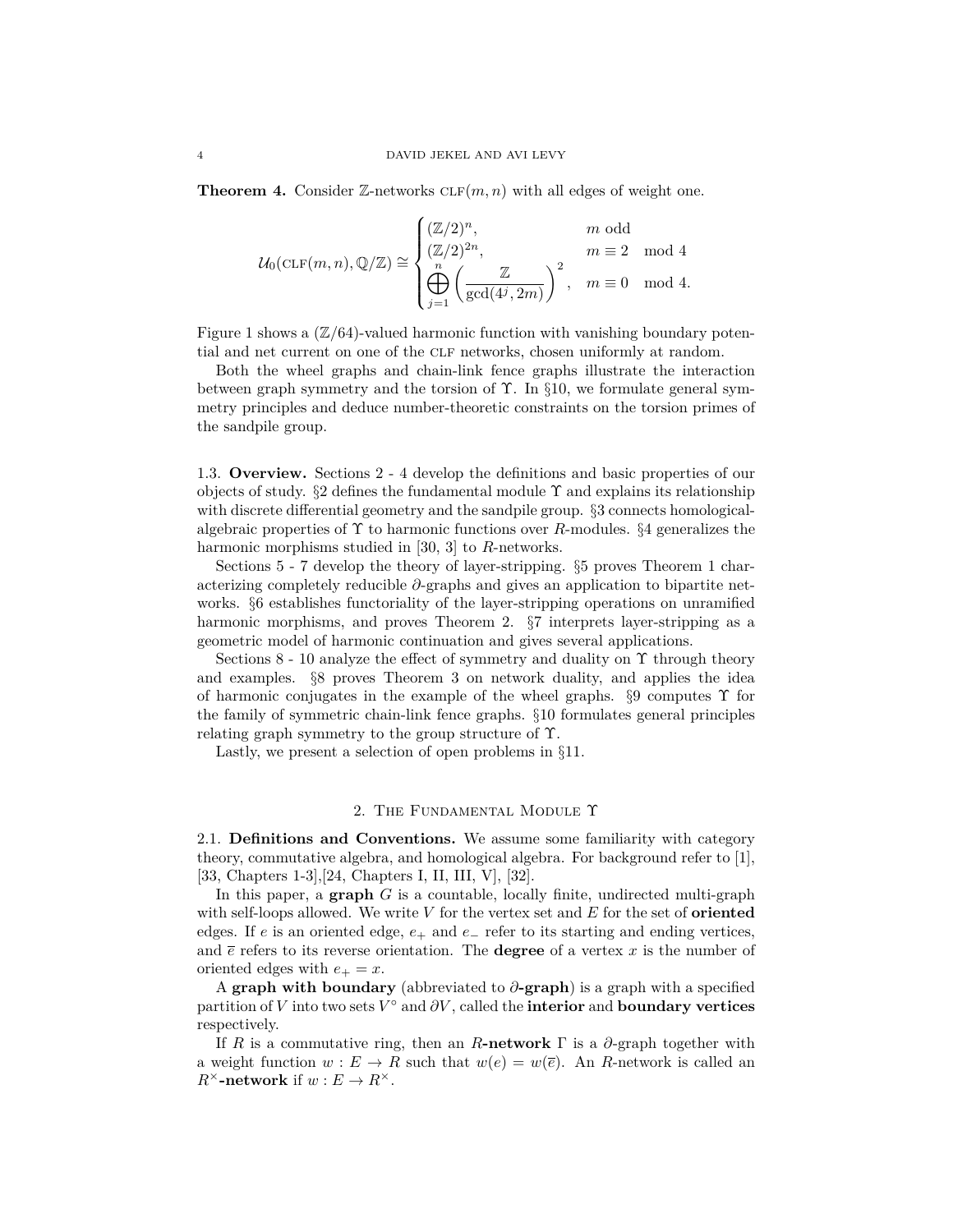**Theorem 4.** Consider  $\mathbb{Z}$ -networks  $CLF(m, n)$  with all edges of weight one.

$$
\mathcal{U}_0(\mathrm{CLF}(m,n),\mathbb{Q}/\mathbb{Z})\cong \begin{cases} (\mathbb{Z}/2)^n, & m \text{ odd} \\ (\mathbb{Z}/2)^{2n}, & m\equiv 2 \mod 4 \\ \bigoplus_{j=1}^n \left(\frac{\mathbb{Z}}{\gcd(4^j,2m)}\right)^2, & m\equiv 0 \mod 4. \end{cases}
$$

Figure 1 shows a  $(\mathbb{Z}/64)$ -valued harmonic function with vanishing boundary potential and net current on one of the CLF networks, chosen uniformly at random.

Both the wheel graphs and chain-link fence graphs illustrate the interaction between graph symmetry and the torsion of  $\Upsilon$ . In §10, we formulate general symmetry principles and deduce number-theoretic constraints on the torsion primes of the sandpile group.

1.3. **Overview.** Sections 2 - 4 develop the definitions and basic properties of our objects of study.  $\S2$  defines the fundamental module  $\Upsilon$  and explains its relationship with discrete differential geometry and the sandpile group. §3 connects homologicalalgebraic properties of Υ to harmonic functions over *R*-modules. §4 generalizes the harmonic morphisms studied in [30, 3] to *R*-networks.

Sections 5 - 7 develop the theory of layer-stripping. §5 proves Theorem 1 characterizing completely reducible *∂*-graphs and gives an application to bipartite networks. §6 establishes functoriality of the layer-stripping operations on unramified harmonic morphisms, and proves Theorem 2.  $\S7$  interprets layer-stripping as a geometric model of harmonic continuation and gives several applications.

Sections 8 - 10 analyze the effect of symmetry and duality on  $\Upsilon$  through theory and examples. §8 proves Theorem 3 on network duality, and applies the idea of harmonic conjugates in the example of the wheel graphs.  $\S$ 9 computes  $\Upsilon$  for the family of symmetric chain-link fence graphs. §10 formulates general principles relating graph symmetry to the group structure of Υ.

Lastly, we present a selection of open problems in §11.

## 2. The Fundamental Module Υ

2.1. **Definitions and Conventions.** We assume some familiarity with category theory, commutative algebra, and homological algebra. For background refer to [1], [33, Chapters 1-3],[24, Chapters I, II, III, V], [32].

In this paper, a **graph** *G* is a countable, locally finite, undirected multi-graph with self-loops allowed. We write *V* for the vertex set and *E* for the set of **oriented** edges. If *e* is an oriented edge, *e*<sup>+</sup> and *e*<sup>−</sup> refer to its starting and ending vertices, and  $\bar{e}$  refers to its reverse orientation. The **degree** of a vertex  $x$  is the number of oriented edges with  $e_+ = x$ .

A **graph with boundary** (abbreviated to *∂***-graph**) is a graph with a specified partition of *V* into two sets *V* ◦ and *∂V* , called the **interior** and **boundary vertices** respectively.

If *R* is a commutative ring, then an *R***-network**  $\Gamma$  is a  $\partial$ -graph together with a weight function  $w : E \to R$  such that  $w(e) = w(\overline{e})$ . An *R*-network is called an  $R^{\times}$ **-network** if  $w : E \to R^{\times}$ .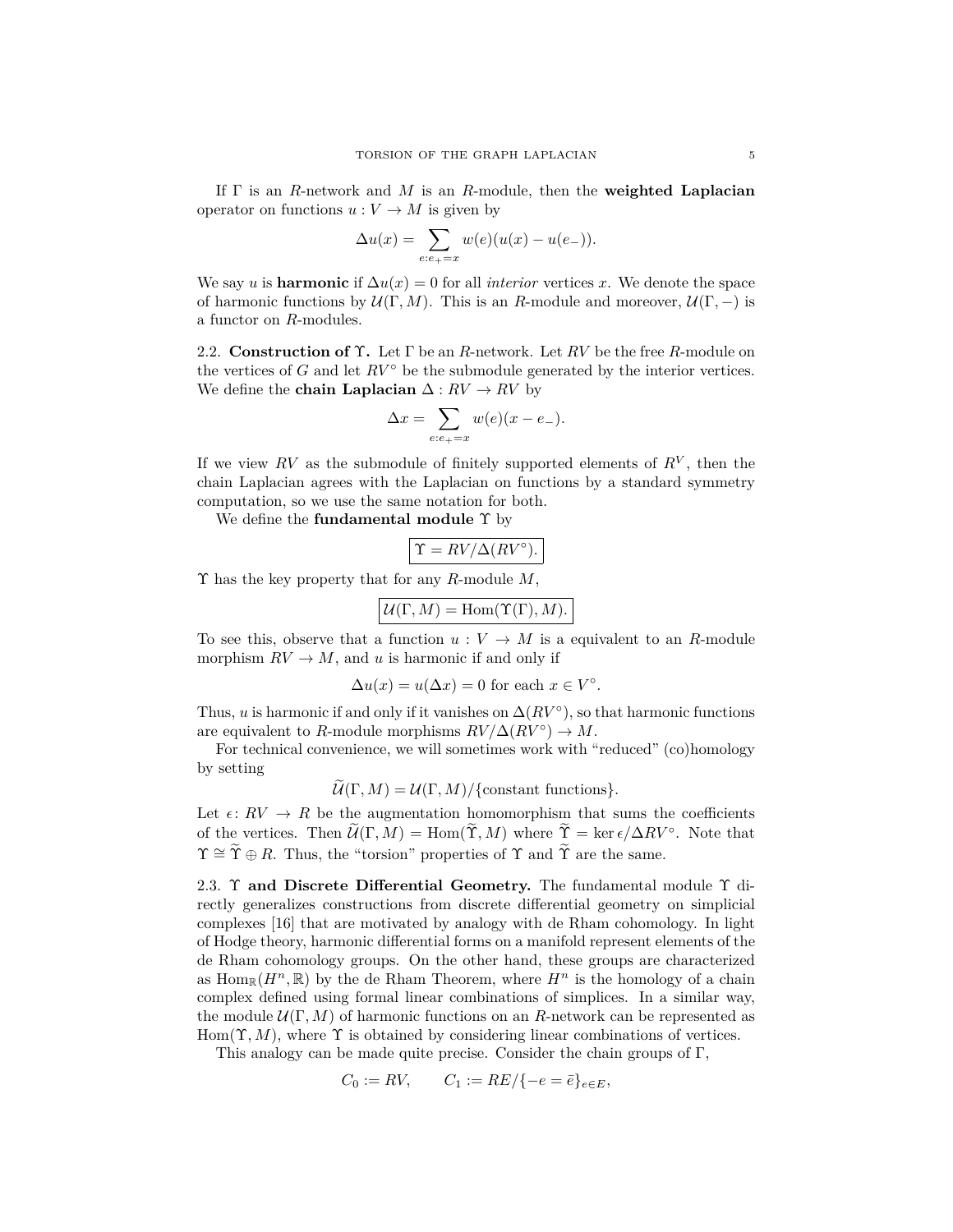If Γ is an *R*-network and *M* is an *R*-module, then the **weighted Laplacian** operator on functions  $u: V \to M$  is given by

$$
\Delta u(x) = \sum_{e:e_+=x} w(e)(u(x) - u(e_-)).
$$

We say *u* is **harmonic** if  $\Delta u(x) = 0$  for all *interior* vertices *x*. We denote the space of harmonic functions by  $\mathcal{U}(\Gamma, M)$ . This is an *R*-module and moreover,  $\mathcal{U}(\Gamma, -)$  is a functor on *R*-modules.

2.2. **Construction of** Υ**.** Let Γ be an *R*-network. Let *RV* be the free *R*-module on the vertices of *G* and let  $RV^{\circ}$  be the submodule generated by the interior vertices. We define the **chain Laplacian**  $\Delta: RV \rightarrow RV$  by

$$
\Delta x = \sum_{e:e_+ = x} w(e)(x - e_-).
$$

If we view  $RV$  as the submodule of finitely supported elements of  $R^V$ , then the chain Laplacian agrees with the Laplacian on functions by a standard symmetry computation, so we use the same notation for both.

We define the **fundamental module** Υ by

$$
\Upsilon = RV/\Delta (RV^{\circ}).
$$

Υ has the key property that for any *R*-module *M*,

$$
\mathcal{U}(\Gamma,M) = \mathrm{Hom}(\Upsilon(\Gamma),M).
$$

To see this, observe that a function  $u: V \to M$  is a equivalent to an *R*-module morphism  $RV \to M$ , and *u* is harmonic if and only if

$$
\Delta u(x) = u(\Delta x) = 0
$$
 for each  $x \in V^{\circ}$ .

Thus, *u* is harmonic if and only if it vanishes on  $\Delta(RV^{\circ})$ , so that harmonic functions are equivalent to *R*-module morphisms  $RV/\Delta (RV^{\circ}) \rightarrow M$ .

For technical convenience, we will sometimes work with "reduced" (co)homology by setting

 $\widetilde{\mathcal{U}}(\Gamma, M) = \mathcal{U}(\Gamma, M)/\{\text{constant functions}\}.$ 

Let  $\epsilon: RV \to R$  be the augmentation homomorphism that sums the coefficients of the vertices. Then  $\widetilde{\mathcal{U}}(\Gamma, M) = \text{Hom}(\widetilde{\Upsilon}, M)$  where  $\widetilde{\Upsilon} = \ker \epsilon / \Delta RV^{\circ}$ . Note that  $\Upsilon \cong \widetilde{\Upsilon} \oplus R$ . Thus, the "torsion" properties of  $\Upsilon$  and  $\widetilde{\Upsilon}$  are the same.

2.3. Υ **and Discrete Differential Geometry.** The fundamental module Υ directly generalizes constructions from discrete differential geometry on simplicial complexes [16] that are motivated by analogy with de Rham cohomology. In light of Hodge theory, harmonic differential forms on a manifold represent elements of the de Rham cohomology groups. On the other hand, these groups are characterized as  $\text{Hom}_{\mathbb{R}}(H^n,\mathbb{R})$  by the de Rham Theorem, where  $H^n$  is the homology of a chain complex defined using formal linear combinations of simplices. In a similar way, the module  $\mathcal{U}(\Gamma, M)$  of harmonic functions on an *R*-network can be represented as  $Hom(\Upsilon, M)$ , where  $\Upsilon$  is obtained by considering linear combinations of vertices.

This analogy can be made quite precise. Consider the chain groups of Γ,

$$
C_0 := RV
$$
,  $C_1 := RE / \{-e = \bar{e}\}_{e \in E}$ ,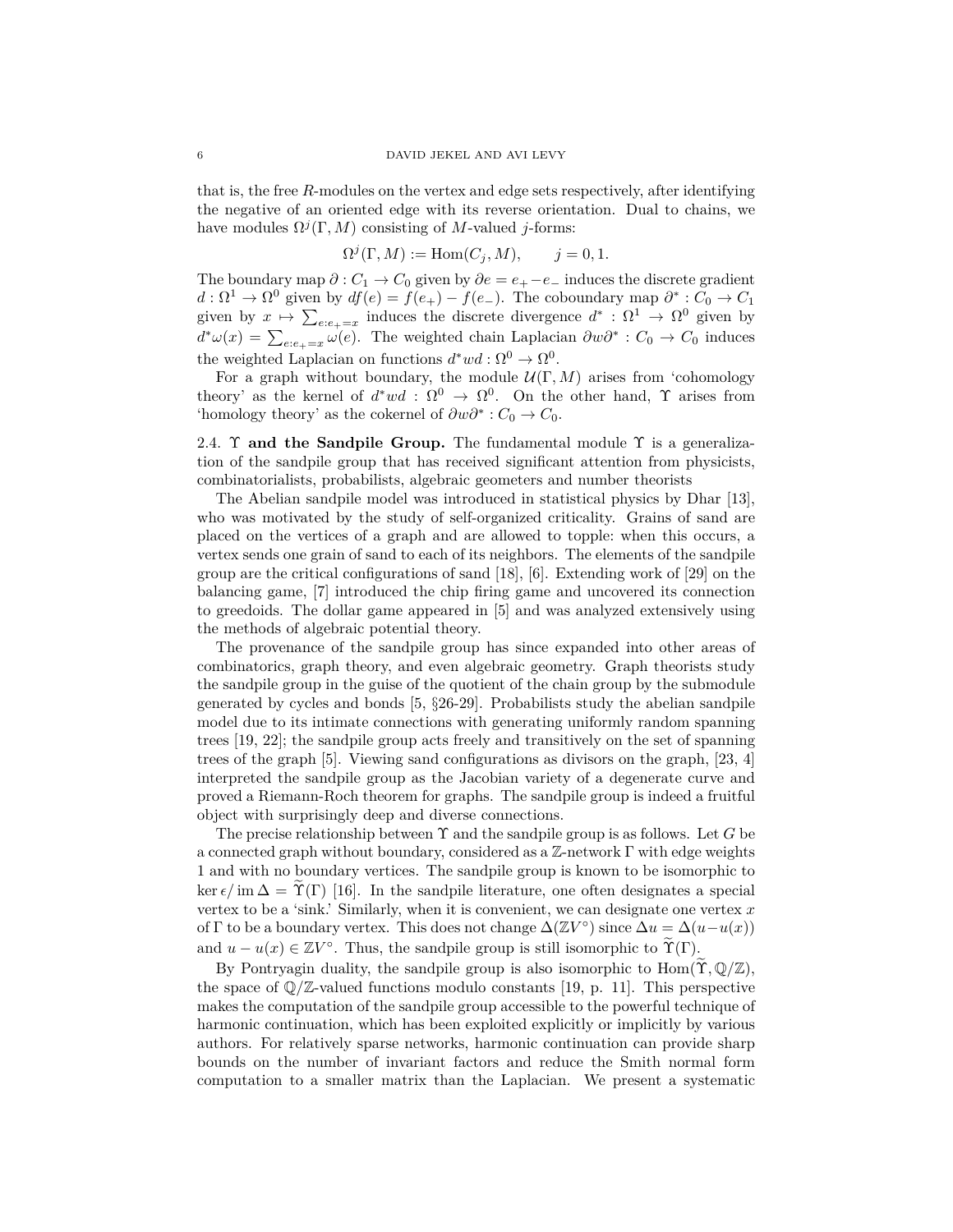that is, the free *R*-modules on the vertex and edge sets respectively, after identifying the negative of an oriented edge with its reverse orientation. Dual to chains, we have modules  $\Omega^{j}(\Gamma, M)$  consisting of *M*-valued *j*-forms:

$$
\Omega^j(\Gamma, M) := \text{Hom}(C_j, M), \qquad j = 0, 1.
$$

The boundary map  $\partial$  :  $C_1 \rightarrow C_0$  given by  $\partial e = e_+ - e_-$  induces the discrete gradient  $d: \Omega^1 \to \Omega^0$  given by  $df(e) = f(e_+) - f(e_-)$ . The coboundary map  $\partial^* : C_0 \to C_1$ given by  $x \mapsto \sum_{e:e_+=x}$  induces the discrete divergence  $d^* : \Omega^1 \to \Omega^0$  given by  $d^*\omega(x) = \sum_{e:e_+ = x} \omega(e)$ . The weighted chain Laplacian  $\partial w\partial^* : C_0 \to C_0$  induces the weighted Laplacian on functions  $d^*wd : \Omega^0 \to \Omega^0$ .

For a graph without boundary, the module  $\mathcal{U}(\Gamma, M)$  arises from 'cohomology theory' as the kernel of  $d^*wd$  :  $\Omega^0 \to \Omega^0$ . On the other hand,  $\Upsilon$  arises from 'homology theory' as the cokernel of  $\partial w \partial^* : C_0 \to C_0$ .

2.4. **T** and the Sandpile Group. The fundamental module  $\Upsilon$  is a generalization of the sandpile group that has received significant attention from physicists, combinatorialists, probabilists, algebraic geometers and number theorists

The Abelian sandpile model was introduced in statistical physics by Dhar [13], who was motivated by the study of self-organized criticality. Grains of sand are placed on the vertices of a graph and are allowed to topple: when this occurs, a vertex sends one grain of sand to each of its neighbors. The elements of the sandpile group are the critical configurations of sand [18], [6]. Extending work of [29] on the balancing game, [7] introduced the chip firing game and uncovered its connection to greedoids. The dollar game appeared in [5] and was analyzed extensively using the methods of algebraic potential theory.

The provenance of the sandpile group has since expanded into other areas of combinatorics, graph theory, and even algebraic geometry. Graph theorists study the sandpile group in the guise of the quotient of the chain group by the submodule generated by cycles and bonds [5, §26-29]. Probabilists study the abelian sandpile model due to its intimate connections with generating uniformly random spanning trees [19, 22]; the sandpile group acts freely and transitively on the set of spanning trees of the graph [5]. Viewing sand configurations as divisors on the graph, [23, 4] interpreted the sandpile group as the Jacobian variety of a degenerate curve and proved a Riemann-Roch theorem for graphs. The sandpile group is indeed a fruitful object with surprisingly deep and diverse connections.

The precise relationship between Υ and the sandpile group is as follows. Let *G* be a connected graph without boundary, considered as a  $\mathbb{Z}$ -network  $\Gamma$  with edge weights 1 and with no boundary vertices. The sandpile group is known to be isomorphic to ker  $\epsilon/m\Delta = \Upsilon(\Gamma)$  [16]. In the sandpile literature, one often designates a special vertex to be a 'sink.' Similarly, when it is convenient, we can designate one vertex *x* of  $\Gamma$  to be a boundary vertex. This does not change  $\Delta(\mathbb{Z}V^{\circ})$  since  $\Delta u = \Delta(u - u(x))$ and  $u - u(x) \in \mathbb{Z}V^{\circ}$ . Thus, the sandpile group is still isomorphic to  $\widetilde{\Upsilon}(\Gamma)$ .

By Pontryagin duality, the sandpile group is also isomorphic to  $\text{Hom}(\widetilde{\Upsilon}, \mathbb{Q}/\mathbb{Z})$ , the space of  $\mathbb{Q}/\mathbb{Z}$ -valued functions modulo constants [19, p. 11]. This perspective makes the computation of the sandpile group accessible to the powerful technique of harmonic continuation, which has been exploited explicitly or implicitly by various authors. For relatively sparse networks, harmonic continuation can provide sharp bounds on the number of invariant factors and reduce the Smith normal form computation to a smaller matrix than the Laplacian. We present a systematic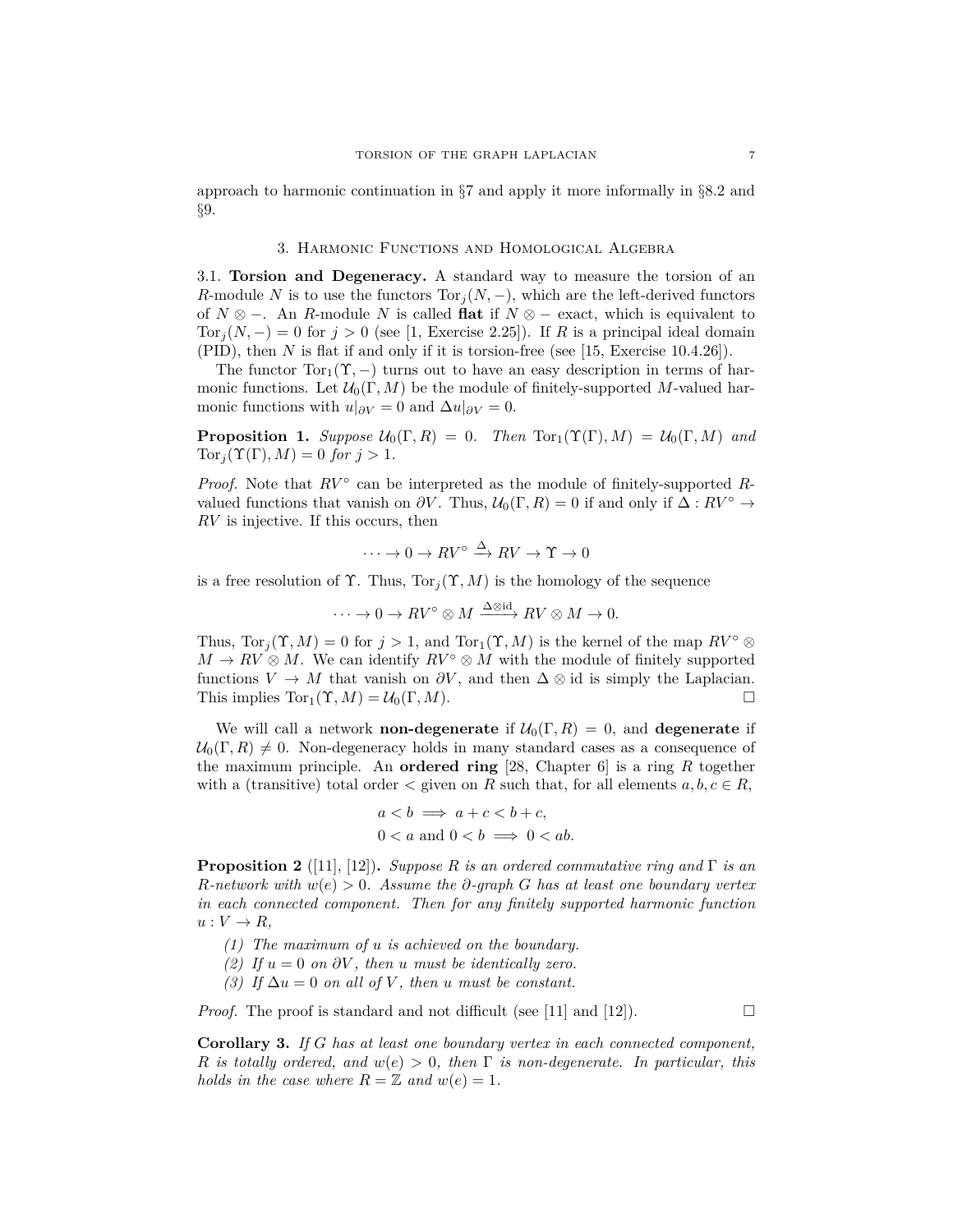approach to harmonic continuation in §7 and apply it more informally in §8.2 and §9.

## 3. Harmonic Functions and Homological Algebra

3.1. **Torsion and Degeneracy.** A standard way to measure the torsion of an *R*-module *N* is to use the functors  $Tor_i(N, -)$ , which are the left-derived functors of *N* ⊗ −. An *R*-module *N* is called **flat** if *N* ⊗ − exact, which is equivalent to Tor<sub>j</sub> $(N, -) = 0$  for  $j > 0$  (see [1, Exercise 2.25]). If *R* is a principal ideal domain (PID), then *N* is flat if and only if it is torsion-free (see [15, Exercise 10.4.26]).

The functor  $Tor_1(\Upsilon, -)$  turns out to have an easy description in terms of harmonic functions. Let  $\mathcal{U}_0(\Gamma, M)$  be the module of finitely-supported M-valued harmonic functions with  $u|_{\partial V} = 0$  and  $\Delta u|_{\partial V} = 0$ .

**Proposition 1.** *Suppose*  $U_0(\Gamma, R) = 0$ *. Then*  $Tor_1(\Upsilon(\Gamma), M) = U_0(\Gamma, M)$  *and*  $Tor_i(\Upsilon(\Gamma), M) = 0$  *for*  $j > 1$ *.* 

*Proof.* Note that  $RV^{\circ}$  can be interpreted as the module of finitely-supported Rvalued functions that vanish on  $\partial V$ . Thus,  $\mathcal{U}_0(\Gamma, R) = 0$  if and only if  $\Delta : RV^{\circ} \rightarrow$ *RV* is injective. If this occurs, then

$$
\cdots \to 0 \to RV^{\circ} \xrightarrow{\Delta} RV \to \Upsilon \to 0
$$

is a free resolution of  $\Upsilon$ . Thus,  $Tor_j(\Upsilon, M)$  is the homology of the sequence

$$
\cdots \to 0 \to RV^{\circ} \otimes M \xrightarrow{\Delta \otimes \mathrm{id}} RV \otimes M \to 0.
$$

Thus,  $\text{Tor}_i(\Upsilon, M) = 0$  for  $j > 1$ , and  $\text{Tor}_1(\Upsilon, M)$  is the kernel of the map  $RV^{\circ} \otimes$  $M \to RV \otimes M$ . We can identify  $RV^{\circ} \otimes M$  with the module of finitely supported functions  $V \to M$  that vanish on  $\partial V$ , and then  $\Delta \otimes id$  is simply the Laplacian. This implies  $Tor_1(\Upsilon, M) = \mathcal{U}_0(\Gamma, M).$ 

We will call a network **non-degenerate** if  $\mathcal{U}_0(\Gamma, R) = 0$ , and **degenerate** if  $\mathcal{U}_0(\Gamma, R) \neq 0$ . Non-degeneracy holds in many standard cases as a consequence of the maximum principle. An **ordered ring** [28, Chapter 6] is a ring *R* together with a (transitive) total order  $\lt$  given on *R* such that, for all elements  $a, b, c \in R$ ,

$$
a < b \implies a + c < b + c,
$$
  
0 < a and 0 < b \implies 0 < ab.

**Proposition 2** ([11], [12])**.** *Suppose R is an ordered commutative ring and* Γ *is an R-network with w*(*e*) *>* 0*. Assume the ∂-graph G has at least one boundary vertex in each connected component. Then for any finitely supported harmonic function*  $u: V \to R$ ,

- *(1) The maximum of u is achieved on the boundary.*
- *(2) If*  $u = 0$  *on*  $\partial V$ *, then u must be identically zero.*
- *(3) If*  $\Delta u = 0$  *on all of V*, then *u must be constant.*

*Proof.* The proof is standard and not difficult (see [11] and [12]).

**Corollary 3.** *If G has at least one boundary vertex in each connected component, R is totally ordered, and w*(*e*) *>* 0*, then* Γ *is non-degenerate. In particular, this holds in the case where*  $R = \mathbb{Z}$  *and*  $w(e) = 1$ *.*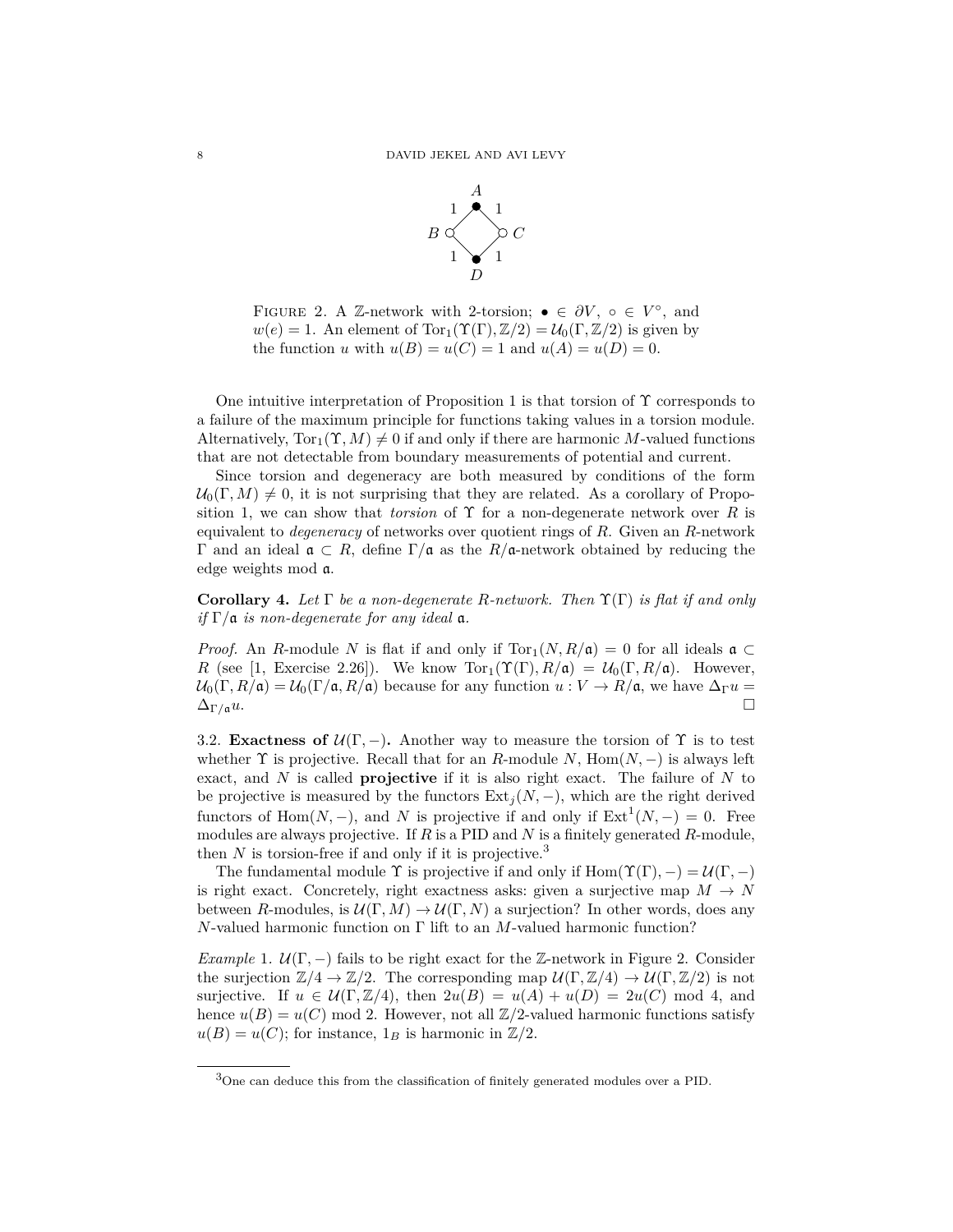

FIGURE 2. A Z-network with 2-torsion;  $\bullet \in \partial V$ ,  $\circ \in V^{\circ}$ , and  $w(e) = 1$ . An element of Tor<sub>1</sub>( $\Upsilon(\Gamma), \mathbb{Z}/2$ ) =  $\mathcal{U}_0(\Gamma, \mathbb{Z}/2)$  is given by the function *u* with  $u(B) = u(C) = 1$  and  $u(A) = u(D) = 0$ .

One intuitive interpretation of Proposition 1 is that torsion of  $\Upsilon$  corresponds to a failure of the maximum principle for functions taking values in a torsion module. Alternatively,  $Tor_1(\Upsilon, M) \neq 0$  if and only if there are harmonic M-valued functions that are not detectable from boundary measurements of potential and current.

Since torsion and degeneracy are both measured by conditions of the form  $\mathcal{U}_0(\Gamma, M) \neq 0$ , it is not surprising that they are related. As a corollary of Proposition 1, we can show that *torsion* of  $\Upsilon$  for a non-degenerate network over R is equivalent to *degeneracy* of networks over quotient rings of *R*. Given an *R*-network Γ and an ideal a ⊂ *R*, define Γ*/*a as the *R/*a-network obtained by reducing the edge weights mod a.

**Corollary 4.** *Let* Γ *be a non-degenerate R-network. Then* Υ(Γ) *is flat if and only*  $if \Gamma/\mathfrak{a}$  *is non-degenerate for any ideal*  $\mathfrak{a}$ *.* 

*Proof.* An *R*-module *N* is flat if and only if  $Tor_1(N, R/\mathfrak{a}) = 0$  for all ideals  $\mathfrak{a} \subset$ *R* (see [1, Exercise 2.26]). We know  $Tor_1(\Upsilon(\Gamma), R/\mathfrak{a}) = \mathcal{U}_0(\Gamma, R/\mathfrak{a})$ . However,  $U_0(\Gamma, R/\mathfrak{a}) = U_0(\Gamma/\mathfrak{a}, R/\mathfrak{a})$  because for any function  $u: V \to R/\mathfrak{a}$ , we have  $\Delta_{\Gamma} u =$  $\Delta_{\Gamma/\mathfrak{a}} u.$ 

3.2. **Exactness of**  $\mathcal{U}(\Gamma, -)$ . Another way to measure the torsion of  $\Upsilon$  is to test whether  $\Upsilon$  is projective. Recall that for an *R*-module *N*, Hom $(N, -)$  is always left exact, and *N* is called **projective** if it is also right exact. The failure of *N* to be projective is measured by the functors  $Ext_j(N, -)$ , which are the right derived functors of Hom $(N, -)$ , and *N* is projective if and only if  $Ext<sup>1</sup>(N, -) = 0$ . Free modules are always projective. If *R* is a PID and *N* is a finitely generated *R*-module, then  $N$  is torsion-free if and only if it is projective.<sup>3</sup>

The fundamental module  $\Upsilon$  is projective if and only if  $Hom(\Upsilon(\Gamma), -) = \mathcal{U}(\Gamma, -)$ is right exact. Concretely, right exactness asks: given a surjective map  $M \to N$ between *R*-modules, is  $\mathcal{U}(\Gamma, M) \to \mathcal{U}(\Gamma, N)$  a surjection? In other words, does any *N*-valued harmonic function on Γ lift to an *M*-valued harmonic function?

*Example* 1*.*  $U(\Gamma, -)$  fails to be right exact for the Z-network in Figure 2. Consider the surjection  $\mathbb{Z}/4 \to \mathbb{Z}/2$ . The corresponding map  $\mathcal{U}(\Gamma, \mathbb{Z}/4) \to \mathcal{U}(\Gamma, \mathbb{Z}/2)$  is not surjective. If  $u \in \mathcal{U}(\Gamma, \mathbb{Z}/4)$ , then  $2u(B) = u(A) + u(D) = 2u(C) \mod 4$ , and hence  $u(B) = u(C) \mod 2$ . However, not all  $\mathbb{Z}/2$ -valued harmonic functions satisfy  $u(B) = u(C)$ ; for instance,  $1_B$  is harmonic in  $\mathbb{Z}/2$ .

<sup>3</sup>One can deduce this from the classification of finitely generated modules over a PID.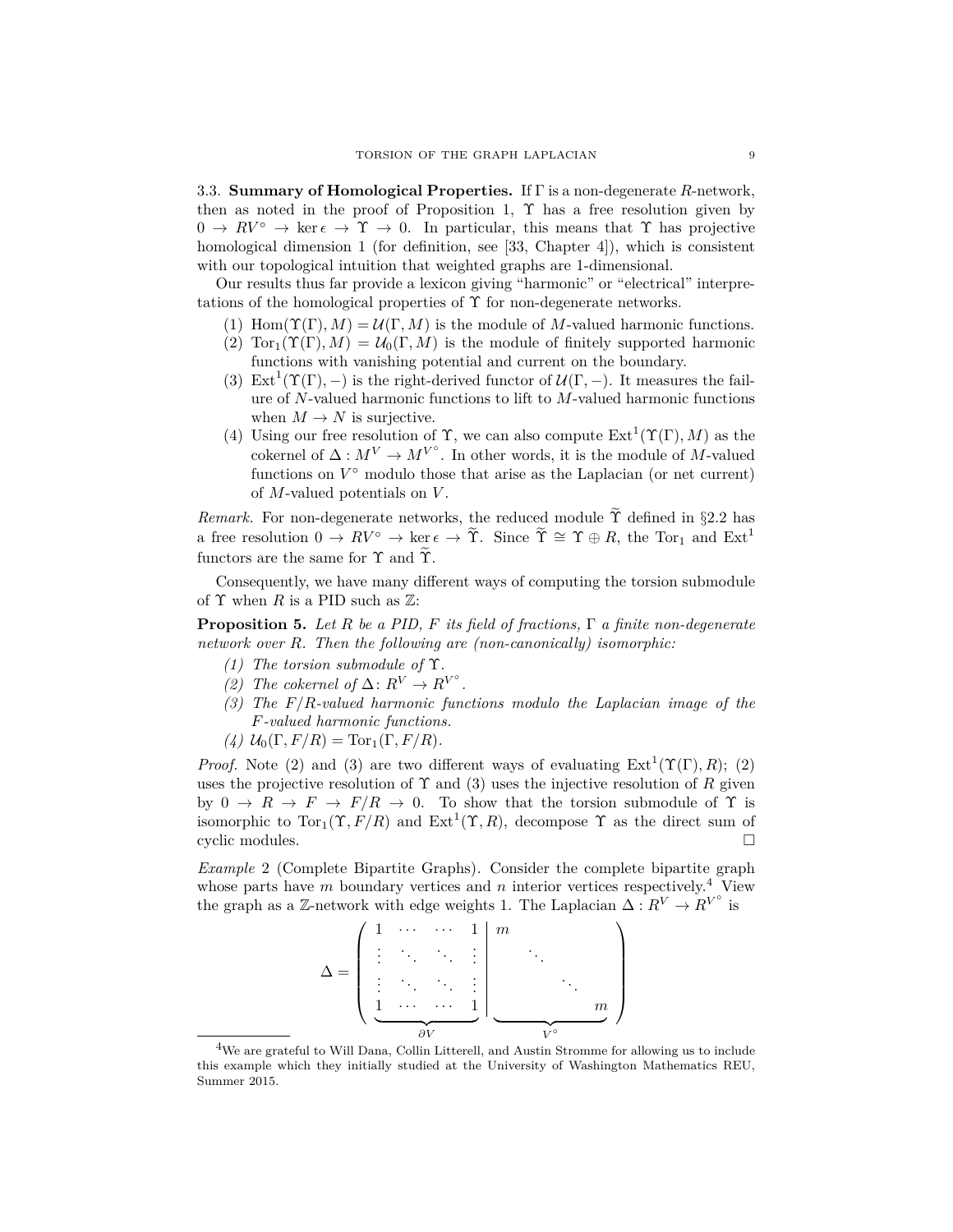3.3. **Summary of Homological Properties.** If Γ is a non-degenerate *R*-network, then as noted in the proof of Proposition 1,  $\Upsilon$  has a free resolution given by  $0 \to RV^{\circ} \to \ker \epsilon \to \Upsilon \to 0$ . In particular, this means that  $\Upsilon$  has projective homological dimension 1 (for definition, see [33, Chapter 4]), which is consistent with our topological intuition that weighted graphs are 1-dimensional.

Our results thus far provide a lexicon giving "harmonic" or "electrical" interpretations of the homological properties of  $\Upsilon$  for non-degenerate networks.

- (1) Hom( $\Upsilon(\Gamma), M$ ) =  $\mathcal{U}(\Gamma, M)$  is the module of *M*-valued harmonic functions.
- (2)  $Tor_1(\Upsilon(\Gamma), M) = U_0(\Gamma, M)$  is the module of finitely supported harmonic functions with vanishing potential and current on the boundary.
- (3) Ext<sup>1</sup>( $\Upsilon(\Gamma)$ , -) is the right-derived functor of  $\mathcal{U}(\Gamma, -)$ . It measures the failure of *N*-valued harmonic functions to lift to *M*-valued harmonic functions when  $M \to N$  is surjective.
- (4) Using our free resolution of  $\Upsilon$ , we can also compute  $\text{Ext}^1(\Upsilon(\Gamma), M)$  as the cokernel of  $\Delta: M^V \to M^{V^{\circ}}$ . In other words, it is the module of *M*-valued functions on  $V^{\circ}$  modulo those that arise as the Laplacian (or net current) of *M*-valued potentials on *V* .

*Remark.* For non-degenerate networks, the reduced module  $\tilde{\Upsilon}$  defined in §2.2 has a free resolution  $0 \to RV^{\circ} \to \ker \epsilon \to \tilde{\Upsilon}$ . Since  $\tilde{\Upsilon} \cong \Upsilon \oplus R$ , the Tor<sub>1</sub> and Ext<sup>1</sup> functors are the same for  $\Upsilon$  and  $\widetilde{\Upsilon}$ .

Consequently, we have many different ways of computing the torsion submodule of  $\Upsilon$  when *R* is a PID such as  $\mathbb{Z}$ :

**Proposition 5.** *Let R be a PID, F its field of fractions,* Γ *a finite non-degenerate network over R. Then the following are (non-canonically) isomorphic:*

- *(1) The torsion submodule of* Υ*.*
- *(2) The cokernel of*  $\Delta$ :  $R^V$  →  $R^V$ <sup>°</sup> *.*
- *(3) The F/R-valued harmonic functions modulo the Laplacian image of the F-valued harmonic functions.*
- $(4)$   $U_0(\Gamma, F/R) = \text{Tor}_1(\Gamma, F/R)$ .

*Proof.* Note (2) and (3) are two different ways of evaluating  $Ext^1(\Upsilon(\Gamma), R)$ ; (2) uses the projective resolution of  $\Upsilon$  and (3) uses the injective resolution of R given by  $0 \to R \to F \to F/R \to 0$ . To show that the torsion submodule of  $\Upsilon$  is isomorphic to  $Tor_1(\Upsilon, F/R)$  and  $Ext^1(\Upsilon, R)$ , decompose  $\Upsilon$  as the direct sum of cyclic modules.

*Example* 2 (Complete Bipartite Graphs)*.* Consider the complete bipartite graph whose parts have *m* boundary vertices and *n* interior vertices respectively.<sup>4</sup> View the graph as a Z-network with edge weights 1. The Laplacian  $\Delta: R^V \to R^{V^{\circ}}$  is

| 1 | $\ddot{\phantom{0}}$ | . | $\left  \right $ | m |        |
|---|----------------------|---|------------------|---|--------|
| ٠ |                      |   | ٠                |   |        |
|   |                      |   |                  |   |        |
| м |                      |   |                  |   | $_{m}$ |
|   |                      |   |                  |   |        |

<sup>&</sup>lt;sup>4</sup>We are grateful to Will Dana, Collin Litterell, and Austin Stromme for allowing us to include this example which they initially studied at the University of Washington Mathematics REU, Summer 2015.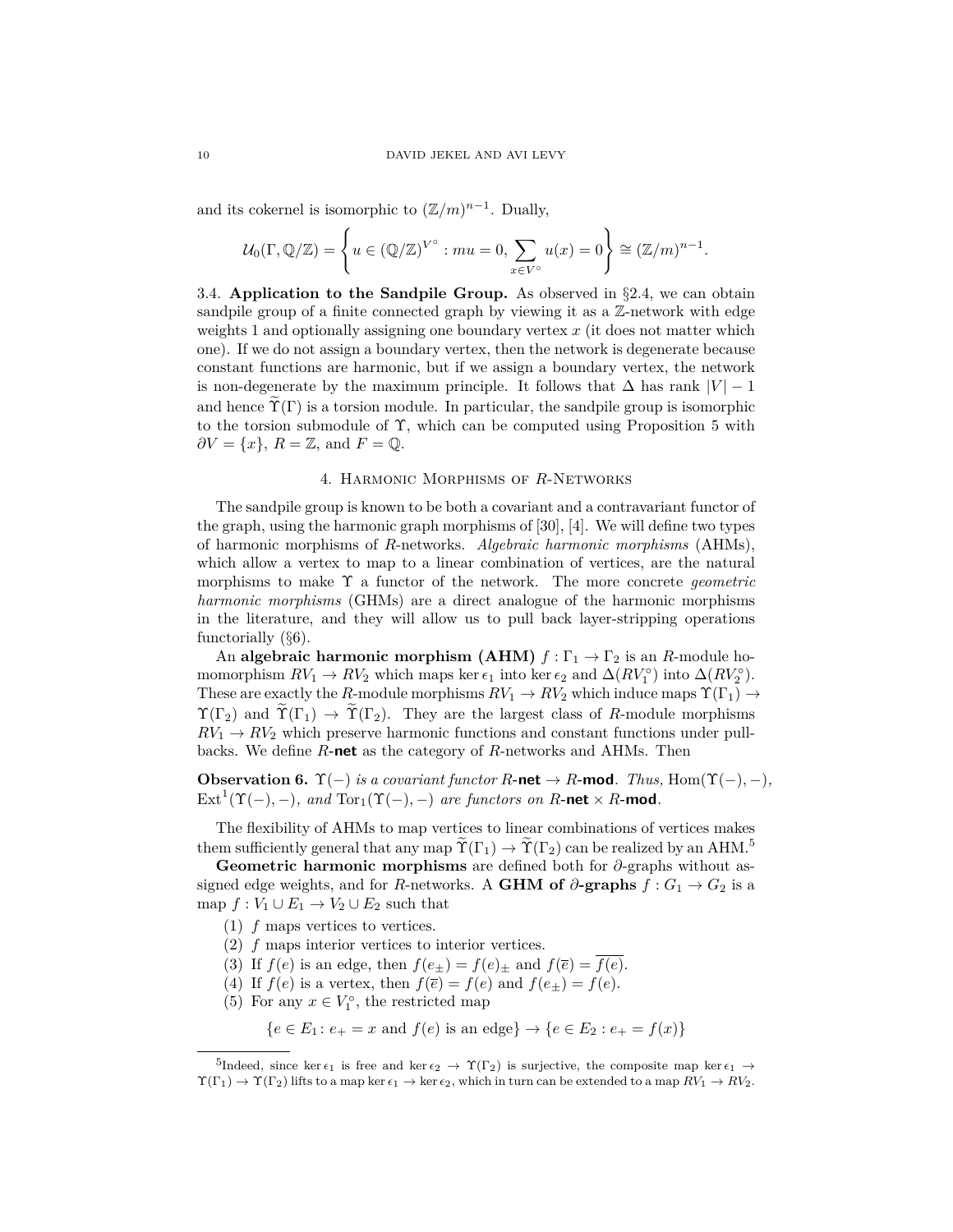and its cokernel is isomorphic to  $(\mathbb{Z}/m)^{n-1}$ . Dually,

$$
\mathcal{U}_0(\Gamma,\mathbb{Q}/\mathbb{Z}) = \left\{ u \in (\mathbb{Q}/\mathbb{Z})^{V^{\circ}} : mu = 0, \sum_{x \in V^{\circ}} u(x) = 0 \right\} \cong (\mathbb{Z}/m)^{n-1}.
$$

3.4. **Application to the Sandpile Group.** As observed in §2.4, we can obtain sandpile group of a finite connected graph by viewing it as a Z-network with edge weights 1 and optionally assigning one boundary vertex *x* (it does not matter which one). If we do not assign a boundary vertex, then the network is degenerate because constant functions are harmonic, but if we assign a boundary vertex, the network is non-degenerate by the maximum principle. It follows that  $\Delta$  has rank  $|V| - 1$ and hence  $\widetilde{\Upsilon}(\Gamma)$  is a torsion module. In particular, the sandpile group is isomorphic to the torsion submodule of  $\Upsilon$ , which can be computed using Proposition 5 with  $\partial V = \{x\}, R = \mathbb{Z}, \text{ and } F = \mathbb{Q}.$ 

## 4. Harmonic Morphisms of *R*-Networks

The sandpile group is known to be both a covariant and a contravariant functor of the graph, using the harmonic graph morphisms of [30], [4]. We will define two types of harmonic morphisms of *R*-networks. *Algebraic harmonic morphisms* (AHMs), which allow a vertex to map to a linear combination of vertices, are the natural morphisms to make Υ a functor of the network. The more concrete *geometric harmonic morphisms* (GHMs) are a direct analogue of the harmonic morphisms in the literature, and they will allow us to pull back layer-stripping operations functorially (§6).

An **algebraic harmonic morphism (AHM)**  $f : \Gamma_1 \to \Gamma_2$  is an *R*-module homomorphism  $RV_1 \to RV_2$  which maps ker  $\epsilon_1$  into ker  $\epsilon_2$  and  $\Delta(RV_1^{\circ})$  into  $\Delta(RV_2^{\circ})$ . These are exactly the *R*-module morphisms  $RV_1 \rightarrow RV_2$  which induce maps  $\Upsilon(\Gamma_1) \rightarrow$  $\Upsilon(\Gamma_2)$  and  $\widetilde{\Upsilon}(\Gamma_1) \to \widetilde{\Upsilon}(\Gamma_2)$ . They are the largest class of *R*-module morphisms  $RV_1 \rightarrow RV_2$  which preserve harmonic functions and constant functions under pullbacks. We define *R***-net** as the category of *R*-networks and AHMs. Then

**Observation 6.**  $\Upsilon(-)$  *is a covariant functor*  $R$ **-net**  $\rightarrow$   $R$ **-mod***. Thus,* Hom( $\Upsilon(-)$ *,*  $\rightarrow$ *),*  $\text{Ext}^{1}(\Upsilon(-), -)$ *, and*  $\text{Tor}_{1}(\Upsilon(-), -)$  *are functors on*  $R$ **-net**  $\times$   $R$ **-mod**.

The flexibility of AHMs to map vertices to linear combinations of vertices makes them sufficiently general that any map  $\Upsilon(\Gamma_1) \to \Upsilon(\Gamma_2)$  can be realized by an AHM.<sup>5</sup>

**Geometric harmonic morphisms** are defined both for *∂*-graphs without assigned edge weights, and for *R*-networks. A **GHM of**  $\partial$ -graphs  $f: G_1 \rightarrow G_2$  is a map  $f: V_1 \cup E_1 \to V_2 \cup E_2$  such that

- (1) *f* maps vertices to vertices.
- (2) *f* maps interior vertices to interior vertices.
- (3) If  $f(e)$  is an edge, then  $f(e_{\pm}) = f(e)_{\pm}$  and  $f(\overline{e}) = \overline{f(e)}$ .
- (4) If  $f(e)$  is a vertex, then  $f(\overline{e}) = f(e)$  and  $f(e_{\pm}) = f(e)$ .
- (5) For any  $x \in V_1^{\circ}$ , the restricted map

$$
{e \in E_1 : e_+ = x \text{ and } f(e) \text{ is an edge}} \rightarrow {e \in E_2 : e_+ = f(x)}
$$

<sup>&</sup>lt;sup>5</sup>Indeed, since ker  $\epsilon_1$  is free and ker  $\epsilon_2 \to \Upsilon(\Gamma_2)$  is surjective, the composite map ker  $\epsilon_1 \to$  $\Upsilon(\Gamma_1) \to \Upsilon(\Gamma_2)$  lifts to a map ker  $\epsilon_1 \to \ker \epsilon_2$ , which in turn can be extended to a map  $RV_1 \to RV_2$ .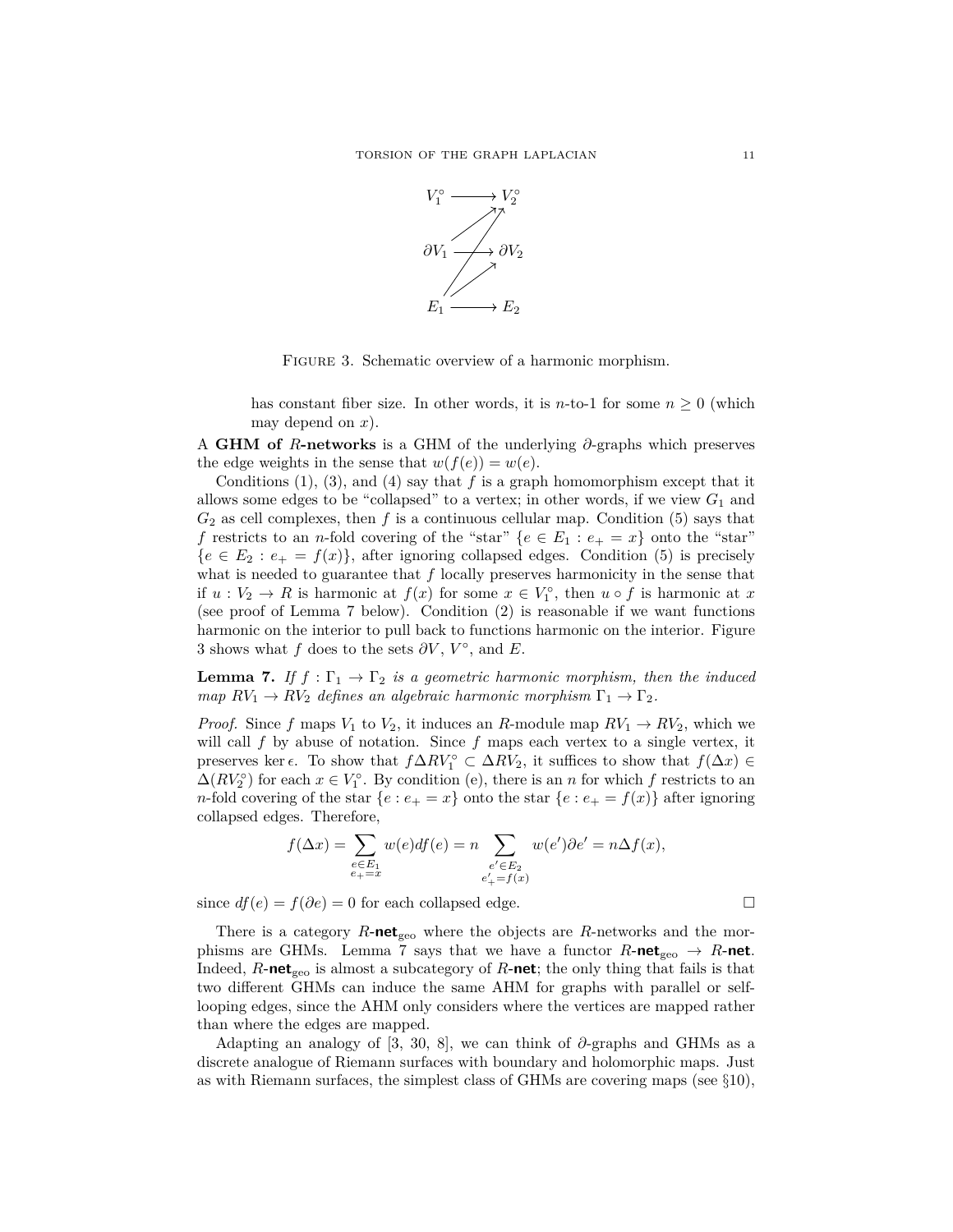

Figure 3. Schematic overview of a harmonic morphism.

has constant fiber size. In other words, it is *n*-to-1 for some  $n \geq 0$  (which may depend on *x*).

A **GHM of** *R***-networks** is a GHM of the underlying *∂*-graphs which preserves the edge weights in the sense that  $w(f(e)) = w(e)$ .

Conditions  $(1)$ ,  $(3)$ , and  $(4)$  say that *f* is a graph homomorphism except that it allows some edges to be "collapsed" to a vertex; in other words, if we view  $G_1$  and  $G_2$  as cell complexes, then  $f$  is a continuous cellular map. Condition (5) says that *f* restricts to an *n*-fold covering of the "star"  ${e \in E_1 : e_+ = x}$  onto the "star"  ${e \in E_2 : e_+ = f(x)}$ , after ignoring collapsed edges. Condition (5) is precisely what is needed to guarantee that *f* locally preserves harmonicity in the sense that if  $u: V_2 \to R$  is harmonic at  $f(x)$  for some  $x \in V_1^{\circ}$ , then  $u \circ f$  is harmonic at x (see proof of Lemma 7 below). Condition (2) is reasonable if we want functions harmonic on the interior to pull back to functions harmonic on the interior. Figure 3 shows what *f* does to the sets  $\partial V$ ,  $V^{\circ}$ , and *E*.

**Lemma 7.** *If*  $f : \Gamma_1 \to \Gamma_2$  *is a geometric harmonic morphism, then the induced map*  $RV_1 \rightarrow RV_2$  *defines an algebraic harmonic morphism*  $\Gamma_1 \rightarrow \Gamma_2$ *.* 

*Proof.* Since *f* maps  $V_1$  to  $V_2$ , it induces an *R*-module map  $RV_1 \rightarrow RV_2$ , which we will call *f* by abuse of notation. Since *f* maps each vertex to a single vertex, it preserves ker  $\epsilon$ . To show that  $f \Delta RV_1^{\circ} \subset \Delta RV_2$ , it suffices to show that  $f(\Delta x) \in$  $\Delta(RV_2^{\circ})$  for each  $x \in V_1^{\circ}$ . By condition (e), there is an *n* for which *f* restricts to an *n*-fold covering of the star  $\{e : e_+ = x\}$  onto the star  $\{e : e_+ = f(x)\}$  after ignoring collapsed edges. Therefore,

$$
f(\Delta x) = \sum_{\substack{e \in E_1 \\ e_+ = x}} w(e) df(e) = n \sum_{\substack{e' \in E_2 \\ e'_+ = f(x)}} w(e') \partial e' = n \Delta f(x),
$$

since  $df(e) = f(\partial e) = 0$  for each collapsed edge.

There is a category  $R$ **-net**<sub>geo</sub> where the objects are  $R$ -networks and the morphisms are GHMs. Lemma 7 says that we have a functor  $R$ **-net**<sub>geo</sub>  $\rightarrow$   $R$ **-net**. Indeed,  $R$ **-net**<sub>geo</sub> is almost a subcategory of  $R$ **-net**; the only thing that fails is that two different GHMs can induce the same AHM for graphs with parallel or selflooping edges, since the AHM only considers where the vertices are mapped rather than where the edges are mapped.

Adapting an analogy of [3, 30, 8], we can think of *∂*-graphs and GHMs as a discrete analogue of Riemann surfaces with boundary and holomorphic maps. Just as with Riemann surfaces, the simplest class of GHMs are covering maps (see  $\S 10$ ),

$$
\qquad \qquad \Box
$$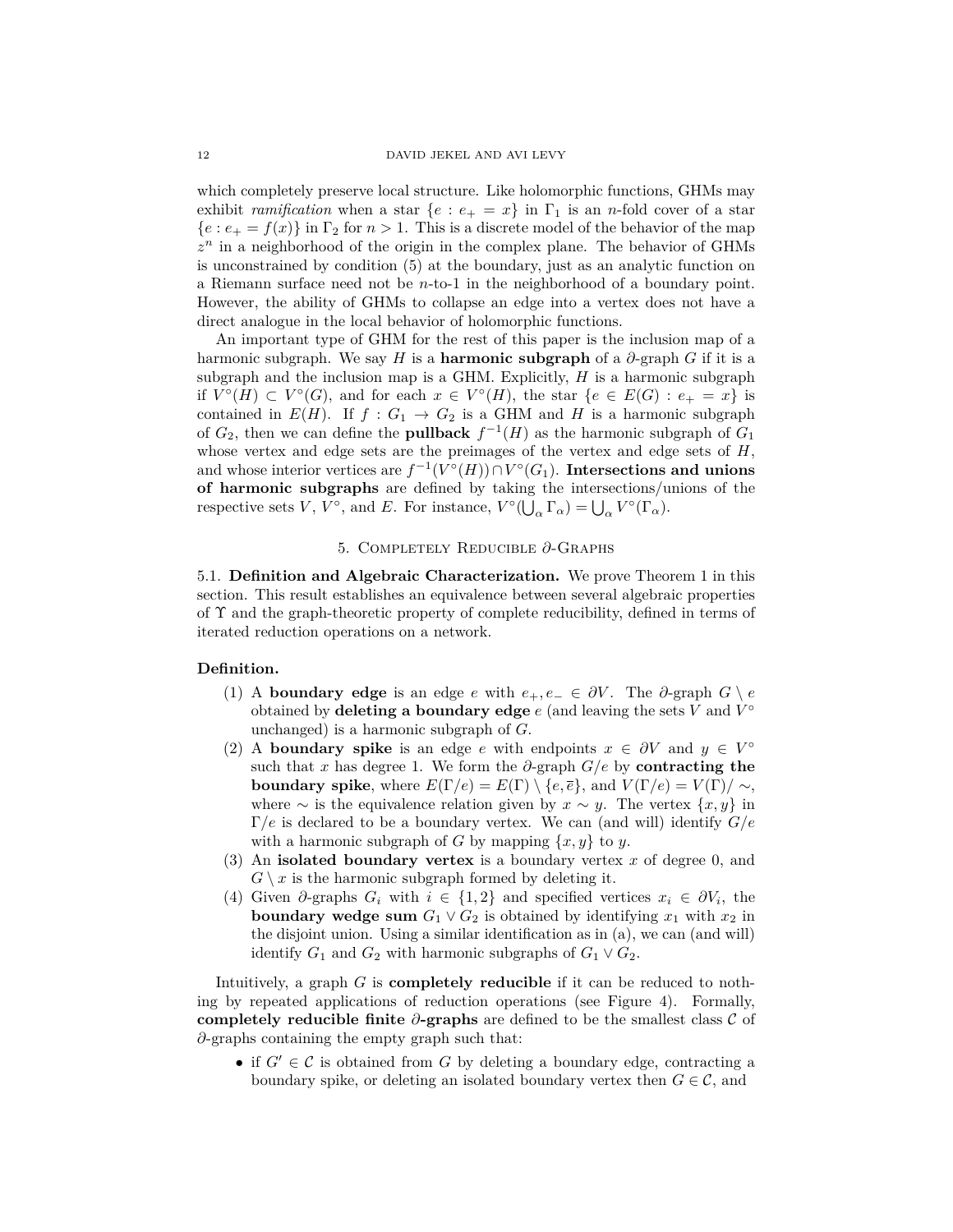which completely preserve local structure. Like holomorphic functions, GHMs may exhibit *ramification* when a star  $\{e : e_+ = x\}$  in  $\Gamma_1$  is an *n*-fold cover of a star  ${e : e_+ = f(x)}$  in  $\Gamma_2$  for  $n > 1$ . This is a discrete model of the behavior of the map  $z<sup>n</sup>$  in a neighborhood of the origin in the complex plane. The behavior of GHMs is unconstrained by condition (5) at the boundary, just as an analytic function on a Riemann surface need not be *n*-to-1 in the neighborhood of a boundary point. However, the ability of GHMs to collapse an edge into a vertex does not have a direct analogue in the local behavior of holomorphic functions.

An important type of GHM for the rest of this paper is the inclusion map of a harmonic subgraph. We say *H* is a **harmonic subgraph** of a  $\partial$ -graph *G* if it is a subgraph and the inclusion map is a GHM. Explicitly, *H* is a harmonic subgraph if  $V^{\circ}(H) \subset V^{\circ}(G)$ , and for each  $x \in V^{\circ}(H)$ , the star  $\{e \in E(G) : e_{+} = x\}$  is contained in  $E(H)$ . If  $f: G_1 \to G_2$  is a GHM and *H* is a harmonic subgraph of  $G_2$ , then we can define the **pullback**  $f^{-1}(H)$  as the harmonic subgraph of  $G_1$ whose vertex and edge sets are the preimages of the vertex and edge sets of *H*, and whose interior vertices are  $f^{-1}(V^{\circ}(H)) \cap V^{\circ}(G_1)$ . Intersections and unions **of harmonic subgraphs** are defined by taking the intersections/unions of the respective sets *V*,  $V^{\circ}$ , and *E*. For instance,  $V^{\circ}(\bigcup_{\alpha} \Gamma_{\alpha}) = \bigcup_{\alpha} V^{\circ}(\Gamma_{\alpha})$ .

# 5. Completely Reducible *∂*-Graphs

5.1. **Definition and Algebraic Characterization.** We prove Theorem 1 in this section. This result establishes an equivalence between several algebraic properties of Υ and the graph-theoretic property of complete reducibility, defined in terms of iterated reduction operations on a network.

## **Definition.**

- (1) A **boundary edge** is an edge *e* with  $e_+$ ,  $e_- \in \partial V$ . The  $\partial$ -graph  $G \setminus e$ obtained by **deleting a boundary edge** *e* (and leaving the sets *V* and *V* ◦ unchanged) is a harmonic subgraph of *G*.
- (2) A **boundary spike** is an edge *e* with endpoints  $x \in \partial V$  and  $y \in V^{\circ}$ such that *x* has degree 1. We form the  $\partial$ -graph  $G/e$  by **contracting the boundary spike**, where  $E(\Gamma/e) = E(\Gamma) \setminus \{e, \overline{e}\}\)$ , and  $V(\Gamma/e) = V(\Gamma)/\sim$ , where  $\sim$  is the equivalence relation given by  $x \sim y$ . The vertex  $\{x, y\}$  in Γ*/e* is declared to be a boundary vertex. We can (and will) identify *G/e* with a harmonic subgraph of *G* by mapping  $\{x, y\}$  to *y*.
- (3) An **isolated boundary vertex** is a boundary vertex *x* of degree 0, and  $G \setminus x$  is the harmonic subgraph formed by deleting it.
- (4) Given  $\partial$ -graphs  $G_i$  with  $i \in \{1,2\}$  and specified vertices  $x_i \in \partial V_i$ , the **boundary wedge sum**  $G_1 \vee G_2$  is obtained by identifying  $x_1$  with  $x_2$  in the disjoint union. Using a similar identification as in (a), we can (and will) identify  $G_1$  and  $G_2$  with harmonic subgraphs of  $G_1 \vee G_2$ .

Intuitively, a graph *G* is **completely reducible** if it can be reduced to nothing by repeated applications of reduction operations (see Figure 4). Formally, **completely reducible finite** *∂***-graphs** are defined to be the smallest class C of *∂*-graphs containing the empty graph such that:

• if  $G' \in \mathcal{C}$  is obtained from *G* by deleting a boundary edge, contracting a boundary spike, or deleting an isolated boundary vertex then  $G \in \mathcal{C}$ , and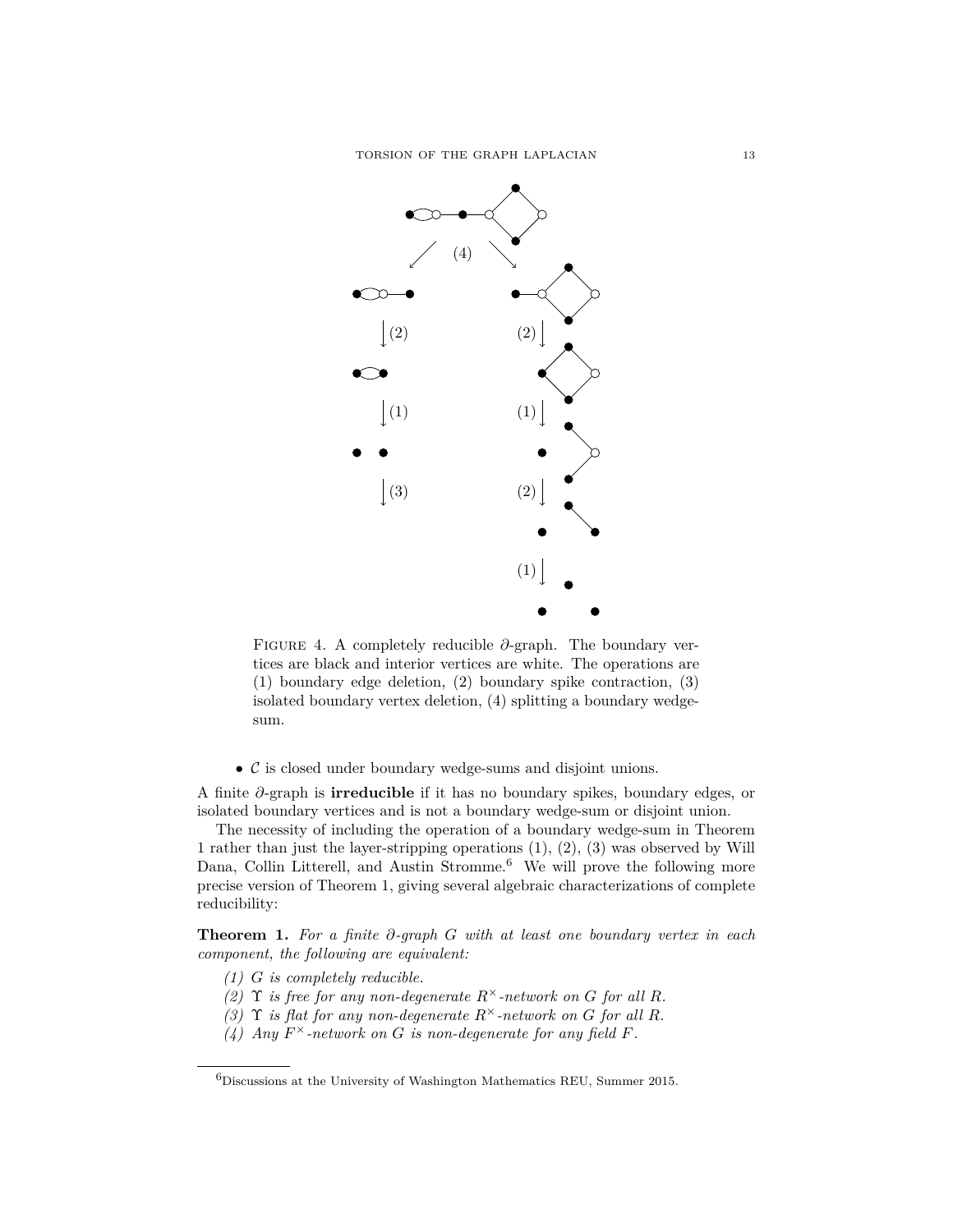

Figure 4. A completely reducible *∂*-graph. The boundary vertices are black and interior vertices are white. The operations are (1) boundary edge deletion, (2) boundary spike contraction, (3) isolated boundary vertex deletion, (4) splitting a boundary wedgesum.

 $\bullet$   $\mathcal C$  is closed under boundary wedge-sums and disjoint unions.

A finite *∂*-graph is **irreducible** if it has no boundary spikes, boundary edges, or isolated boundary vertices and is not a boundary wedge-sum or disjoint union.

The necessity of including the operation of a boundary wedge-sum in Theorem 1 rather than just the layer-stripping operations (1), (2), (3) was observed by Will Dana, Collin Litterell, and Austin Stromme.<sup>6</sup> We will prove the following more precise version of Theorem 1, giving several algebraic characterizations of complete reducibility:

**Theorem 1.** *For a finite ∂-graph G with at least one boundary vertex in each component, the following are equivalent:*

- *(1) G is completely reducible.*
- *(2)*  $\Upsilon$  *is free for any non-degenerate*  $R^{\times}$ *-network on G for all R.*
- *(3)* **Y** *is flat for any non-degenerate*  $R^{\times}$ *-network on G for all R.*
- *(4) Any*  $F^{\times}$ -network on *G is non-degenerate for any field F.*

 ${}^{6}$ Discussions at the University of Washington Mathematics REU, Summer 2015.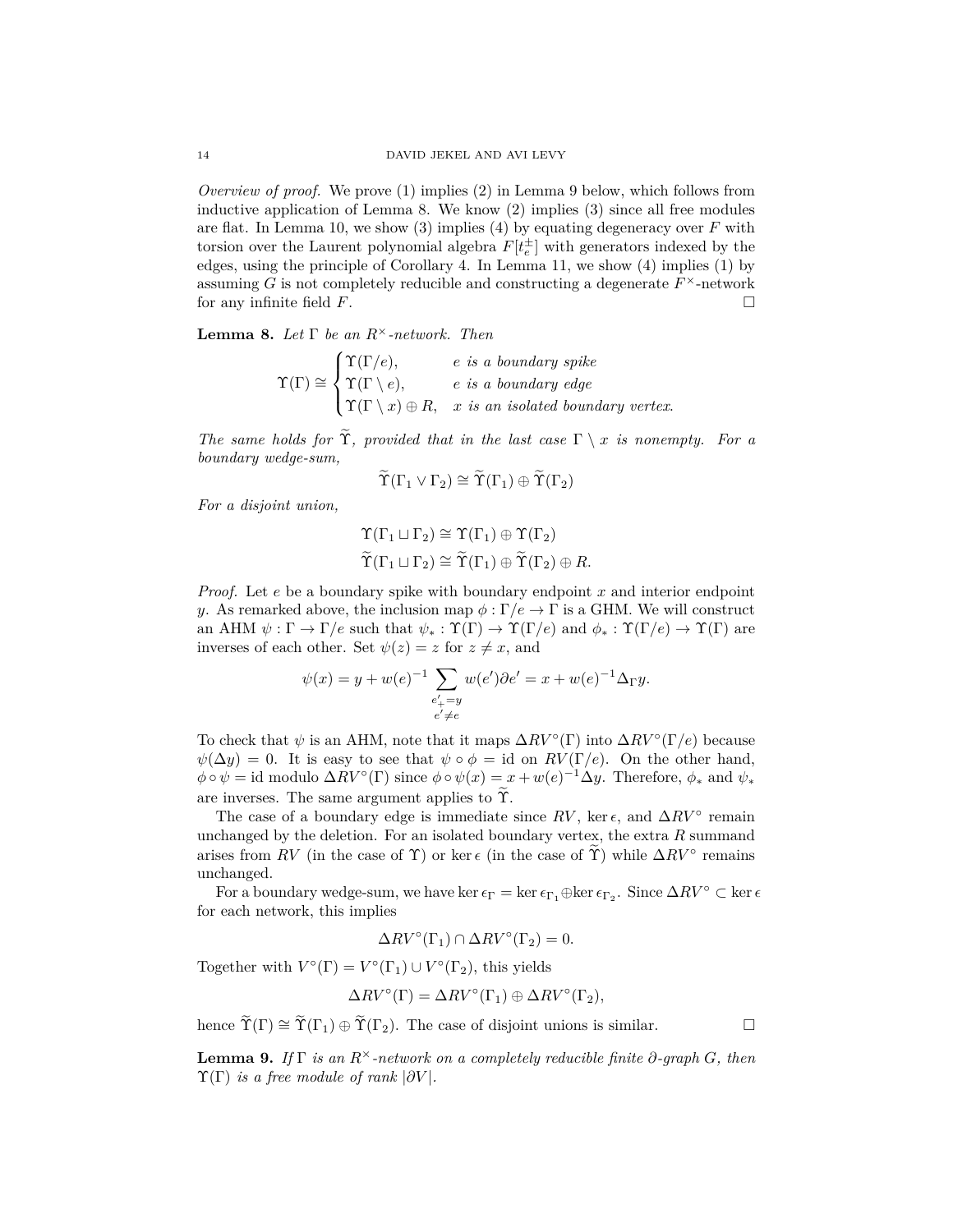*Overview of proof.* We prove (1) implies (2) in Lemma 9 below, which follows from inductive application of Lemma 8. We know (2) implies (3) since all free modules are flat. In Lemma 10, we show (3) implies (4) by equating degeneracy over *F* with torsion over the Laurent polynomial algebra  $F[t_e^{\pm}]$  with generators indexed by the edges, using the principle of Corollary 4. In Lemma 11, we show (4) implies (1) by assuming  $G$  is not completely reducible and constructing a degenerate  $F^{\times}$ -network for any infinite field  $F$ .

**Lemma 8.** *Let* Γ *be an R*×*-network. Then*

$$
\Upsilon(\Gamma) \cong \begin{cases} \Upsilon(\Gamma/e), & e \text{ is a boundary spike} \\ \Upsilon(\Gamma \setminus e), & e \text{ is a boundary edge} \\ \Upsilon(\Gamma \setminus x) \oplus R, & x \text{ is an isolated boundary vertex.} \end{cases}
$$

*The same holds for*  $\widetilde{\Upsilon}$ *, provided that in the last case*  $\Gamma \setminus x$  *is nonempty. For a boundary wedge-sum,*

$$
\widetilde{\Upsilon}(\Gamma_1 \vee \Gamma_2) \cong \widetilde{\Upsilon}(\Gamma_1) \oplus \widetilde{\Upsilon}(\Gamma_2)
$$

*For a disjoint union,*

$$
\begin{aligned}\n\Upsilon(\Gamma_1 \sqcup \Gamma_2) &\cong \Upsilon(\Gamma_1) \oplus \Upsilon(\Gamma_2) \\
\widetilde{\Upsilon}(\Gamma_1 \sqcup \Gamma_2) &\cong \widetilde{\Upsilon}(\Gamma_1) \oplus \widetilde{\Upsilon}(\Gamma_2) \oplus R.\n\end{aligned}
$$

*Proof.* Let *e* be a boundary spike with boundary endpoint *x* and interior endpoint *y*. As remarked above, the inclusion map  $\phi : \Gamma/e \to \Gamma$  is a GHM. We will construct an AHM  $\psi : \Gamma \to \Gamma/e$  such that  $\psi_* : \Upsilon(\Gamma) \to \Upsilon(\Gamma/e)$  and  $\phi_* : \Upsilon(\Gamma/e) \to \Upsilon(\Gamma)$  are inverses of each other. Set  $\psi(z) = z$  for  $z \neq x$ , and

$$
\psi(x) = y + w(e)^{-1} \sum_{\substack{e'_+ = y \\ e' \neq e}} w(e') \partial e' = x + w(e)^{-1} \Delta_{\Gamma} y.
$$

To check that  $\psi$  is an AHM, note that it maps  $\Delta RV^{\circ}(\Gamma)$  into  $\Delta RV^{\circ}(\Gamma/e)$  because  $\psi(\Delta y) = 0$ . It is easy to see that  $\psi \circ \phi = id$  on  $RV(\Gamma/e)$ . On the other hand,  $\phi \circ \psi = \text{id}$  modulo  $\Delta RV^{\circ}(\Gamma)$  since  $\phi \circ \psi(x) = x + w(e)^{-1} \Delta y$ . Therefore,  $\phi_*$  and  $\psi_*$ are inverses. The same argument applies to  $\widetilde{\Upsilon}$ .

The case of a boundary edge is immediate since  $RV$ , ker  $\epsilon$ , and  $\Delta RV$ <sup>°</sup> remain unchanged by the deletion. For an isolated boundary vertex, the extra *R* summand arises from *RV* (in the case of  $\Upsilon$ ) or ker  $\epsilon$  (in the case of  $\widetilde{\Upsilon}$ ) while  $\Delta RV$ <sup>°</sup> remains unchanged.

For a boundary wedge-sum, we have ker  $\epsilon_{\Gamma} = \ker \epsilon_{\Gamma_1} \oplus \ker \epsilon_{\Gamma_2}$ . Since  $\Delta RV^{\circ} \subset \ker \epsilon$ for each network, this implies

$$
\Delta RV^{\circ}(\Gamma_1) \cap \Delta RV^{\circ}(\Gamma_2) = 0.
$$

Together with  $V^{\circ}(\Gamma) = V^{\circ}(\Gamma_1) \cup V^{\circ}(\Gamma_2)$ , this yields

$$
\Delta RV^{\circ}(\Gamma) = \Delta RV^{\circ}(\Gamma_1) \oplus \Delta RV^{\circ}(\Gamma_2),
$$

hence  $\widetilde{\Upsilon}(\Gamma) \cong \widetilde{\Upsilon}(\Gamma_1) \oplus \widetilde{\Upsilon}(\Gamma_2)$ . The case of disjoint unions is similar.

**Lemma 9.** *If* Γ *is an R*<sup>×</sup>*-network on a completely reducible finite ∂-graph G, then*  $\Upsilon(\Gamma)$  *is a free module of rank*  $|\partial V|$ *.*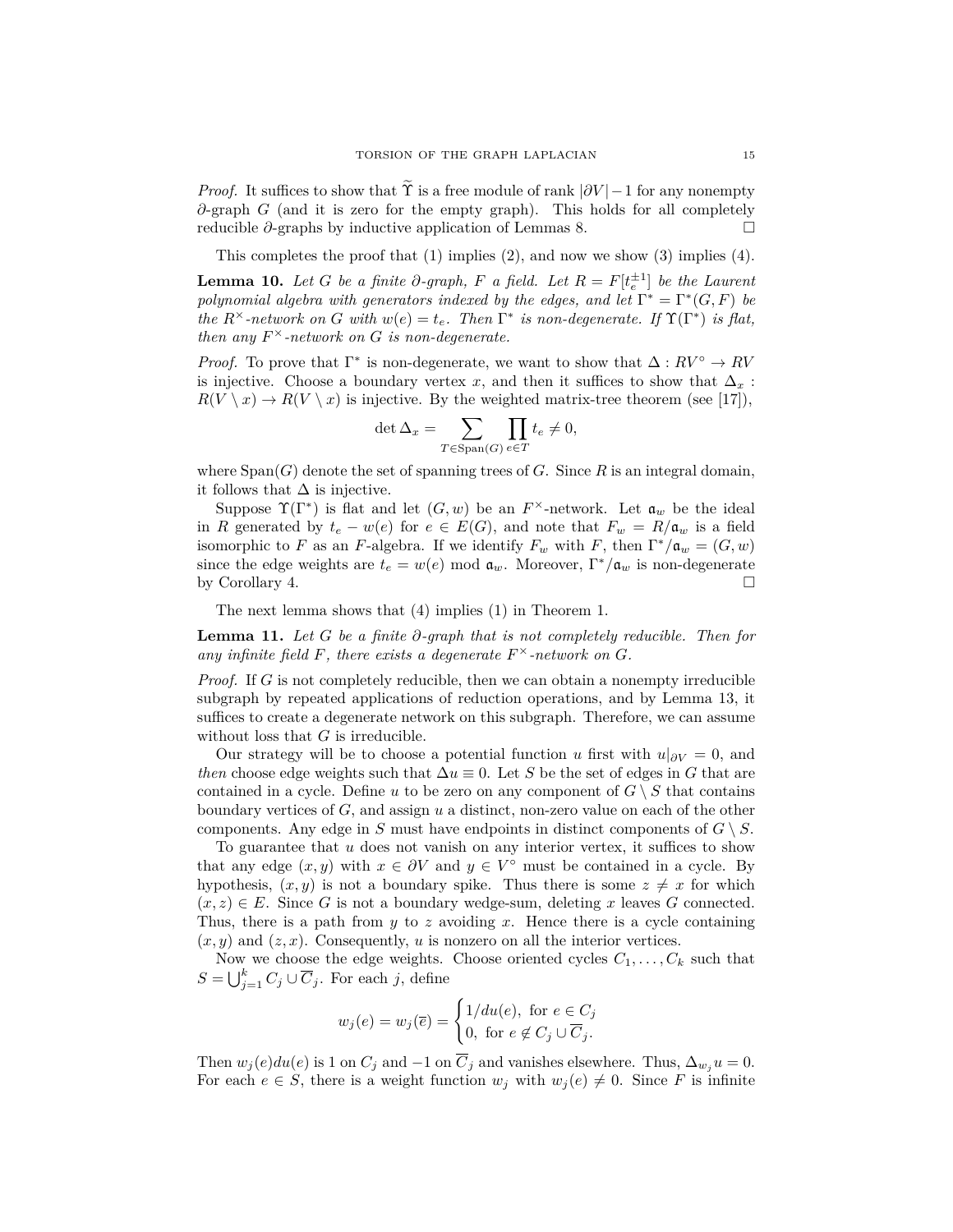*Proof.* It suffices to show that  $\hat{\Upsilon}$  is a free module of rank  $|\partial V| - 1$  for any nonempty *∂*-graph *G* (and it is zero for the empty graph). This holds for all completely reducible *∂*-graphs by inductive application of Lemmas 8.

This completes the proof that (1) implies (2), and now we show (3) implies (4).

**Lemma 10.** *Let G be a finite*  $\partial$ *-graph,*  $F$  *a field. Let*  $R = F[t_e^{\pm 1}]$  *be the Laurent polynomial algebra with generators indexed by the edges, and let*  $\Gamma^* = \Gamma^*(G, F)$  *be the*  $R^{\times}$ -network on *G* with  $w(e) = t_e$ . Then  $\Gamma^*$  is non-degenerate. If  $\Upsilon(\Gamma^*)$  is flat, *then any*  $F^{\times}$ -network on *G is non-degenerate.* 

*Proof.* To prove that  $\Gamma^*$  is non-degenerate, we want to show that  $\Delta: RV^{\circ} \to RV$ is injective. Choose a boundary vertex *x*, and then it suffices to show that  $\Delta_x$ :  $R(V \setminus x) \to R(V \setminus x)$  is injective. By the weighted matrix-tree theorem (see [17]),

$$
\det \Delta_x = \sum_{T \in \text{Span}(G)} \prod_{e \in T} t_e \neq 0,
$$

where  $Span(G)$  denote the set of spanning trees of *G*. Since *R* is an integral domain, it follows that  $\Delta$  is injective.

Suppose  $\Upsilon(\Gamma^*)$  is flat and let  $(G, w)$  be an  $F^{\times}$ -network. Let  $\mathfrak{a}_w$  be the ideal in *R* generated by  $t_e - w(e)$  for  $e \in E(G)$ , and note that  $F_w = R/\mathfrak{a}_w$  is a field isomorphic to *F* as an *F*-algebra. If we identify  $F_w$  with *F*, then  $\Gamma^*/\mathfrak{a}_w = (G, w)$ since the edge weights are  $t_e = w(e) \mod \mathfrak{a}_w$ . Moreover,  $\Gamma^*/\mathfrak{a}_w$  is non-degenerate by Corollary 4.

The next lemma shows that (4) implies (1) in Theorem 1.

**Lemma 11.** *Let G be a finite ∂-graph that is not completely reducible. Then for* any infinite field  $F$ , there exists a degenerate  $F^{\times}$ -network on  $G$ .

*Proof.* If G is not completely reducible, then we can obtain a nonempty irreducible subgraph by repeated applications of reduction operations, and by Lemma 13, it suffices to create a degenerate network on this subgraph. Therefore, we can assume without loss that *G* is irreducible.

Our strategy will be to choose a potential function *u* first with  $u|_{\partial V} = 0$ , and *then* choose edge weights such that  $\Delta u \equiv 0$ . Let *S* be the set of edges in *G* that are contained in a cycle. Define *u* to be zero on any component of  $G \setminus S$  that contains boundary vertices of *G*, and assign *u* a distinct, non-zero value on each of the other components. Any edge in *S* must have endpoints in distinct components of  $G \setminus S$ .

To guarantee that *u* does not vanish on any interior vertex, it suffices to show that any edge  $(x, y)$  with  $x \in \partial V$  and  $y \in V^{\circ}$  must be contained in a cycle. By hypothesis,  $(x, y)$  is not a boundary spike. Thus there is some  $z \neq x$  for which  $(x, z) \in E$ . Since G is not a boundary wedge-sum, deleting x leaves G connected. Thus, there is a path from *y* to *z* avoiding *x*. Hence there is a cycle containing  $(x, y)$  and  $(z, x)$ . Consequently, *u* is nonzero on all the interior vertices.

Now we choose the edge weights. Choose oriented cycles  $C_1, \ldots, C_k$  such that  $S = \bigcup_{j=1}^{k} C_j \cup \overline{C}_j$ . For each *j*, define

$$
w_j(e) = w_j(\overline{e}) = \begin{cases} 1/du(e), \text{ for } e \in C_j \\ 0, \text{ for } e \notin C_j \cup \overline{C}_j. \end{cases}
$$

Then  $w_j(e)du(e)$  is 1 on  $C_j$  and  $-1$  on  $\overline{C}_j$  and vanishes elsewhere. Thus,  $\Delta_{w_j}u = 0$ . For each  $e \in S$ , there is a weight function  $w_j$  with  $w_j(e) \neq 0$ . Since F is infinite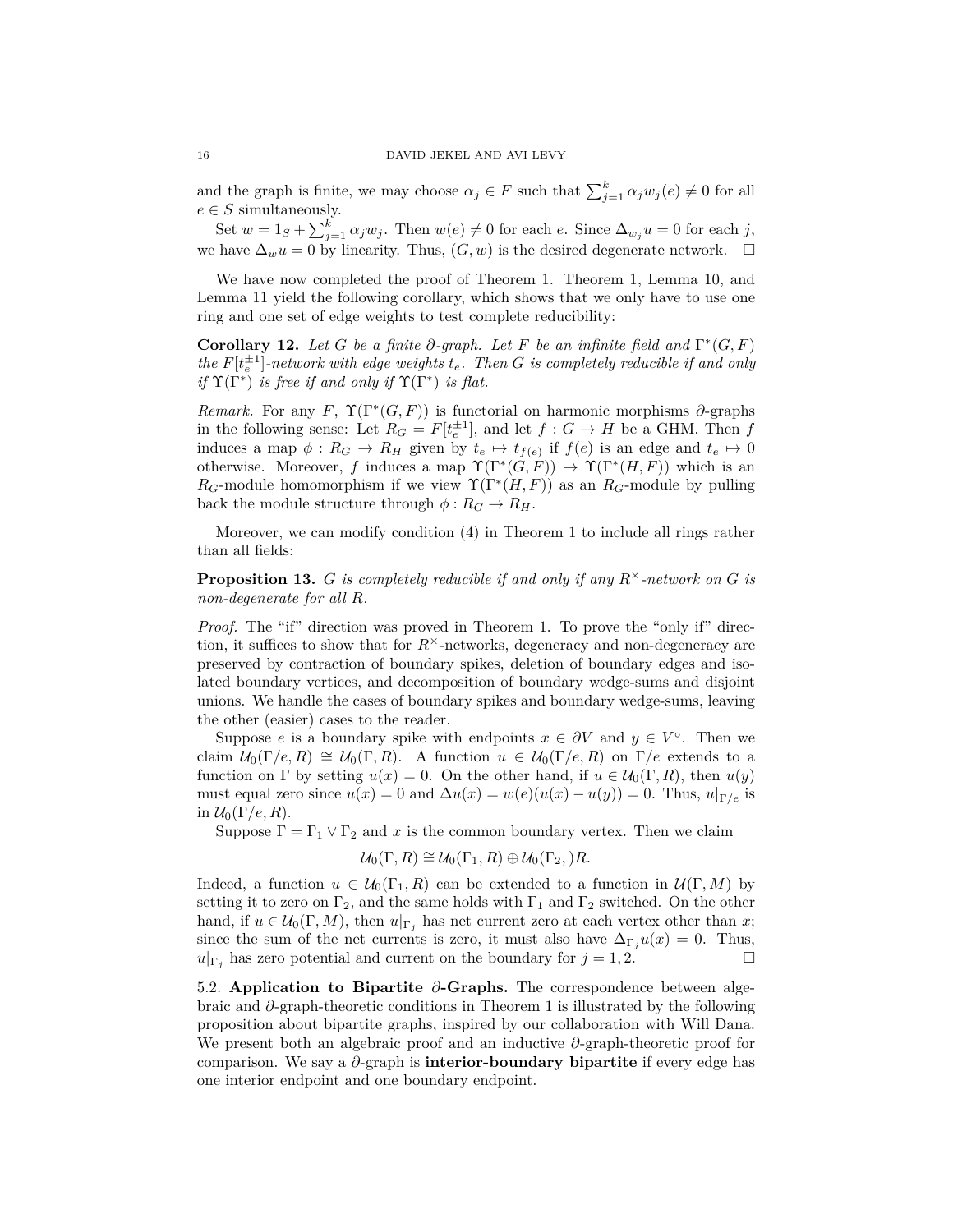and the graph is finite, we may choose  $\alpha_j \in F$  such that  $\sum_{j=1}^k \alpha_j w_j(e) \neq 0$  for all  $e \in S$  simultaneously.

Set  $w = 1_S + \sum_{j=1}^k \alpha_j w_j$ . Then  $w(e) \neq 0$  for each *e*. Since  $\Delta_{w_j} u = 0$  for each *j*, we have  $\Delta_w u = 0$  by linearity. Thus,  $(G, w)$  is the desired degenerate network.  $□$ 

We have now completed the proof of Theorem 1. Theorem 1, Lemma 10, and Lemma 11 yield the following corollary, which shows that we only have to use one ring and one set of edge weights to test complete reducibility:

**Corollary 12.** *Let G be a finite*  $\partial$ *-graph. Let F be an infinite field and*  $\Gamma^*(G, F)$  $the$   $F[t_e^{\pm 1}]$ -network with edge weights  $t_e$ . Then *G* is completely reducible if and only *if*  $\Upsilon(\Gamma^*)$  *is free if and only if*  $\Upsilon(\Gamma^*)$  *is flat.* 

*Remark.* For any *F*,  $\Upsilon(\Gamma^*(G, F))$  is functorial on harmonic morphisms  $\partial$ -graphs in the following sense: Let  $R_G = F[t_e^{\pm 1}]$ , and let  $f: G \to H$  be a GHM. Then  $f$ induces a map  $\phi: R_G \to R_H$  given by  $t_e \mapsto t_{f(e)}$  if  $f(e)$  is an edge and  $t_e \mapsto 0$ otherwise. Moreover, *f* induces a map  $\Upsilon(\Gamma^*(G,F)) \to \Upsilon(\Gamma^*(H,F))$  which is an  $R_G$ -module homomorphism if we view  $\Upsilon(\Gamma^*(H, F))$  as an  $R_G$ -module by pulling back the module structure through  $\phi: R_G \to R_H$ .

Moreover, we can modify condition (4) in Theorem 1 to include all rings rather than all fields:

**Proposition 13.** *G is completely reducible if and only if any*  $R^{\times}$ -network on *G is non-degenerate for all R.*

*Proof.* The "if" direction was proved in Theorem 1. To prove the "only if" direction, it suffices to show that for  $R^{\times}$ -networks, degeneracy and non-degeneracy are preserved by contraction of boundary spikes, deletion of boundary edges and isolated boundary vertices, and decomposition of boundary wedge-sums and disjoint unions. We handle the cases of boundary spikes and boundary wedge-sums, leaving the other (easier) cases to the reader.

Suppose *e* is a boundary spike with endpoints  $x \in \partial V$  and  $y \in V^{\circ}$ . Then we claim  $\mathcal{U}_0(\Gamma/e, R) \cong \mathcal{U}_0(\Gamma, R)$ . A function  $u \in \mathcal{U}_0(\Gamma/e, R)$  on  $\Gamma/e$  extends to a function on  $\Gamma$  by setting  $u(x) = 0$ . On the other hand, if  $u \in \mathcal{U}_0(\Gamma, R)$ , then  $u(y)$ must equal zero since  $u(x) = 0$  and  $\Delta u(x) = w(e)(u(x) - u(y)) = 0$ . Thus,  $u|_{\Gamma/e}$  is in  $\mathcal{U}_0(\Gamma/e, R)$ .

Suppose  $\Gamma = \Gamma_1 \vee \Gamma_2$  and *x* is the common boundary vertex. Then we claim

$$
\mathcal{U}_0(\Gamma,R) \cong \mathcal{U}_0(\Gamma_1,R) \oplus \mathcal{U}_0(\Gamma_2, )R.
$$

Indeed, a function  $u \in \mathcal{U}_0(\Gamma_1, R)$  can be extended to a function in  $\mathcal{U}(\Gamma, M)$  by setting it to zero on  $\Gamma_2$ , and the same holds with  $\Gamma_1$  and  $\Gamma_2$  switched. On the other hand, if  $u \in \mathcal{U}_0(\Gamma, M)$ , then  $u|_{\Gamma_i}$  has net current zero at each vertex other than *x*; since the sum of the net currents is zero, it must also have  $\Delta_{\Gamma_i} u(x) = 0$ . Thus,  $u|_{\Gamma_i}$  has zero potential and current on the boundary for  $j = 1, 2$ .

5.2. **Application to Bipartite** *∂***-Graphs.** The correspondence between algebraic and *∂*-graph-theoretic conditions in Theorem 1 is illustrated by the following proposition about bipartite graphs, inspired by our collaboration with Will Dana. We present both an algebraic proof and an inductive *∂*-graph-theoretic proof for comparison. We say a *∂*-graph is **interior-boundary bipartite** if every edge has one interior endpoint and one boundary endpoint.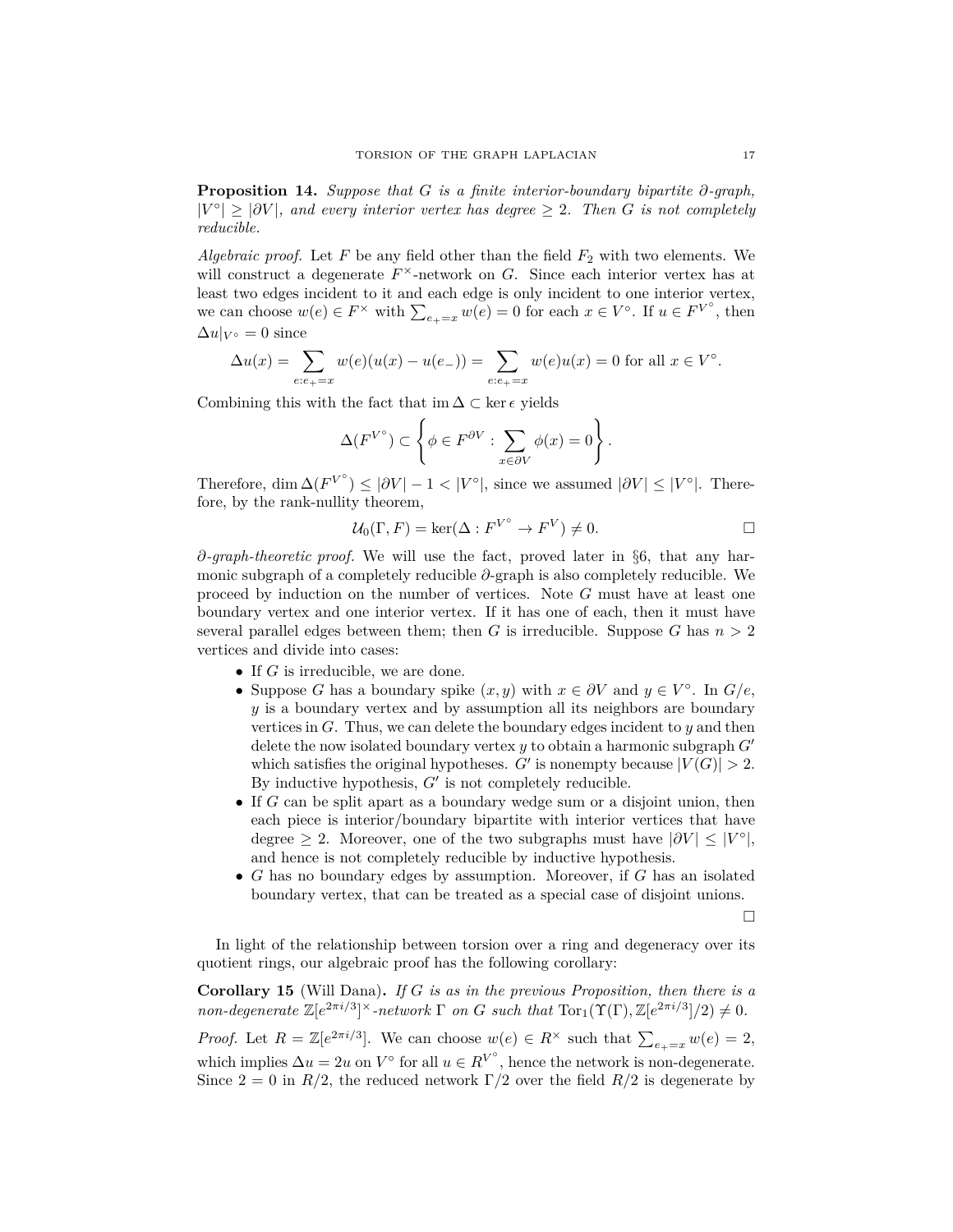**Proposition 14.** *Suppose that G is a finite interior-boundary bipartite ∂-graph,*  $|V^{\circ}| \geq |\partial V|$ , and every interior vertex has degree  $\geq 2$ . Then *G* is not completely *reducible.*

*Algebraic proof.* Let  $F$  be any field other than the field  $F_2$  with two elements. We will construct a degenerate  $F^{\times}$ -network on *G*. Since each interior vertex has at least two edges incident to it and each edge is only incident to one interior vertex, we can choose  $w(e) \in F^\times$  with  $\sum_{e_+ = x} w(e) = 0$  for each  $x \in V^\circ$ . If  $u \in F^{V^\circ}$ , then  $\Delta u|_{V^{\circ}} = 0$  since

$$
\Delta u(x) = \sum_{e:e_+ = x} w(e)(u(x) - u(e_-)) = \sum_{e:e_+ = x} w(e)u(x) = 0 \text{ for all } x \in V^{\circ}.
$$

Combining this with the fact that im  $\Delta \subset \ker \epsilon$  yields

$$
\Delta(F^{V^{\circ}}) \subset \left\{ \phi \in F^{\partial V} : \sum_{x \in \partial V} \phi(x) = 0 \right\}.
$$

Therefore, dim  $\Delta(F^{V^{\circ}}) \leq |\partial V| - 1 < |V^{\circ}|$ , since we assumed  $|\partial V| \leq |V^{\circ}|$ . Therefore, by the rank-nullity theorem,

$$
\mathcal{U}_0(\Gamma, F) = \ker(\Delta : F^{V^{\circ}} \to F^V) \neq 0.
$$

*∂-graph-theoretic proof.* We will use the fact, proved later in §6, that any harmonic subgraph of a completely reducible *∂*-graph is also completely reducible. We proceed by induction on the number of vertices. Note *G* must have at least one boundary vertex and one interior vertex. If it has one of each, then it must have several parallel edges between them; then *G* is irreducible. Suppose *G* has  $n > 2$ vertices and divide into cases:

- If *G* is irreducible, we are done.
- Suppose *G* has a boundary spike  $(x, y)$  with  $x \in \partial V$  and  $y \in V^{\circ}$ . In  $G/e$ , *y* is a boundary vertex and by assumption all its neighbors are boundary vertices in *G*. Thus, we can delete the boundary edges incident to *y* and then delete the now isolated boundary vertex  $y$  to obtain a harmonic subgraph  $G'$ which satisfies the original hypotheses. *G*<sup> $\prime$ </sup> is nonempty because  $|V(G)| > 2$ . By inductive hypothesis,  $G'$  is not completely reducible.
- If *G* can be split apart as a boundary wedge sum or a disjoint union, then each piece is interior/boundary bipartite with interior vertices that have degree  $\geq 2$ . Moreover, one of the two subgraphs must have  $|\partial V| \leq |V^{\circ}|$ , and hence is not completely reducible by inductive hypothesis.
- *G* has no boundary edges by assumption. Moreover, if *G* has an isolated boundary vertex, that can be treated as a special case of disjoint unions.

 $\Box$ 

In light of the relationship between torsion over a ring and degeneracy over its quotient rings, our algebraic proof has the following corollary:

**Corollary 15** (Will Dana)**.** *If G is as in the previous Proposition, then there is a non-degenerate*  $\mathbb{Z}[e^{2\pi i/3}]^{\times}$ *-network*  $\Gamma$  *on G such that*  $\text{Tor}_1(\Upsilon(\Gamma), \mathbb{Z}[e^{2\pi i/3}]/2) \neq 0$ *.* 

*Proof.* Let  $R = \mathbb{Z}[e^{2\pi i/3}]$ . We can choose  $w(e) \in R^{\times}$  such that  $\sum_{e_{+}=x} w(e) = 2$ , which implies  $\Delta u = 2u$  on  $V^{\circ}$  for all  $u \in R^{V^{\circ}}$ , hence the network is non-degenerate. Since  $2 = 0$  in  $R/2$ , the reduced network  $\Gamma/2$  over the field  $R/2$  is degenerate by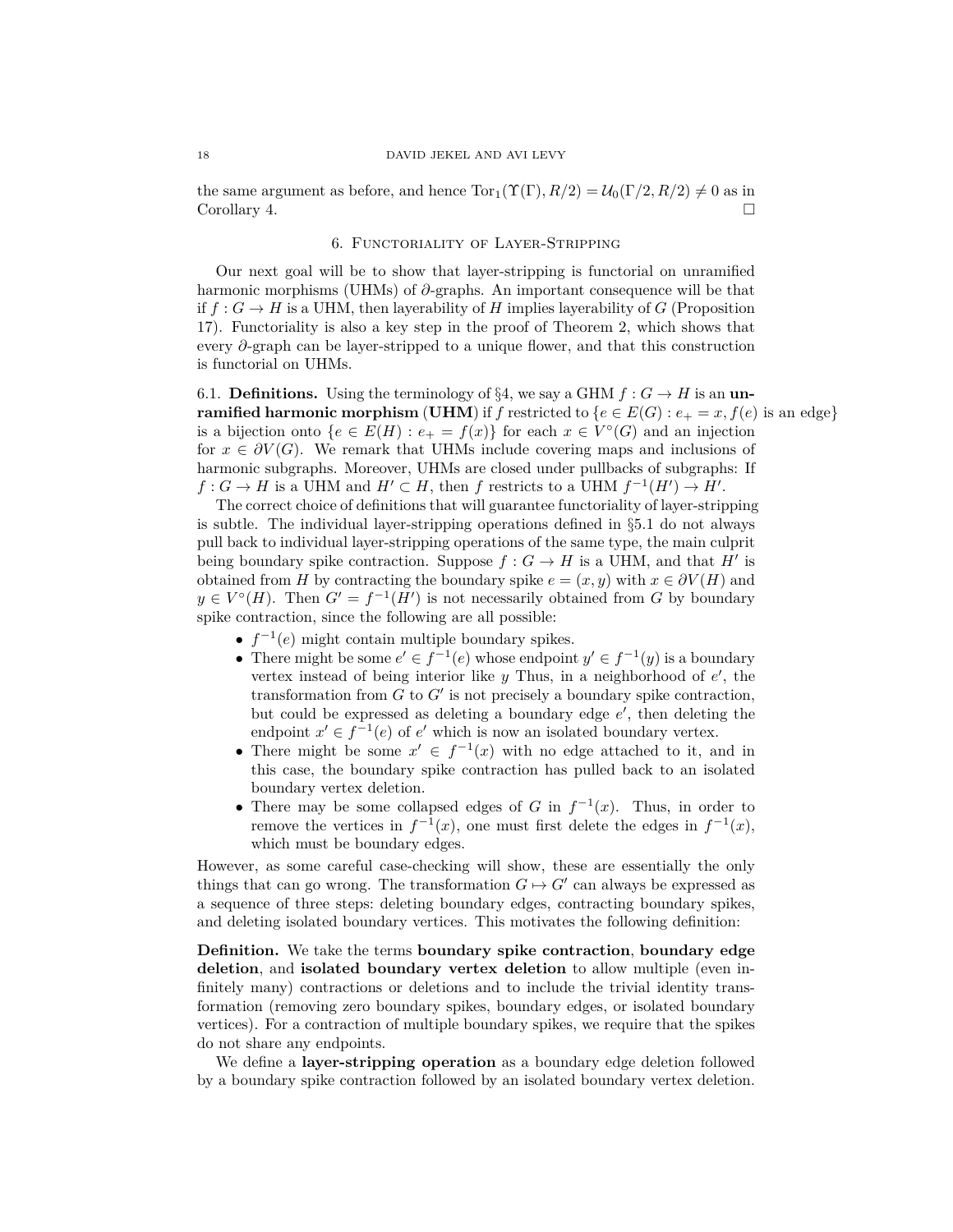the same argument as before, and hence  $\text{Tor}_1(\Upsilon(\Gamma), R/2) = \mathcal{U}_0(\Gamma/2, R/2) \neq 0$  as in Corollary 4.

## 6. Functoriality of Layer-Stripping

Our next goal will be to show that layer-stripping is functorial on unramified harmonic morphisms (UHMs) of *∂*-graphs. An important consequence will be that if  $f: G \to H$  is a UHM, then layerability of *H* implies layerability of *G* (Proposition 17). Functoriality is also a key step in the proof of Theorem 2, which shows that every *∂*-graph can be layer-stripped to a unique flower, and that this construction is functorial on UHMs.

6.1. **Definitions.** Using the terminology of §4, we say a GHM  $f : G \to H$  is an un**ramified harmonic morphism** (**UHM**) if f restricted to  $\{e \in E(G) : e_+ = x, f(e) \text{ is an edge}\}\$ is a bijection onto  $\{e \in E(H) : e_+ = f(x)\}\$  for each  $x \in V^{\circ}(G)$  and an injection for  $x \in \partial V(G)$ . We remark that UHMs include covering maps and inclusions of harmonic subgraphs. Moreover, UHMs are closed under pullbacks of subgraphs: If  $f: G \to H$  is a UHM and  $H' \subset H$ , then  $f$  restricts to a UHM  $f^{-1}(H') \to H'$ .

The correct choice of definitions that will guarantee functoriality of layer-stripping is subtle. The individual layer-stripping operations defined in §5.1 do not always pull back to individual layer-stripping operations of the same type, the main culprit being boundary spike contraction. Suppose  $f : G \to H$  is a UHM, and that  $H'$  is obtained from *H* by contracting the boundary spike  $e = (x, y)$  with  $x \in \partial V(H)$  and  $y \in V^{\circ}(H)$ . Then  $G' = f^{-1}(H')$  is not necessarily obtained from *G* by boundary spike contraction, since the following are all possible:

- $f^{-1}(e)$  might contain multiple boundary spikes.
- There might be some  $e' \in f^{-1}(e)$  whose endpoint  $y' \in f^{-1}(y)$  is a boundary vertex instead of being interior like  $y$  Thus, in a neighborhood of  $e'$ , the transformation from  $G$  to  $G'$  is not precisely a boundary spike contraction, but could be expressed as deleting a boundary edge  $e'$ , then deleting the endpoint  $x' \in f^{-1}(e)$  of  $e'$  which is now an isolated boundary vertex.
- There might be some  $x' \in f^{-1}(x)$  with no edge attached to it, and in this case, the boundary spike contraction has pulled back to an isolated boundary vertex deletion.
- There may be some collapsed edges of *G* in  $f^{-1}(x)$ . Thus, in order to remove the vertices in  $f^{-1}(x)$ , one must first delete the edges in  $f^{-1}(x)$ , which must be boundary edges.

However, as some careful case-checking will show, these are essentially the only things that can go wrong. The transformation  $G \mapsto G'$  can always be expressed as a sequence of three steps: deleting boundary edges, contracting boundary spikes, and deleting isolated boundary vertices. This motivates the following definition:

**Definition.** We take the terms **boundary spike contraction**, **boundary edge deletion**, and **isolated boundary vertex deletion** to allow multiple (even infinitely many) contractions or deletions and to include the trivial identity transformation (removing zero boundary spikes, boundary edges, or isolated boundary vertices). For a contraction of multiple boundary spikes, we require that the spikes do not share any endpoints.

We define a **layer-stripping operation** as a boundary edge deletion followed by a boundary spike contraction followed by an isolated boundary vertex deletion.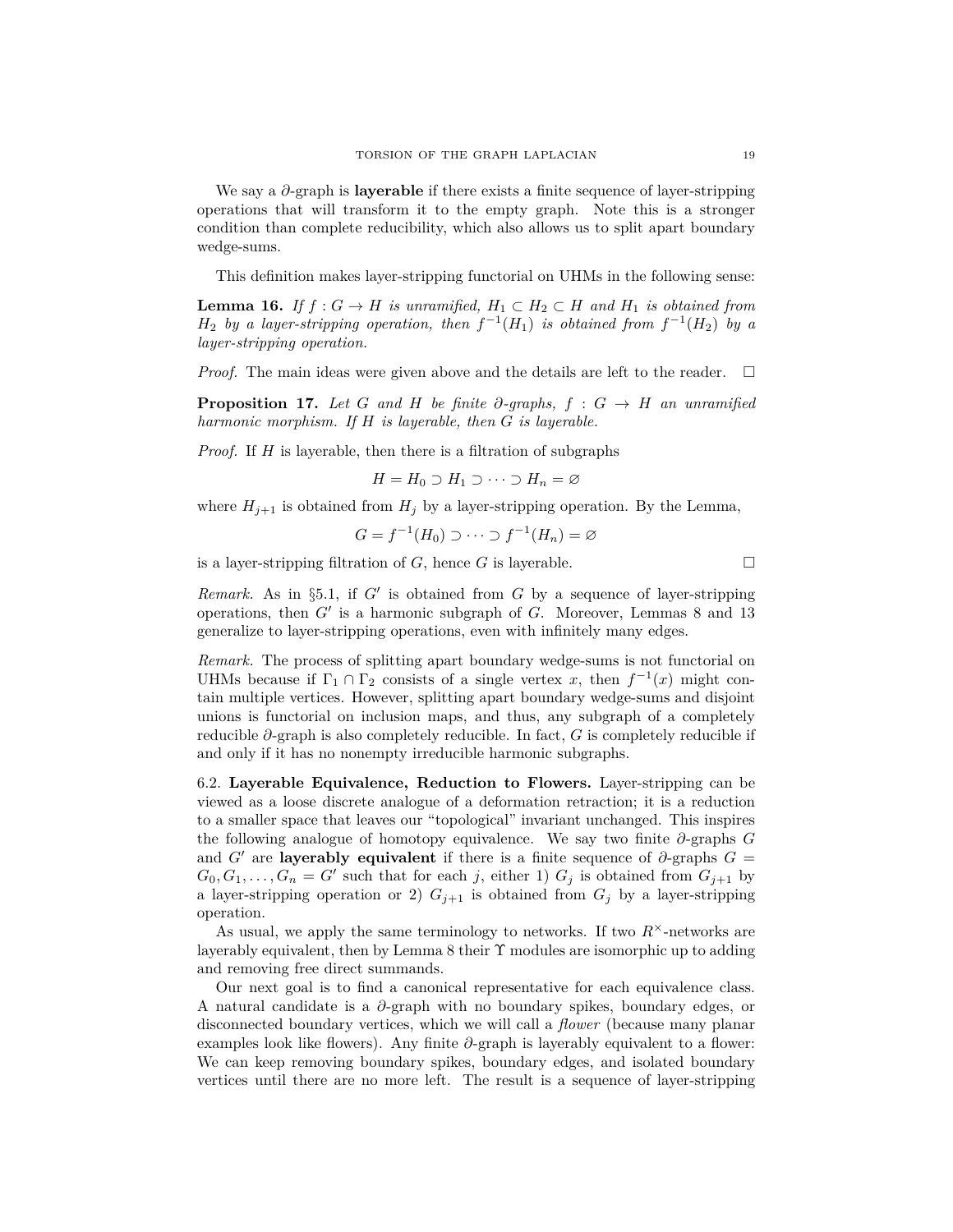We say a *∂*-graph is **layerable** if there exists a finite sequence of layer-stripping operations that will transform it to the empty graph. Note this is a stronger condition than complete reducibility, which also allows us to split apart boundary wedge-sums.

This definition makes layer-stripping functorial on UHMs in the following sense:

**Lemma 16.** *If*  $f: G \to H$  *is unramified,*  $H_1 \subset H_2 \subset H$  *and*  $H_1$  *is obtained from*  $H_2$  *by a layer-stripping operation, then*  $f^{-1}(H_1)$  *is obtained from*  $f^{-1}(H_2)$  *by a layer-stripping operation.*

*Proof.* The main ideas were given above and the details are left to the reader.  $\square$ 

**Proposition 17.** Let *G* and *H* be finite  $\partial$ -graphs,  $f : G \rightarrow H$  an unramified *harmonic morphism. If H is layerable, then G is layerable.*

*Proof.* If *H* is layerable, then there is a filtration of subgraphs

$$
H = H_0 \supset H_1 \supset \cdots \supset H_n = \varnothing
$$

where  $H_{j+1}$  is obtained from  $H_j$  by a layer-stripping operation. By the Lemma,

$$
G = f^{-1}(H_0) \supset \cdots \supset f^{-1}(H_n) = \varnothing
$$

is a layer-stripping filtration of  $G$ , hence  $G$  is layerable.

*Remark.* As in  $\S5.1$ , if *G'* is obtained from *G* by a sequence of layer-stripping operations, then  $G'$  is a harmonic subgraph of  $G$ . Moreover, Lemmas 8 and 13 generalize to layer-stripping operations, even with infinitely many edges.

*Remark.* The process of splitting apart boundary wedge-sums is not functorial on UHMs because if  $\Gamma_1 \cap \Gamma_2$  consists of a single vertex *x*, then  $f^{-1}(x)$  might contain multiple vertices. However, splitting apart boundary wedge-sums and disjoint unions is functorial on inclusion maps, and thus, any subgraph of a completely reducible *∂*-graph is also completely reducible. In fact, *G* is completely reducible if and only if it has no nonempty irreducible harmonic subgraphs.

6.2. **Layerable Equivalence, Reduction to Flowers.** Layer-stripping can be viewed as a loose discrete analogue of a deformation retraction; it is a reduction to a smaller space that leaves our "topological" invariant unchanged. This inspires the following analogue of homotopy equivalence. We say two finite *∂*-graphs *G* and *G*<sup> $\prime$ </sup> are **layerably equivalent** if there is a finite sequence of  $\partial$ -graphs  $G =$  $G_0, G_1, \ldots, G_n = G'$  such that for each *j*, either 1)  $G_j$  is obtained from  $G_{j+1}$  by a layer-stripping operation or 2)  $G_{j+1}$  is obtained from  $G_j$  by a layer-stripping operation.

As usual, we apply the same terminology to networks. If two  $R^{\times}$ -networks are layerably equivalent, then by Lemma 8 their  $\Upsilon$  modules are isomorphic up to adding and removing free direct summands.

Our next goal is to find a canonical representative for each equivalence class. A natural candidate is a *∂*-graph with no boundary spikes, boundary edges, or disconnected boundary vertices, which we will call a *flower* (because many planar examples look like flowers). Any finite *∂*-graph is layerably equivalent to a flower: We can keep removing boundary spikes, boundary edges, and isolated boundary vertices until there are no more left. The result is a sequence of layer-stripping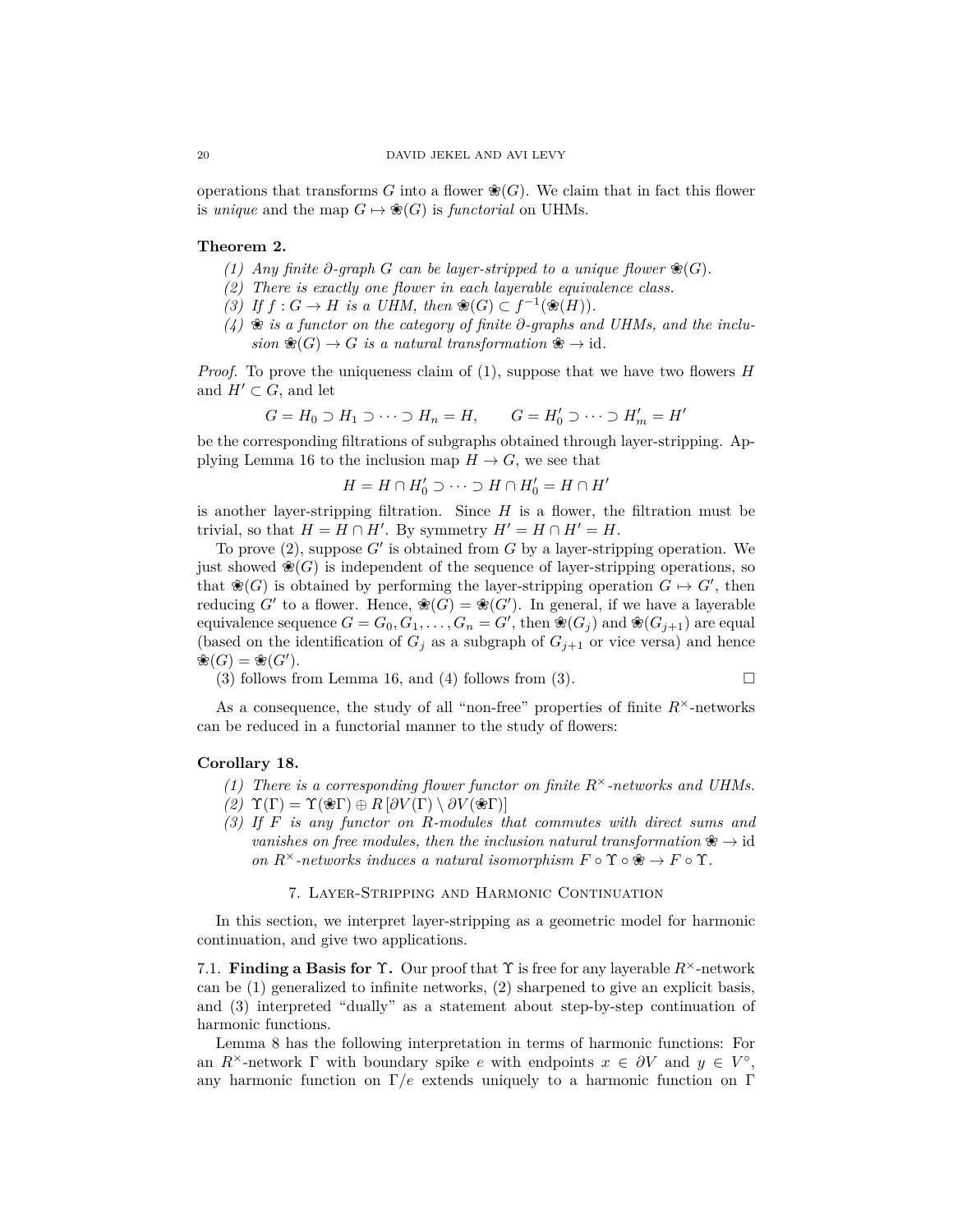operations that transforms *G* into a flower  $\mathcal{E}(G)$ . We claim that in fact this flower is *unique* and the map  $G \mapsto \mathcal{L}(G)$  is *functorial* on UHMs.

# **Theorem 2.**

- *(1) Any* finite  $∂$ -graph  $G$  can be layer-stripped to a unique flower  $\mathcal{E}(G)$ *.*
- *(2) There is exactly one flower in each layerable equivalence class.*
- *(3) If f* : *G* → *H is a UHM, then*  $\mathcal{R}(G) \subset f^{-1}(\mathcal{R}(H)).$
- *(4)* ❀ *is a functor on the category of finite ∂-graphs and UHMs, and the inclu* $sion \mathcal{L}(G) \to G$  *is a natural transformation*  $\mathcal{L} \to id$ *.*

*Proof.* To prove the uniqueness claim of (1), suppose that we have two flowers *H* and  $H' \subset G$ , and let

$$
G = H_0 \supset H_1 \supset \cdots \supset H_n = H, \qquad G = H'_0 \supset \cdots \supset H'_m = H'
$$

be the corresponding filtrations of subgraphs obtained through layer-stripping. Applying Lemma 16 to the inclusion map  $H \to G$ , we see that

$$
H = H \cap H'_0 \supset \cdots \supset H \cap H'_0 = H \cap H'
$$

is another layer-stripping filtration. Since  $H$  is a flower, the filtration must be trivial, so that  $H = H \cap H'$ . By symmetry  $H' = H \cap H' = H$ .

To prove  $(2)$ , suppose  $G'$  is obtained from  $G$  by a layer-stripping operation. We just showed  $\mathcal{R}(G)$  is independent of the sequence of layer-stripping operations, so that  $\mathcal{R}(G)$  is obtained by performing the layer-stripping operation  $G \mapsto G'$ , then reducing  $G'$  to a flower. Hence,  $\mathcal{R}(G) = \mathcal{R}(G')$ . In general, if we have a layerable equivalence sequence  $G = G_0, G_1, \ldots, G_n = G'$ , then  $\mathcal{R}(G_j)$  and  $\mathcal{R}(G_{j+1})$  are equal (based on the identification of  $G_i$  as a subgraph of  $G_{i+1}$  or vice versa) and hence  $\mathscr{E}(G) = \mathscr{E}(G').$ 

(3) follows from Lemma 16, and (4) follows from (3).  $\square$ 

As a consequence, the study of all "non-free" properties of finite  $R^{\times}$ -networks can be reduced in a functorial manner to the study of flowers:

## **Corollary 18.**

- *(1) There is a corresponding flower functor on finite R*<sup>×</sup>*-networks and UHMs.*
- *(2)* Υ(Γ) = Υ(❀Γ) ⊕ *R* [*∂V* (Γ) \ *∂V* (❀Γ)]
- *(3) If F is any functor on R-modules that commutes with direct sums and vanishes on free modules, then the inclusion natural transformation*  $\mathcal{F} \to \mathrm{id}$ *on*  $R^{\times}$ *-networks induces a natural isomorphism*  $F \circ \Upsilon \circ \mathcal{F} \to F \circ \Upsilon$ *.*

## 7. Layer-Stripping and Harmonic Continuation

In this section, we interpret layer-stripping as a geometric model for harmonic continuation, and give two applications.

7.1. **Finding a Basis for** Υ**.** Our proof that Υ is free for any layerable *R*<sup>×</sup>-network can be (1) generalized to infinite networks, (2) sharpened to give an explicit basis, and (3) interpreted "dually" as a statement about step-by-step continuation of harmonic functions.

Lemma 8 has the following interpretation in terms of harmonic functions: For an  $R^{\times}$ -network  $\Gamma$  with boundary spike *e* with endpoints  $x \in \partial V$  and  $y \in V^{\circ}$ , any harmonic function on Γ*/e* extends uniquely to a harmonic function on Γ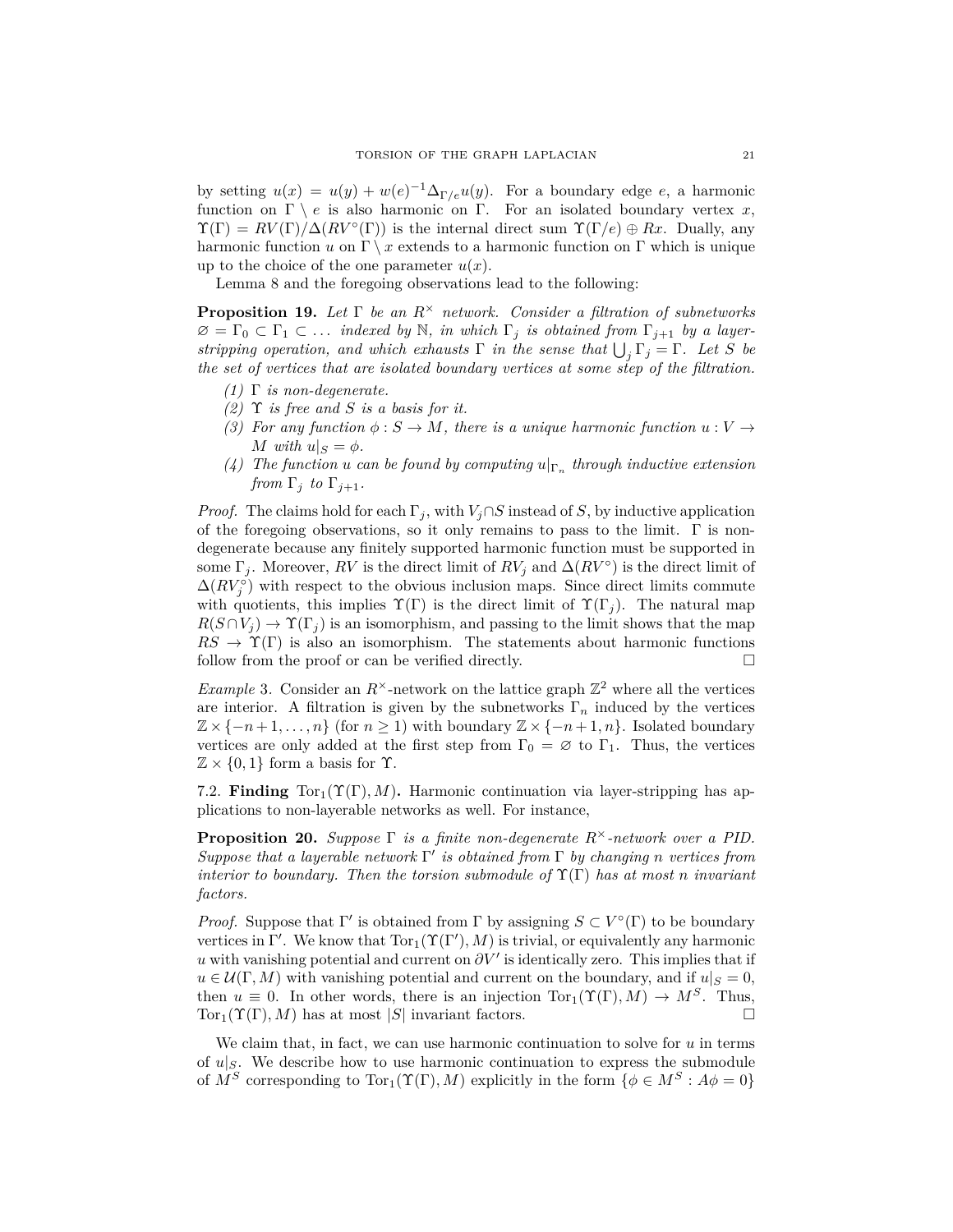by setting  $u(x) = u(y) + w(e)^{-1} \Delta_{\Gamma/e} u(y)$ . For a boundary edge *e*, a harmonic function on  $\Gamma \setminus e$  is also harmonic on  $\Gamma$ . For an isolated boundary vertex *x*,  $\Upsilon(\Gamma) = RV(\Gamma)/\Delta(RV^{\circ}(\Gamma))$  is the internal direct sum  $\Upsilon(\Gamma/e) \oplus Rx$ . Dually, any harmonic function *u* on  $\Gamma \setminus x$  extends to a harmonic function on  $\Gamma$  which is unique up to the choice of the one parameter  $u(x)$ .

Lemma 8 and the foregoing observations lead to the following:

**Proposition 19.** *Let* Γ *be an R*<sup>×</sup> *network. Consider a filtration of subnetworks*  $\varnothing = \Gamma_0 \subset \Gamma_1 \subset \ldots$  *indexed by* N, *in which*  $\Gamma_j$  *is obtained from*  $\Gamma_{j+1}$  *by a layerstripping operation, and which exhausts*  $\Gamma$  *in the sense that*  $\bigcup_j \Gamma_j = \Gamma$ *. Let S be the set of vertices that are isolated boundary vertices at some step of the filtration.*

- *(1)* Γ *is non-degenerate.*
- *(2)* Υ *is free and S is a basis for it.*
- *(3)* For any function  $\phi : S \to M$ , there is a unique harmonic function  $u : V \to$ *M* with  $u|_S = \phi$ .
- (4) *The function u can be found by computing*  $u|_{\Gamma_n}$  *through inductive extension from*  $\Gamma_j$  *to*  $\Gamma_{j+1}$ *.*

*Proof.* The claims hold for each  $\Gamma_j$ , with  $V_j \cap S$  instead of *S*, by inductive application of the foregoing observations, so it only remains to pass to the limit.  $\Gamma$  is nondegenerate because any finitely supported harmonic function must be supported in some  $\Gamma_j$ . Moreover,  $RV$  is the direct limit of  $RV_j$  and  $\Delta (RV^{\circ})$  is the direct limit of  $\Delta(RV_j^{\circ})$  with respect to the obvious inclusion maps. Since direct limits commute with quotients, this implies  $\Upsilon(\Gamma)$  is the direct limit of  $\Upsilon(\Gamma_j)$ . The natural map  $R(S \cap V_i) \to \Upsilon(\Gamma_i)$  is an isomorphism, and passing to the limit shows that the map  $RS \to \Upsilon(\Gamma)$  is also an isomorphism. The statements about harmonic functions follow from the proof or can be verified directly.

*Example* 3. Consider an  $R^{\times}$ -network on the lattice graph  $\mathbb{Z}^2$  where all the vertices are interior. A filtration is given by the subnetworks  $\Gamma_n$  induced by the vertices  $\mathbb{Z} \times \{-n+1,\ldots,n\}$  (for  $n \geq 1$ ) with boundary  $\mathbb{Z} \times \{-n+1,n\}$ . Isolated boundary vertices are only added at the first step from  $\Gamma_0 = \emptyset$  to  $\Gamma_1$ . Thus, the vertices  $\mathbb{Z} \times \{0, 1\}$  form a basis for  $\Upsilon$ .

7.2. **Finding**  $Tor_1(\Upsilon(\Gamma), M)$ . Harmonic continuation via layer-stripping has applications to non-layerable networks as well. For instance,

**Proposition 20.** *Suppose* Γ *is a finite non-degenerate R*<sup>×</sup>*-network over a PID. Suppose that a layerable network* Γ 0 *is obtained from* Γ *by changing n vertices from interior to boundary. Then the torsion submodule of*  $\Upsilon(\Gamma)$  *has at most n invariant factors.*

*Proof.* Suppose that  $\Gamma'$  is obtained from  $\Gamma$  by assigning  $S \subset V^{\circ}(\Gamma)$  to be boundary vertices in  $\Gamma'$ . We know that  $Tor_1(\Upsilon(\Gamma'), M)$  is trivial, or equivalently any harmonic *u* with vanishing potential and current on  $\partial V'$  is identically zero. This implies that if  $u \in \mathcal{U}(\Gamma, M)$  with vanishing potential and current on the boundary, and if  $u|_S = 0$ , then  $u \equiv 0$ . In other words, there is an injection  $Tor_1(\Upsilon(\Gamma), M) \to M^S$ . Thus,  $Tor_1(\Upsilon(\Gamma), M)$  has at most  $|S|$  invariant factors.

We claim that, in fact, we can use harmonic continuation to solve for *u* in terms of  $u|_S$ . We describe how to use harmonic continuation to express the submodule of  $M^S$  corresponding to  $Tor_1(\Upsilon(\Gamma), M)$  explicitly in the form  $\{\phi \in M^S : A\phi = 0\}$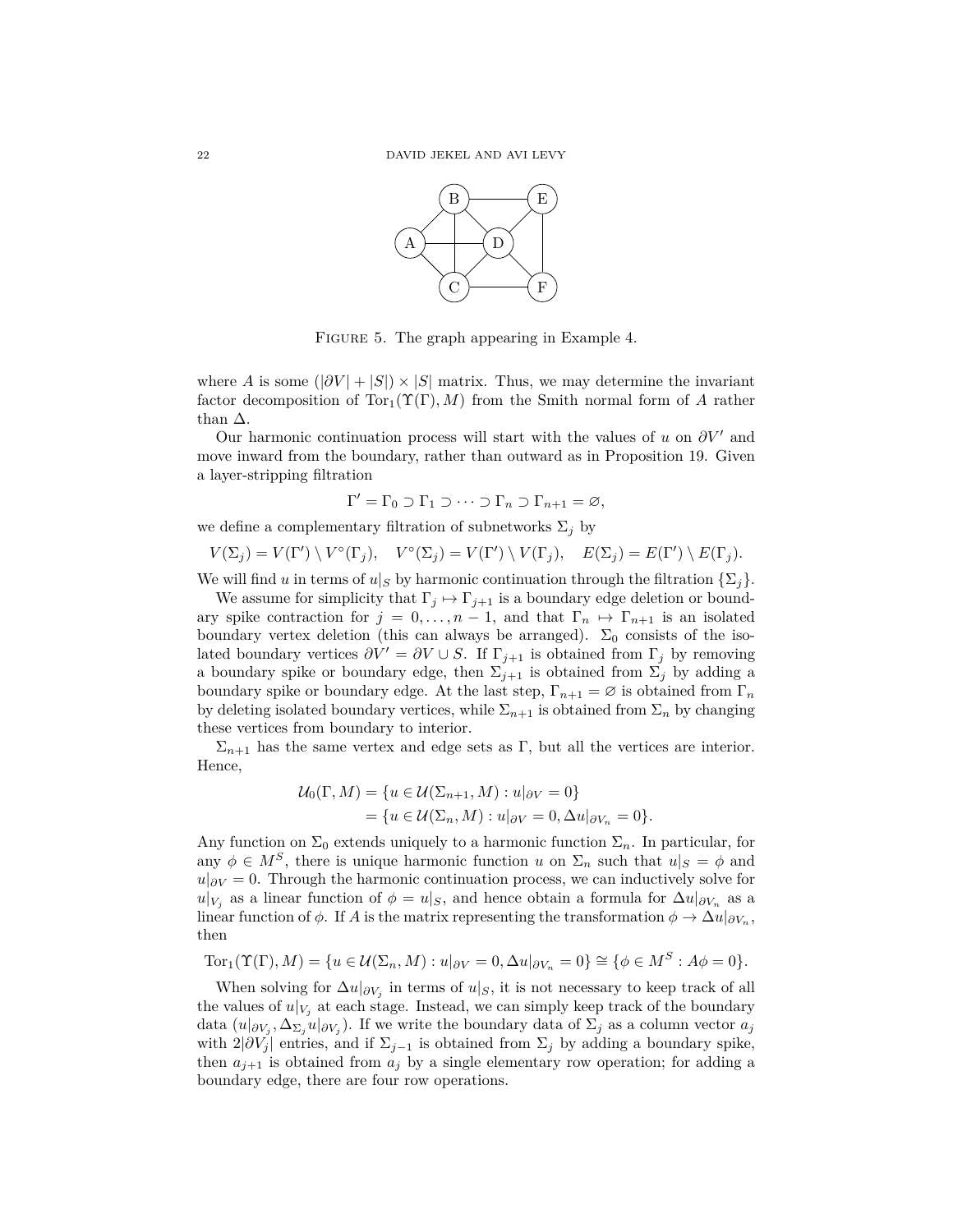

FIGURE 5. The graph appearing in Example 4.

where *A* is some  $(|\partial V| + |S|) \times |S|$  matrix. Thus, we may determine the invariant factor decomposition of  $Tor_1(\Upsilon(\Gamma), M)$  from the Smith normal form of *A* rather than  $\Delta$ .

Our harmonic continuation process will start with the values of  $u$  on  $\partial V'$  and move inward from the boundary, rather than outward as in Proposition 19. Given a layer-stripping filtration

$$
\Gamma' = \Gamma_0 \supset \Gamma_1 \supset \cdots \supset \Gamma_n \supset \Gamma_{n+1} = \varnothing,
$$

we define a complementary filtration of subnetworks  $\Sigma_j$  by

$$
V(\Sigma_j) = V(\Gamma') \setminus V^{\circ}(\Gamma_j), \quad V^{\circ}(\Sigma_j) = V(\Gamma') \setminus V(\Gamma_j), \quad E(\Sigma_j) = E(\Gamma') \setminus E(\Gamma_j).
$$

We will find *u* in terms of  $u|_S$  by harmonic continuation through the filtration  $\{\Sigma_j\}$ .

We assume for simplicity that  $\Gamma_j \mapsto \Gamma_{j+1}$  is a boundary edge deletion or boundary spike contraction for  $j = 0, \ldots, n-1$ , and that  $\Gamma_n \mapsto \Gamma_{n+1}$  is an isolated boundary vertex deletion (this can always be arranged).  $\Sigma_0$  consists of the isolated boundary vertices  $\partial V' = \partial V \cup S$ . If  $\Gamma_{j+1}$  is obtained from  $\Gamma_j$  by removing a boundary spike or boundary edge, then  $\Sigma_{j+1}$  is obtained from  $\Sigma_j$  by adding a boundary spike or boundary edge. At the last step,  $\Gamma_{n+1} = \emptyset$  is obtained from  $\Gamma_n$ by deleting isolated boundary vertices, while  $\Sigma_{n+1}$  is obtained from  $\Sigma_n$  by changing these vertices from boundary to interior.

 $\Sigma_{n+1}$  has the same vertex and edge sets as Γ, but all the vertices are interior. Hence,

$$
U_0(\Gamma, M) = \{u \in \mathcal{U}(\Sigma_{n+1}, M) : u|_{\partial V} = 0\}
$$
  
=  $\{u \in \mathcal{U}(\Sigma_n, M) : u|_{\partial V} = 0, \Delta u|_{\partial V_n} = 0\}.$ 

Any function on  $\Sigma_0$  extends uniquely to a harmonic function  $\Sigma_n$ . In particular, for any  $\phi \in M^S$ , there is unique harmonic function *u* on  $\Sigma_n$  such that  $u|_S = \phi$  and  $u|_{\partial V} = 0$ . Through the harmonic continuation process, we can inductively solve for  $u|_{V_j}$  as a linear function of  $\phi = u|_S$ , and hence obtain a formula for  $\Delta u|_{\partial V_n}$  as a linear function of  $\phi$ . If *A* is the matrix representing the transformation  $\phi \to \Delta u|_{\partial V_n}$ , then

$$
\text{Tor}_1(\Upsilon(\Gamma), M) = \{ u \in \mathcal{U}(\Sigma_n, M) : u|_{\partial V} = 0, \Delta u|_{\partial V_n} = 0 \} \cong \{ \phi \in M^S : A\phi = 0 \}.
$$

When solving for  $\Delta u|_{\partial V_j}$  in terms of  $u|_S$ , it is not necessary to keep track of all the values of  $u|_{V_j}$  at each stage. Instead, we can simply keep track of the boundary data  $(u|_{\partial V_j}, \Delta_{\Sigma_j} u|_{\partial V_j})$ . If we write the boundary data of  $\Sigma_j$  as a column vector  $a_j$ with  $2|\partial V_j|$  entries, and if  $\Sigma_{j-1}$  is obtained from  $\Sigma_j$  by adding a boundary spike, then  $a_{j+1}$  is obtained from  $a_j$  by a single elementary row operation; for adding a boundary edge, there are four row operations.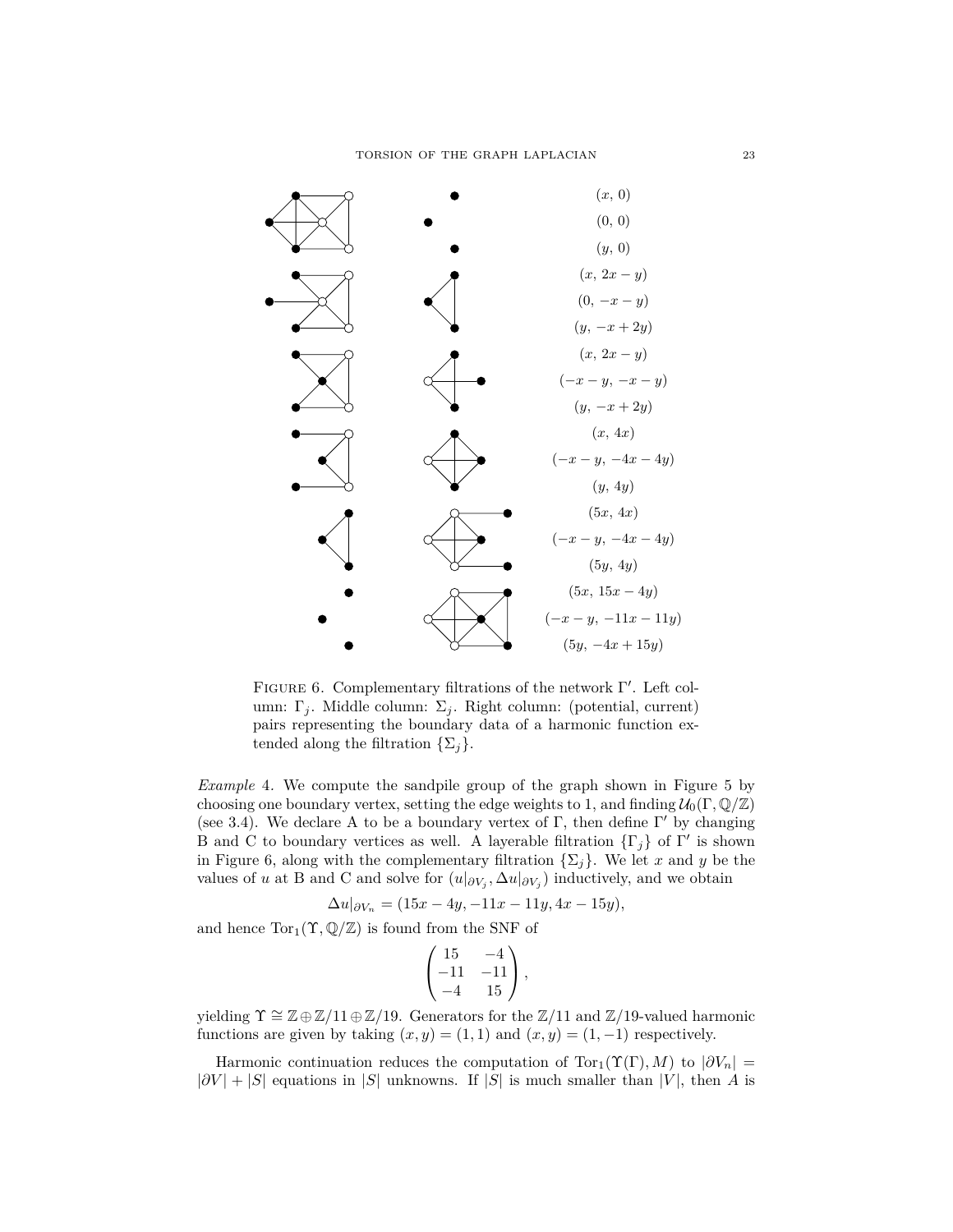

FIGURE 6. Complementary filtrations of the network  $\Gamma'$ . Left column:  $\Gamma_j$ . Middle column:  $\Sigma_j$ . Right column: (potential, current) pairs representing the boundary data of a harmonic function extended along the filtration  $\{\Sigma_j\}.$ 

*Example* 4*.* We compute the sandpile group of the graph shown in Figure 5 by choosing one boundary vertex, setting the edge weights to 1, and finding  $\mathcal{U}_0(\Gamma,\mathbb{Q}/\mathbb{Z})$ (see 3.4). We declare A to be a boundary vertex of Γ, then define  $\Gamma'$  by changing B and C to boundary vertices as well. A layerable filtration  $\{\Gamma_j\}$  of  $\Gamma'$  is shown in Figure 6, along with the complementary filtration  $\{\Sigma_i\}$ . We let *x* and *y* be the values of *u* at B and C and solve for  $(u|_{\partial V_j}, \Delta u|_{\partial V_j})$  inductively, and we obtain

$$
\Delta u|_{\partial V_n} = (15x - 4y, -11x - 11y, 4x - 15y),
$$

and hence  $Tor_1(\Upsilon,\mathbb{Q}/\mathbb{Z})$  is found from the SNF of

$$
\begin{pmatrix} 15 & -4 \ -11 & -11 \ -4 & 15 \end{pmatrix},
$$

yielding  $\Upsilon \cong \mathbb{Z} \oplus \mathbb{Z}/11 \oplus \mathbb{Z}/19$ . Generators for the  $\mathbb{Z}/11$  and  $\mathbb{Z}/19$ -valued harmonic functions are given by taking  $(x, y) = (1, 1)$  and  $(x, y) = (1, -1)$  respectively.

Harmonic continuation reduces the computation of  $Tor_1(\Upsilon(\Gamma), M)$  to  $|\partial V_n|$  $|\partial V| + |S|$  equations in |*S*| unknowns. If |*S*| is much smaller than |*V*|, then *A* is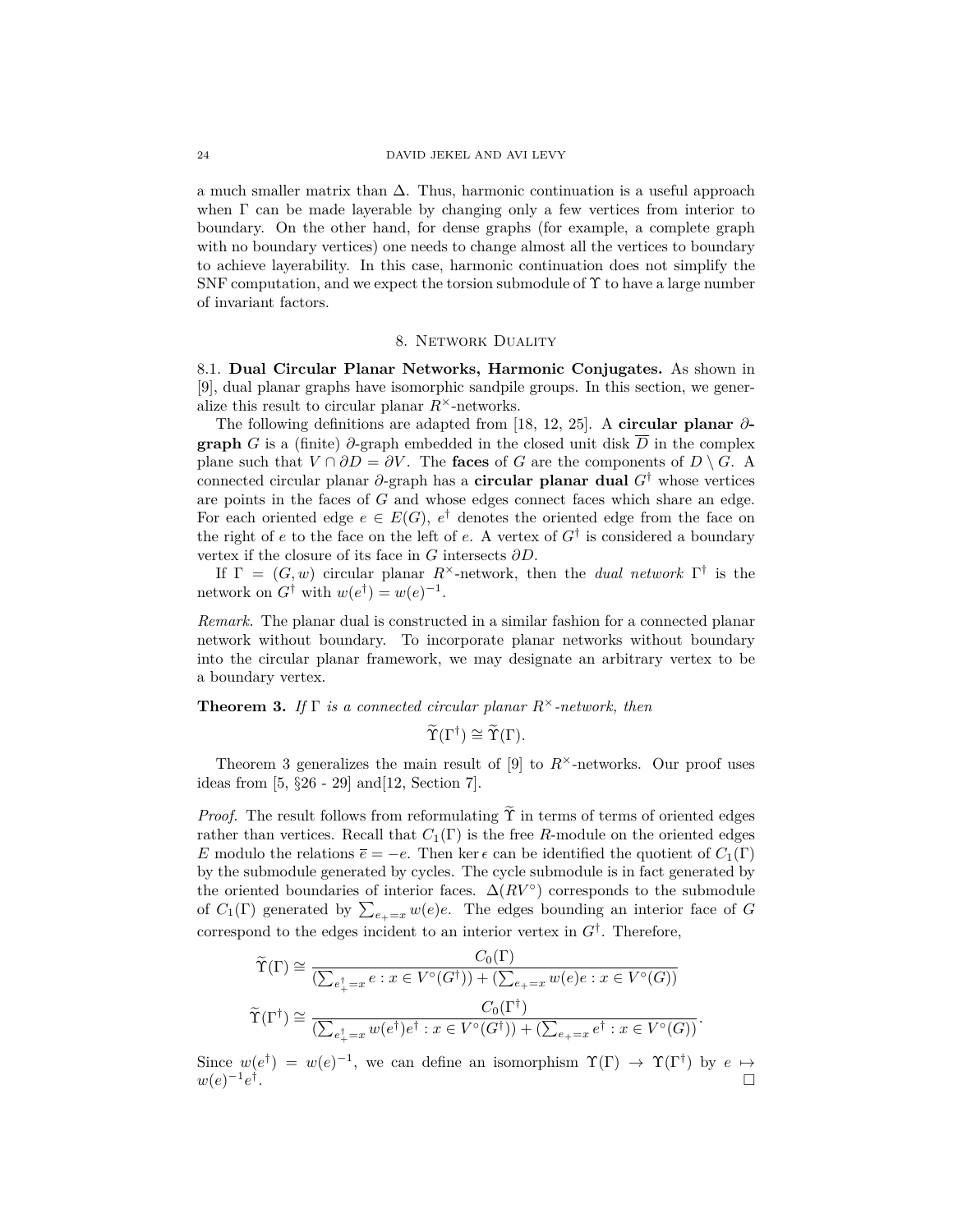a much smaller matrix than  $\Delta$ . Thus, harmonic continuation is a useful approach when  $\Gamma$  can be made layerable by changing only a few vertices from interior to boundary. On the other hand, for dense graphs (for example, a complete graph with no boundary vertices) one needs to change almost all the vertices to boundary to achieve layerability. In this case, harmonic continuation does not simplify the SNF computation, and we expect the torsion submodule of  $\Upsilon$  to have a large number of invariant factors.

#### 8. Network Duality

8.1. **Dual Circular Planar Networks, Harmonic Conjugates.** As shown in [9], dual planar graphs have isomorphic sandpile groups. In this section, we generalize this result to circular planar  $R^{\times}$ -networks.

The following definitions are adapted from [18, 12, 25]. A **circular planar** *∂* **graph** *G* is a (finite)  $\partial$ -graph embedded in the closed unit disk  $\overline{D}$  in the complex plane such that  $V \cap \partial D = \partial V$ . The **faces** of *G* are the components of  $D \setminus G$ . A connected circular planar *∂*-graph has a **circular planar dual** *G*† whose vertices are points in the faces of *G* and whose edges connect faces which share an edge. For each oriented edge  $e \in E(G)$ ,  $e^{\dagger}$  denotes the oriented edge from the face on the right of *e* to the face on the left of *e*. A vertex of *G*† is considered a boundary vertex if the closure of its face in *G* intersects *∂D*.

If  $\Gamma = (G, w)$  circular planar  $R^{\times}$ -network, then the *dual network*  $\Gamma^{\dagger}$  is the network on  $G^{\dagger}$  with  $w(e^{\dagger}) = w(e)^{-1}$ .

*Remark.* The planar dual is constructed in a similar fashion for a connected planar network without boundary. To incorporate planar networks without boundary into the circular planar framework, we may designate an arbitrary vertex to be a boundary vertex.

**Theorem 3.** *If* Γ *is a connected circular planar R*<sup>×</sup>*-network, then*

$$
\widetilde{\Upsilon}(\Gamma^{\dagger}) \cong \widetilde{\Upsilon}(\Gamma).
$$

Theorem 3 generalizes the main result of  $[9]$  to  $R^{\times}$ -networks. Our proof uses ideas from [5, §26 - 29] and[12, Section 7].

*Proof.* The result follows from reformulating  $\Upsilon$  in terms of terms of oriented edges rather than vertices. Recall that  $C_1(\Gamma)$  is the free *R*-module on the oriented edges *E* modulo the relations  $\bar{e} = -e$ . Then ker  $\epsilon$  can be identified the quotient of  $C_1(\Gamma)$ by the submodule generated by cycles. The cycle submodule is in fact generated by the oriented boundaries of interior faces.  $\Delta(RV^{\circ})$  corresponds to the submodule of  $C_1(\Gamma)$  generated by  $\sum_{e_+}=x w(e)e$ . The edges bounding an interior face of *G* correspond to the edges incident to an interior vertex in  $G^{\dagger}$ . Therefore,

$$
\widetilde{\Upsilon}(\Gamma) \cong \frac{C_0(\Gamma)}{(\sum_{e_+^{\dagger}=x} e : x \in V^{\circ}(G^{\dagger})) + (\sum_{e_+}=x} w(e)e : x \in V^{\circ}(G))}
$$
\n
$$
\widetilde{\Upsilon}(\Gamma^{\dagger}) \cong \frac{C_0(\Gamma^{\dagger})}{(\sum_{e_+^{\dagger}=x} w(e^{\dagger})e^{\dagger} : x \in V^{\circ}(G^{\dagger})) + (\sum_{e_+}=x}e^{\dagger} : x \in V^{\circ}(G))}.
$$

 $C = (T)$ 

Since  $w(e^{\dagger}) = w(e)^{-1}$ , we can define an isomorphism  $\Upsilon(\Gamma) \to \Upsilon(\Gamma^{\dagger})$  by  $e \mapsto$  $w(e)^{-1}e^{\dagger}$ .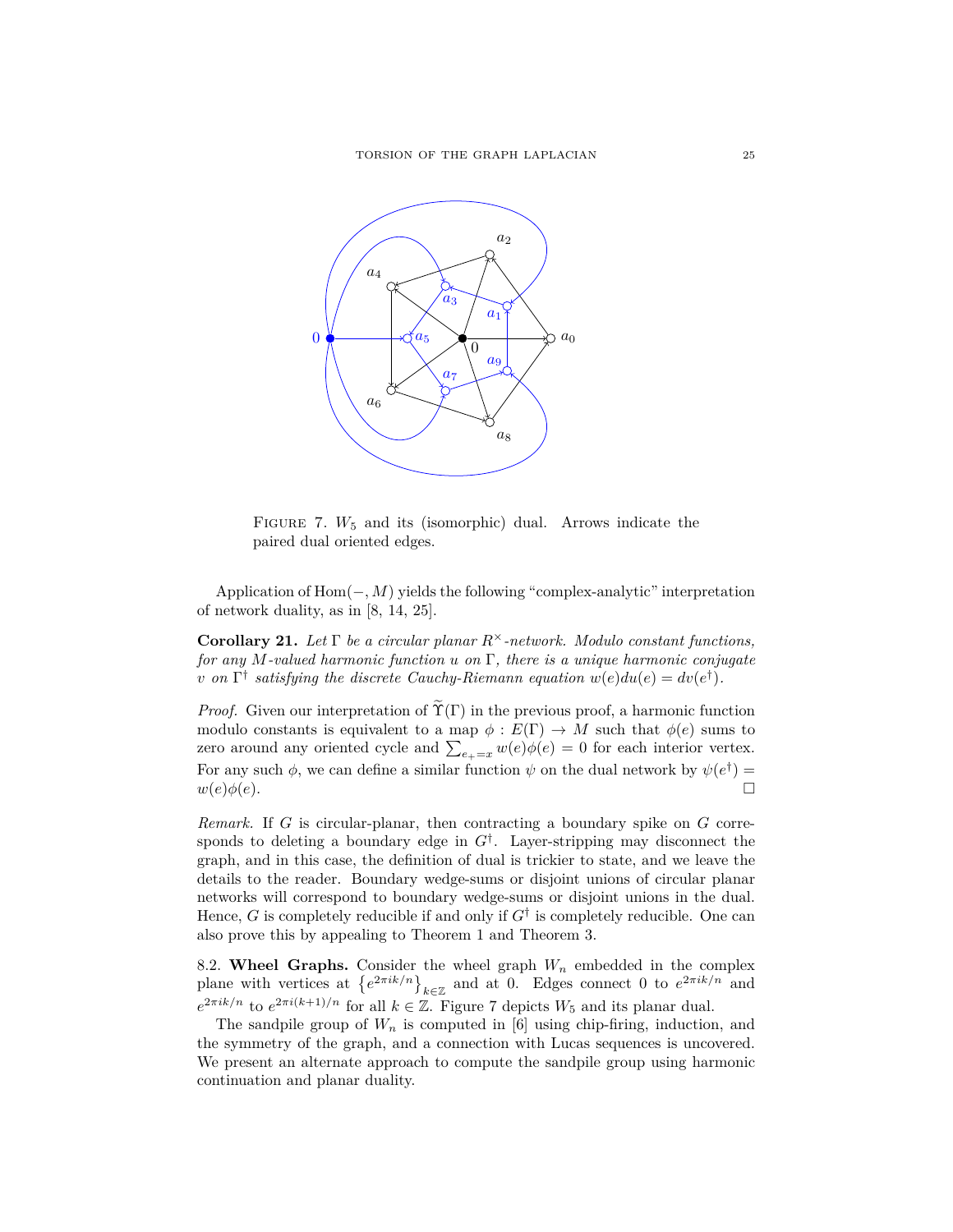

FIGURE 7.  $W_5$  and its (isomorphic) dual. Arrows indicate the paired dual oriented edges.

Application of Hom(−*, M*) yields the following "complex-analytic" interpretation of network duality, as in [8, 14, 25].

**Corollary 21.** *Let* Γ *be a circular planar R*<sup>×</sup>*-network. Modulo constant functions, for any M-valued harmonic function u on* Γ*, there is a unique harmonic conjugate v* on  $\Gamma^{\dagger}$  satisfying the discrete Cauchy-Riemann equation  $w(e)du(e) = dv(e^{\dagger}).$ 

*Proof.* Given our interpretation of  $\tilde{\Upsilon}(\Gamma)$  in the previous proof, a harmonic function modulo constants is equivalent to a map  $\phi : E(\Gamma) \to M$  such that  $\phi(e)$  sums to zero around any oriented cycle and  $\sum_{e_+ = x} w(e) \phi(e) = 0$  for each interior vertex. For any such  $\phi$ , we can define a similar function  $\psi$  on the dual network by  $\psi(e^{\dagger}) =$  $w(e)\phi(e).$ 

*Remark.* If *G* is circular-planar, then contracting a boundary spike on *G* corresponds to deleting a boundary edge in  $G^{\dagger}$ . Layer-stripping may disconnect the graph, and in this case, the definition of dual is trickier to state, and we leave the details to the reader. Boundary wedge-sums or disjoint unions of circular planar networks will correspond to boundary wedge-sums or disjoint unions in the dual. Hence, *G* is completely reducible if and only if  $G^{\dagger}$  is completely reducible. One can also prove this by appealing to Theorem 1 and Theorem 3.

8.2. **Wheel Graphs.** Consider the wheel graph *W<sup>n</sup>* embedded in the complex plane with vertices at  $\{e^{2\pi i k/n}\}_{k\in\mathbb{Z}}$  and at 0. Edges connect 0 to  $e^{2\pi i k/n}$  and  $e^{2\pi i k/n}$  to  $e^{2\pi i (k+1)/n}$  for all  $k \in \mathbb{Z}$ . Figure 7 depicts  $W_5$  and its planar dual.

The sandpile group of  $W_n$  is computed in [6] using chip-firing, induction, and the symmetry of the graph, and a connection with Lucas sequences is uncovered. We present an alternate approach to compute the sandpile group using harmonic continuation and planar duality.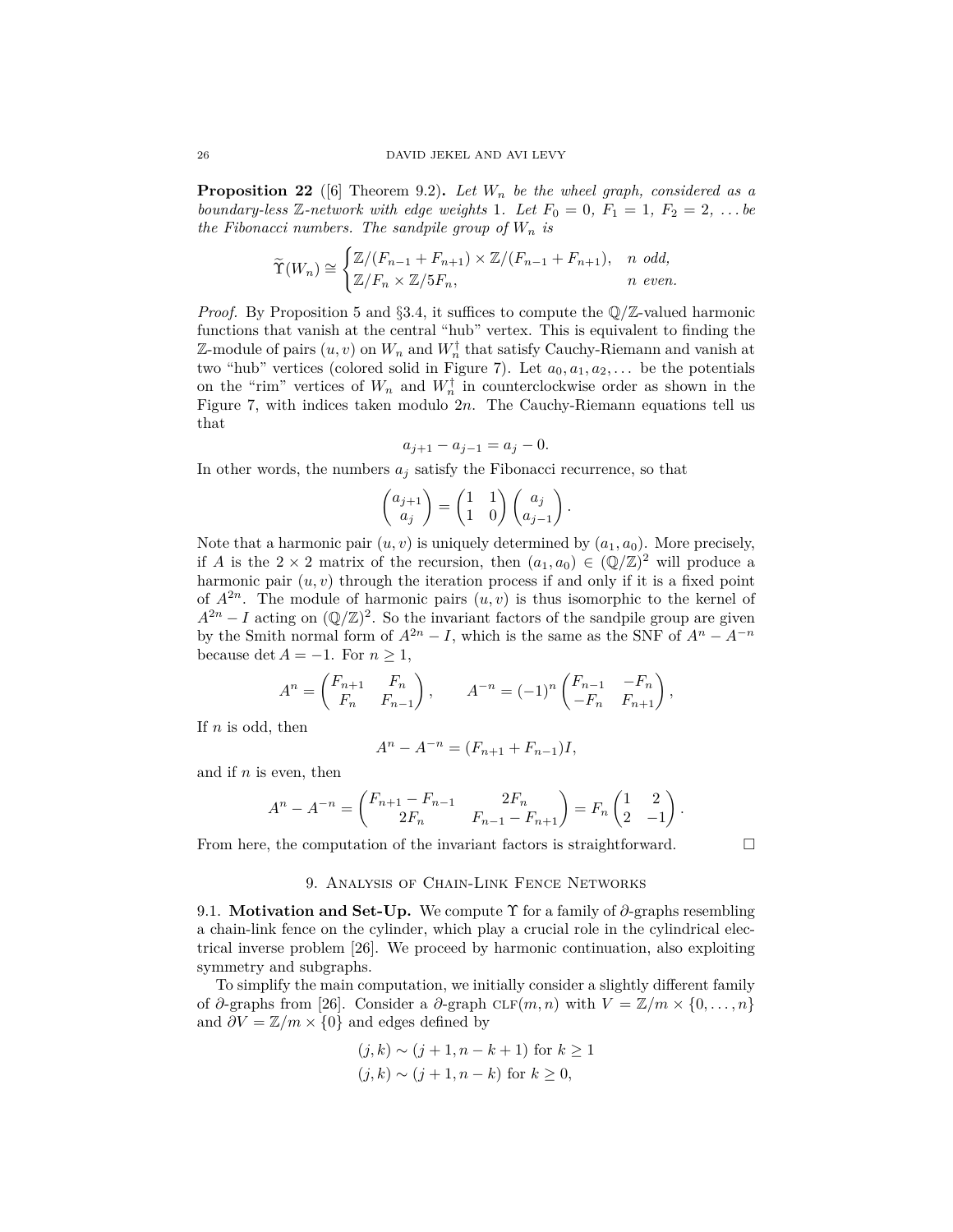**Proposition 22** ([6] Theorem 9.2). Let  $W_n$  be the wheel graph, considered as a *boundary-less*  $\mathbb{Z}$ -network with edge weights 1*. Let*  $F_0 = 0$ ,  $F_1 = 1$ ,  $F_2 = 2$ , ... be *the Fibonacci numbers. The sandpile group of*  $W_n$  *is* 

$$
\widetilde{\Upsilon}(W_n) \cong \begin{cases} \mathbb{Z}/(F_{n-1} + F_{n+1}) \times \mathbb{Z}/(F_{n-1} + F_{n+1}), & n \text{ odd,} \\ \mathbb{Z}/F_n \times \mathbb{Z}/5F_n, & n \text{ even.} \end{cases}
$$

*Proof.* By Proposition 5 and §3.4, it suffices to compute the  $\mathbb{Q}/\mathbb{Z}$ -valued harmonic functions that vanish at the central "hub" vertex. This is equivalent to finding the Z-module of pairs  $(u, v)$  on  $W_n$  and  $W_n^{\dagger}$  that satisfy Cauchy-Riemann and vanish at two "hub" vertices (colored solid in Figure 7). Let  $a_0, a_1, a_2, \ldots$  be the potentials on the "rim" vertices of  $W_n$  and  $W_n^{\dagger}$  in counterclockwise order as shown in the Figure 7, with indices taken modulo 2*n*. The Cauchy-Riemann equations tell us that

$$
a_{j+1} - a_{j-1} = a_j - 0.
$$

In other words, the numbers  $a_j$  satisfy the Fibonacci recurrence, so that

$$
\begin{pmatrix} a_{j+1} \\ a_j \end{pmatrix} = \begin{pmatrix} 1 & 1 \\ 1 & 0 \end{pmatrix} \begin{pmatrix} a_j \\ a_{j-1} \end{pmatrix}.
$$

Note that a harmonic pair  $(u, v)$  is uniquely determined by  $(a_1, a_0)$ . More precisely, if *A* is the  $2 \times 2$  matrix of the recursion, then  $(a_1, a_0) \in (\mathbb{Q}/\mathbb{Z})^2$  will produce a harmonic pair  $(u, v)$  through the iteration process if and only if it is a fixed point of  $A^{2n}$ . The module of harmonic pairs  $(u, v)$  is thus isomorphic to the kernel of  $A^{2n} - I$  acting on  $(\mathbb{Q}/\mathbb{Z})^2$ . So the invariant factors of the sandpile group are given by the Smith normal form of  $A^{2n} - I$ , which is the same as the SNF of  $A^n - A^{-n}$ because  $\det A = -1$ . For  $n \geq 1$ ,

$$
A^{n} = \begin{pmatrix} F_{n+1} & F_{n} \\ F_{n} & F_{n-1} \end{pmatrix}, \qquad A^{-n} = (-1)^{n} \begin{pmatrix} F_{n-1} & -F_{n} \\ -F_{n} & F_{n+1} \end{pmatrix},
$$

If *n* is odd, then

$$
A^{n} - A^{-n} = (F_{n+1} + F_{n-1})I,
$$

and if *n* is even, then

$$
A^{n} - A^{-n} = \begin{pmatrix} F_{n+1} - F_{n-1} & 2F_n \\ 2F_n & F_{n-1} - F_{n+1} \end{pmatrix} = F_n \begin{pmatrix} 1 & 2 \\ 2 & -1 \end{pmatrix}.
$$

From here, the computation of the invariant factors is straightforward.  $\Box$ 

## 9. Analysis of Chain-Link Fence Networks

9.1. **Motivation and Set-Up.** We compute Υ for a family of *∂*-graphs resembling a chain-link fence on the cylinder, which play a crucial role in the cylindrical electrical inverse problem [26]. We proceed by harmonic continuation, also exploiting symmetry and subgraphs.

To simplify the main computation, we initially consider a slightly different family of  $\partial$ -graphs from [26]. Consider a  $\partial$ -graph  $CLF(m, n)$  with  $V = \mathbb{Z}/m \times \{0, \ldots, n\}$ and  $\partial V = \mathbb{Z}/m \times \{0\}$  and edges defined by

$$
(j,k) \sim (j+1, n-k+1) \text{ for } k \ge 1
$$
  

$$
(j,k) \sim (j+1, n-k) \text{ for } k \ge 0,
$$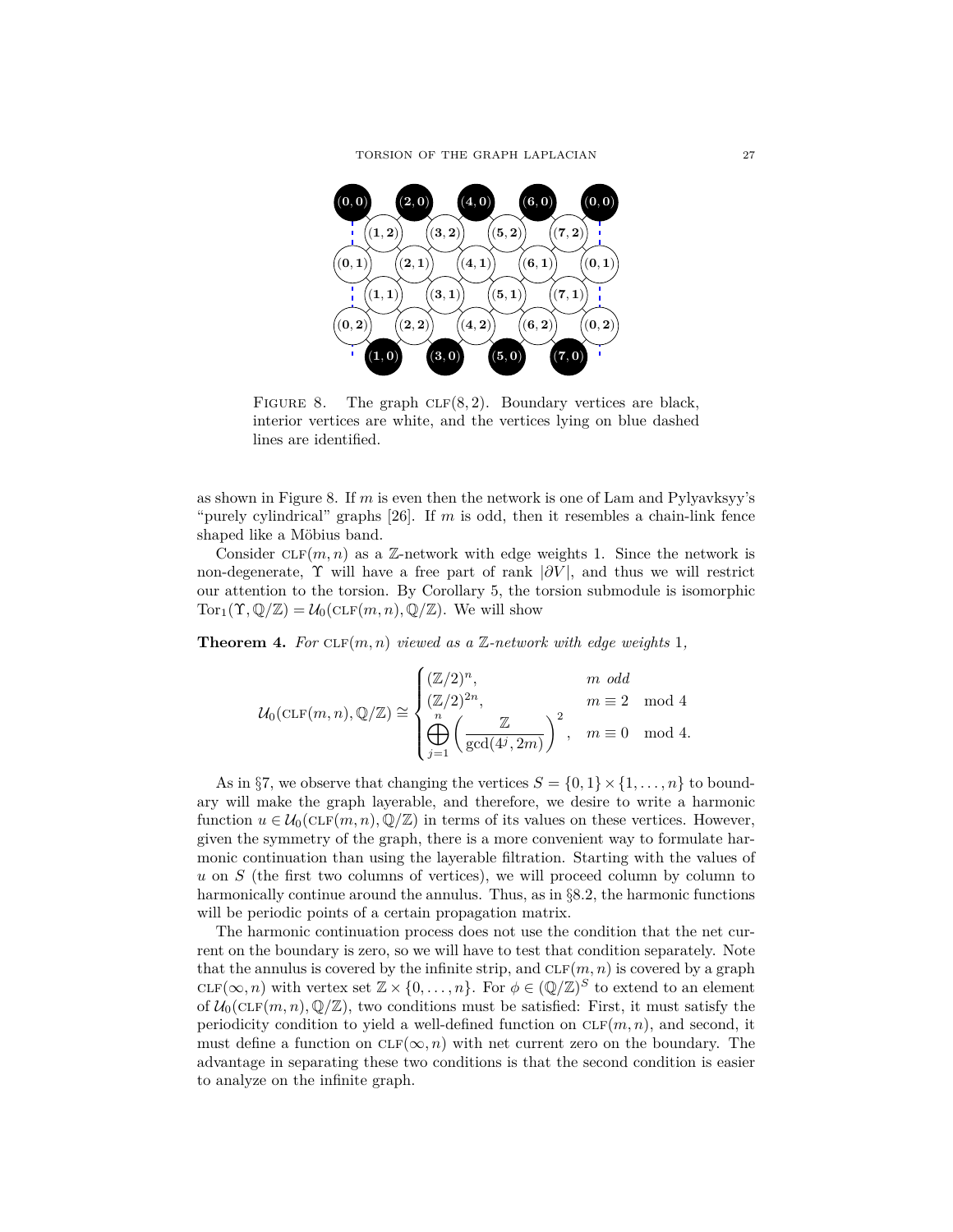

FIGURE 8. The graph CLF(8,2). Boundary vertices are black, interior vertices are white, and the vertices lying on blue dashed lines are identified.

as shown in Figure 8. If *m* is even then the network is one of Lam and Pylyavksyy's "purely cylindrical" graphs [26]. If *m* is odd, then it resembles a chain-link fence shaped like a Möbius band.

Consider  $CLF(m, n)$  as a  $\mathbb{Z}$ -network with edge weights 1. Since the network is non-degenerate,  $\Upsilon$  will have a free part of rank  $|\partial V|$ , and thus we will restrict our attention to the torsion. By Corollary 5, the torsion submodule is isomorphic  $Tor_1(\Upsilon,\mathbb{Q}/\mathbb{Z})=\mathcal{U}_0(\mathrm{CLF}(m,n),\mathbb{Q}/\mathbb{Z})$ . We will show

**Theorem 4.** *For*  $CLF(m, n)$  *viewed as a* Z-network with edge weights 1,

$$
\mathcal{U}_0(\mathrm{CLF}(m,n),\mathbb{Q}/\mathbb{Z})\cong \begin{cases} (\mathbb{Z}/2)^n, & m\text{ odd}\\ (\mathbb{Z}/2)^{2n}, & m\equiv 2\mod 4\\ \bigoplus_{j=1}^n\left(\frac{\mathbb{Z}}{\gcd(4^j,2m)}\right)^2, & m\equiv 0\mod 4.\end{cases}
$$

As in §7, we observe that changing the vertices  $S = \{0, 1\} \times \{1, \ldots, n\}$  to boundary will make the graph layerable, and therefore, we desire to write a harmonic function  $u \in \mathcal{U}_0(\text{CLF}(m, n), \mathbb{Q}/\mathbb{Z})$  in terms of its values on these vertices. However, given the symmetry of the graph, there is a more convenient way to formulate harmonic continuation than using the layerable filtration. Starting with the values of *u* on *S* (the first two columns of vertices), we will proceed column by column to harmonically continue around the annulus. Thus, as in §8.2, the harmonic functions will be periodic points of a certain propagation matrix.

The harmonic continuation process does not use the condition that the net current on the boundary is zero, so we will have to test that condition separately. Note that the annulus is covered by the infinite strip, and  $CLF(m, n)$  is covered by a graph  $CLF(\infty, n)$  with vertex set  $\mathbb{Z} \times \{0, \ldots, n\}$ . For  $\phi \in (\mathbb{Q}/\mathbb{Z})^S$  to extend to an element of  $U_0(\text{CLF}(m, n), \mathbb{Q}/\mathbb{Z})$ , two conditions must be satisfied: First, it must satisfy the periodicity condition to yield a well-defined function on  $CLF(m, n)$ , and second, it must define a function on  $CLF(\infty, n)$  with net current zero on the boundary. The advantage in separating these two conditions is that the second condition is easier to analyze on the infinite graph.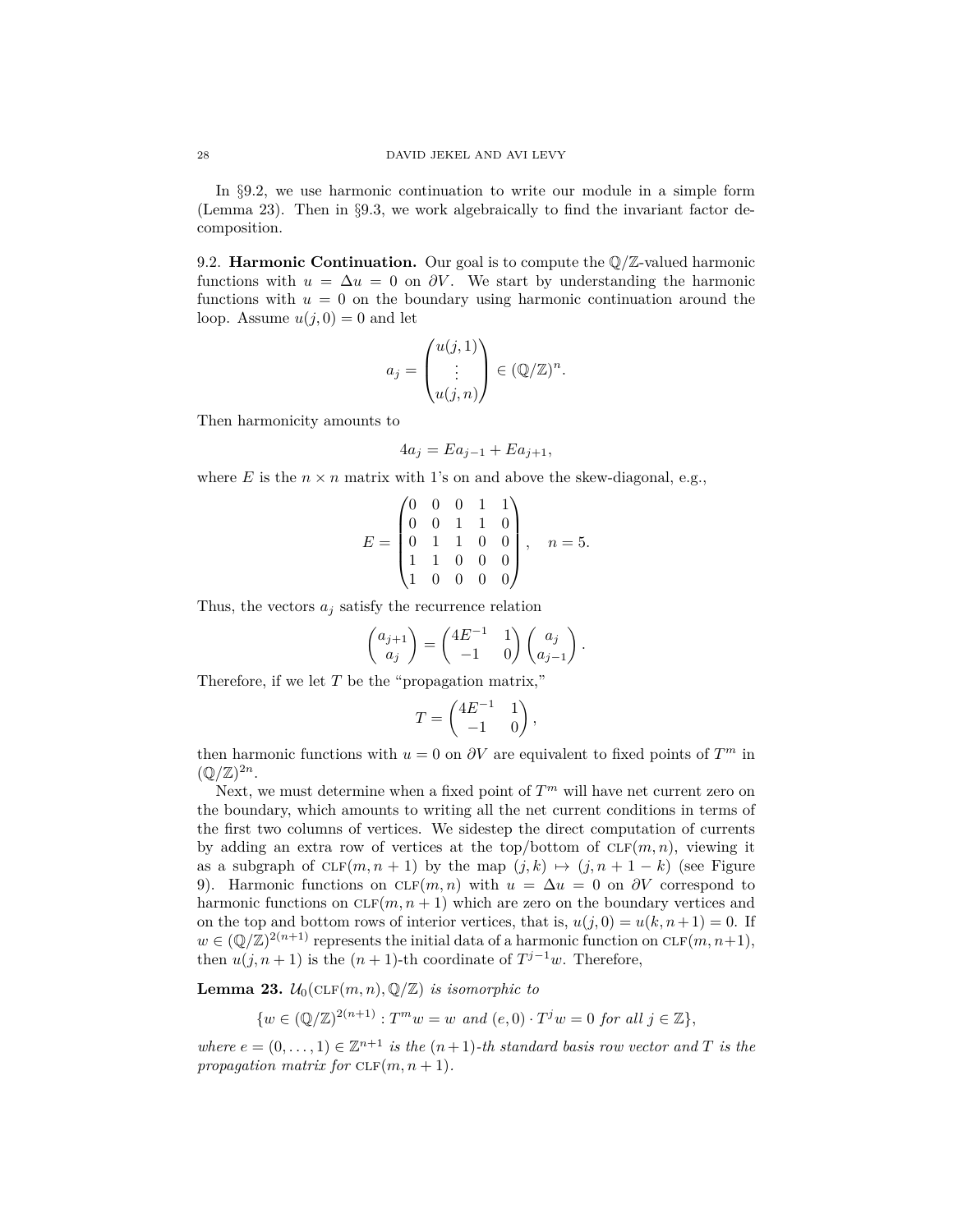In §9.2, we use harmonic continuation to write our module in a simple form (Lemma 23). Then in §9.3, we work algebraically to find the invariant factor decomposition.

9.2. **Harmonic Continuation.** Our goal is to compute the  $\mathbb{Q}/\mathbb{Z}$ -valued harmonic functions with  $u = \Delta u = 0$  on  $\partial V$ . We start by understanding the harmonic functions with  $u = 0$  on the boundary using harmonic continuation around the loop. Assume  $u(j, 0) = 0$  and let

$$
a_j = \begin{pmatrix} u(j,1) \\ \vdots \\ u(j,n) \end{pmatrix} \in (\mathbb{Q}/\mathbb{Z})^n.
$$

Then harmonicity amounts to

$$
4a_j = Ea_{j-1} + Ea_{j+1},
$$

where  $E$  is the  $n \times n$  matrix with 1's on and above the skew-diagonal, e.g.,

$$
E = \begin{pmatrix} 0 & 0 & 0 & 1 & 1 \\ 0 & 0 & 1 & 1 & 0 \\ 0 & 1 & 1 & 0 & 0 \\ 1 & 1 & 0 & 0 & 0 \\ 1 & 0 & 0 & 0 & 0 \end{pmatrix}, \quad n = 5.
$$

Thus, the vectors  $a_j$  satisfy the recurrence relation

$$
\begin{pmatrix} a_{j+1} \\ a_j \end{pmatrix} = \begin{pmatrix} 4E^{-1} & 1 \\ -1 & 0 \end{pmatrix} \begin{pmatrix} a_j \\ a_{j-1} \end{pmatrix}.
$$

Therefore, if we let *T* be the "propagation matrix,"

$$
T = \begin{pmatrix} 4E^{-1} & 1 \\ -1 & 0 \end{pmatrix},
$$

then harmonic functions with  $u = 0$  on  $\partial V$  are equivalent to fixed points of  $T^m$  in  $(\mathbb{Q}/\mathbb{Z})^{2n}$ .

Next, we must determine when a fixed point of  $T<sup>m</sup>$  will have net current zero on the boundary, which amounts to writing all the net current conditions in terms of the first two columns of vertices. We sidestep the direct computation of currents by adding an extra row of vertices at the top/bottom of  $CLF(m, n)$ , viewing it as a subgraph of  $CLF(m, n + 1)$  by the map  $(j, k) \mapsto (j, n + 1 - k)$  (see Figure 9). Harmonic functions on  $CLF(m, n)$  with  $u = \Delta u = 0$  on  $\partial V$  correspond to harmonic functions on  $CLF(m, n + 1)$  which are zero on the boundary vertices and on the top and bottom rows of interior vertices, that is,  $u(j, 0) = u(k, n+1) = 0$ . If  $w \in (\mathbb{Q}/\mathbb{Z})^{2(n+1)}$  represents the initial data of a harmonic function on  $CLF(m, n+1)$ , then  $u(j, n+1)$  is the  $(n+1)$ -th coordinate of  $T^{j-1}w$ . Therefore,

**Lemma 23.**  $\mathcal{U}_0(\text{CLF}(m, n), \mathbb{Q}/\mathbb{Z})$  *is isomorphic to* 

$$
\{w \in (\mathbb{Q}/\mathbb{Z})^{2(n+1)} : T^m w = w \text{ and } (e,0) \cdot T^j w = 0 \text{ for all } j \in \mathbb{Z}\},\
$$

*where*  $e = (0, \ldots, 1) \in \mathbb{Z}^{n+1}$  *is the*  $(n+1)$ *-th standard basis row vector and T is the propagation matrix for*  $CLF(m, n + 1)$ *.*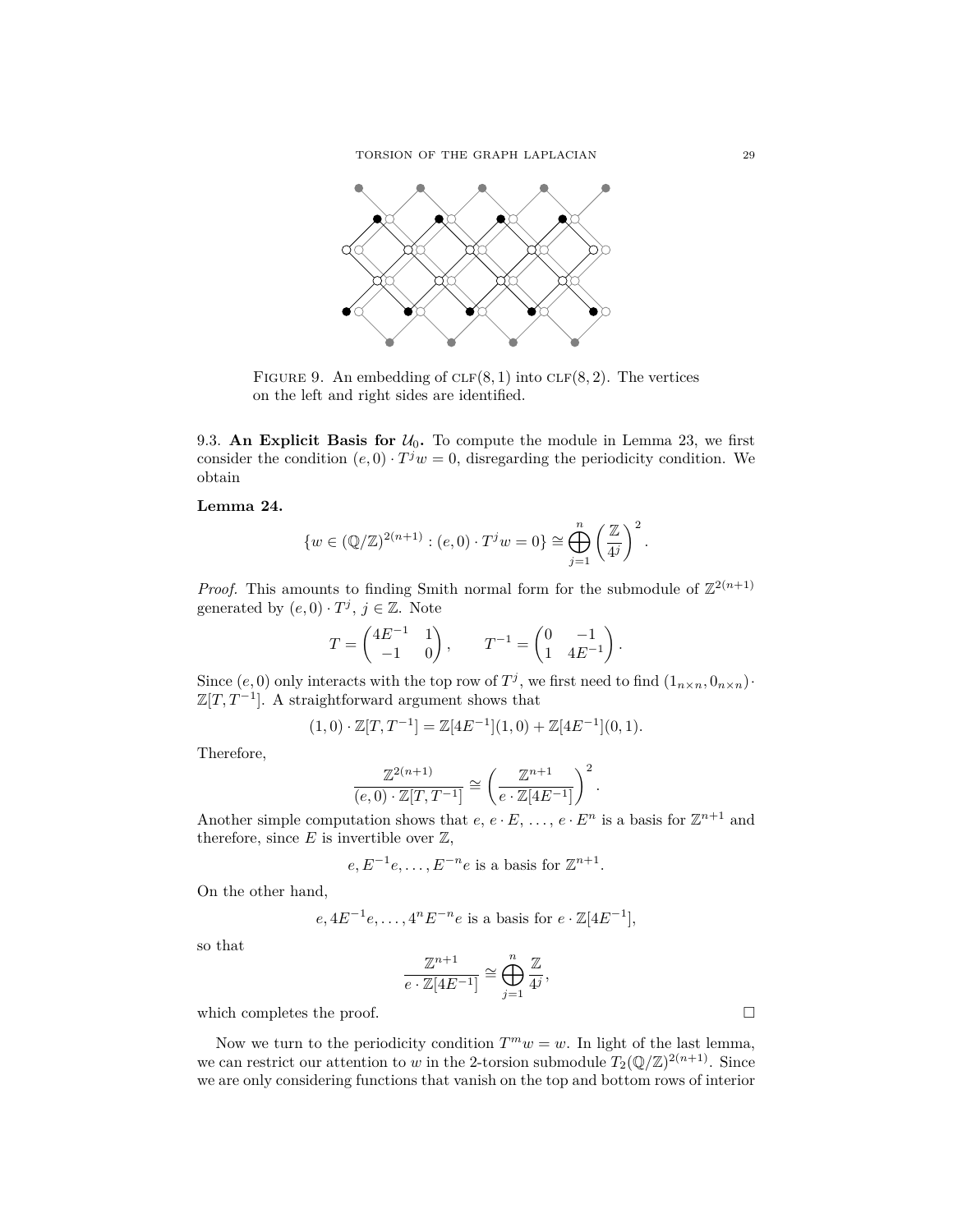

FIGURE 9. An embedding of  $CLF(8, 1)$  into  $CLF(8, 2)$ . The vertices on the left and right sides are identified.

9.3. An Explicit Basis for  $U_0$ . To compute the module in Lemma 23, we first consider the condition  $(e, 0) \cdot T^j w = 0$ , disregarding the periodicity condition. We obtain

**Lemma 24.**

$$
\{w \in (\mathbb{Q}/\mathbb{Z})^{2(n+1)} : (e,0) \cdot T^j w = 0\} \cong \bigoplus_{j=1}^n \left(\frac{\mathbb{Z}}{4^j}\right)^2
$$

*.*

*Proof.* This amounts to finding Smith normal form for the submodule of  $\mathbb{Z}^{2(n+1)}$ generated by  $(e, 0) \cdot T^j$ ,  $j \in \mathbb{Z}$ . Note

$$
T = \begin{pmatrix} 4E^{-1} & 1 \\ -1 & 0 \end{pmatrix}, \qquad T^{-1} = \begin{pmatrix} 0 & -1 \\ 1 & 4E^{-1} \end{pmatrix}.
$$

Since  $(e, 0)$  only interacts with the top row of  $T^j$ , we first need to find  $(1_{n \times n}, 0_{n \times n})$ .  $\mathbb{Z}[T, T^{-1}]$ . A straightforward argument shows that

$$
(1,0)\cdot \mathbb{Z}[T,T^{-1}] = \mathbb{Z}[4E^{-1}](1,0) + \mathbb{Z}[4E^{-1}](0,1).
$$

Therefore,

$$
\frac{\mathbb{Z}^{2(n+1)}}{(e,0)\cdot \mathbb{Z}[T,T^{-1}]} \cong \left(\frac{\mathbb{Z}^{n+1}}{e\cdot \mathbb{Z}[4E^{-1}]}\right)^2.
$$

Another simple computation shows that  $e, e \cdot E, \ldots, e \cdot E^n$  is a basis for  $\mathbb{Z}^{n+1}$  and therefore, since  $E$  is invertible over  $\mathbb{Z}$ ,

$$
e, E^{-1}e, \ldots, E^{-n}e
$$
 is a basis for  $\mathbb{Z}^{n+1}$ .

On the other hand,

$$
e, 4E^{-1}e, \ldots, 4^nE^{-n}e
$$
 is a basis for  $e \cdot \mathbb{Z}[4E^{-1}],$ 

so that

$$
\frac{\mathbb{Z}^{n+1}}{e \cdot \mathbb{Z}[4E^{-1}]} \cong \bigoplus_{j=1}^n \frac{\mathbb{Z}}{4^j},
$$

which completes the proof.  $\Box$ 

Now we turn to the periodicity condition  $T^m w = w$ . In light of the last lemma, we can restrict our attention to *w* in the 2-torsion submodule  $T_2(\mathbb{Q}/\mathbb{Z})^{2(n+1)}$ . Since we are only considering functions that vanish on the top and bottom rows of interior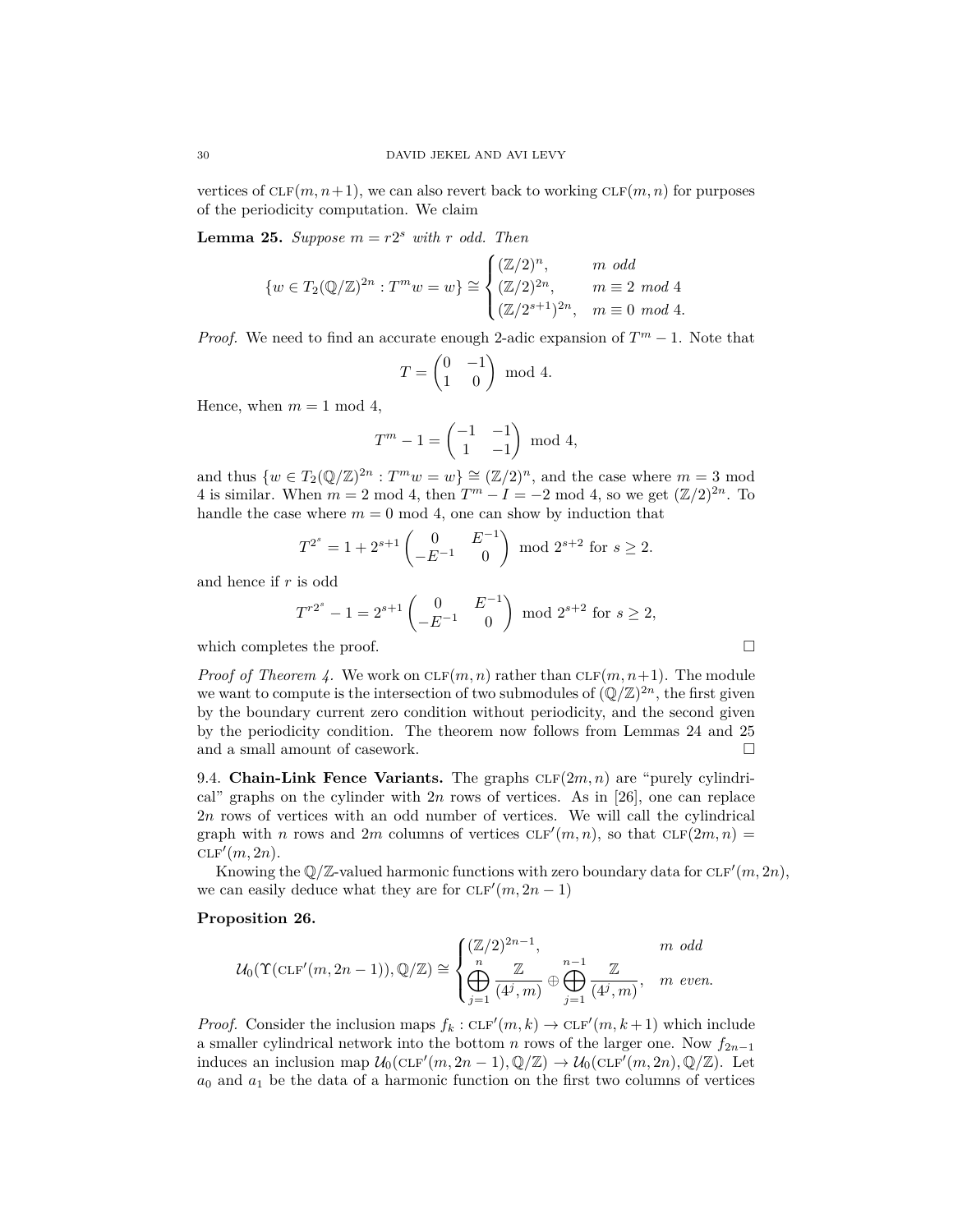vertices of  $CLF(m, n+1)$ , we can also revert back to working  $CLF(m, n)$  for purposes of the periodicity computation. We claim

**Lemma 25.** *Suppose*  $m = r2^s$  *with*  $r$  *odd. Then* 

$$
\{w \in T_2(\mathbb{Q}/\mathbb{Z})^{2n} : T^m w = w\} \cong \begin{cases} (\mathbb{Z}/2)^n, & m \text{ odd} \\ (\mathbb{Z}/2)^{2n}, & m \equiv 2 \text{ mod } 4 \\ (\mathbb{Z}/2^{s+1})^{2n}, & m \equiv 0 \text{ mod } 4. \end{cases}
$$

*Proof.* We need to find an accurate enough 2-adic expansion of  $T^m - 1$ . Note that

$$
T = \begin{pmatrix} 0 & -1 \\ 1 & 0 \end{pmatrix} \mod 4.
$$

Hence, when  $m = 1 \text{ mod } 4$ ,

$$
T^m - 1 = \begin{pmatrix} -1 & -1 \\ 1 & -1 \end{pmatrix} \mod 4,
$$

and thus  $\{w \in T_2(\mathbb{Q}/\mathbb{Z})^{2n} : T^m w = w\} \cong (\mathbb{Z}/2)^n$ , and the case where  $m = 3 \text{ mod } 2$ 4 is similar. When  $m = 2 \text{ mod } 4$ , then  $T^m - I = -2 \text{ mod } 4$ , so we get  $(\mathbb{Z}/2)^{2n}$ . To handle the case where  $m = 0 \text{ mod } 4$ , one can show by induction that

$$
T^{2^s} = 1 + 2^{s+1} \begin{pmatrix} 0 & E^{-1} \\ -E^{-1} & 0 \end{pmatrix} \mod 2^{s+2} \text{ for } s \ge 2.
$$

and hence if *r* is odd

$$
T^{r2^s} - 1 = 2^{s+1} \begin{pmatrix} 0 & E^{-1} \\ -E^{-1} & 0 \end{pmatrix} \bmod 2^{s+2} \text{ for } s \ge 2,
$$

which completes the proof.

*Proof of Theorem 4.* We work on  $CLF(m, n)$  rather than  $CLF(m, n+1)$ . The module we want to compute is the intersection of two submodules of  $(\mathbb{Q}/\mathbb{Z})^{2n}$ , the first given by the boundary current zero condition without periodicity, and the second given by the periodicity condition. The theorem now follows from Lemmas 24 and 25 and a small amount of casework.

9.4. **Chain-Link Fence Variants.** The graphs  $CLF(2m, n)$  are "purely cylindrical" graphs on the cylinder with 2*n* rows of vertices. As in [26], one can replace 2*n* rows of vertices with an odd number of vertices. We will call the cylindrical graph with *n* rows and 2*m* columns of vertices  $CLF'(m, n)$ , so that  $CLF(2m, n) =$  $CLF'(m, 2n)$ .

Knowing the  $\mathbb{Q}/\mathbb{Z}$ -valued harmonic functions with zero boundary data for  $CLF'(m, 2n)$ , we can easily deduce what they are for  $CLF'(m, 2n - 1)$ 

# **Proposition 26.**

$$
\mathcal{U}_0(\Upsilon(\mathrm{CLF}'(m,2n-1)),\mathbb{Q}/\mathbb{Z}) \cong \begin{cases} (\mathbb{Z}/2)^{2n-1}, & m \text{ odd} \\ \bigoplus_{j=1}^n \frac{\mathbb{Z}}{(4^j,m)} \oplus \bigoplus_{j=1}^{n-1} \frac{\mathbb{Z}}{(4^j,m)}, & m \text{ even.} \end{cases}
$$

*Proof.* Consider the inclusion maps  $f_k$ : CLF' $(m, k) \to$  CLF' $(m, k+1)$  which include a smaller cylindrical network into the bottom *n* rows of the larger one. Now  $f_{2n-1}$ induces an inclusion map  $\mathcal{U}_0(\text{CLF}'(m, 2n-1), \mathbb{Q}/\mathbb{Z}) \to \mathcal{U}_0(\text{CLF}'(m, 2n), \mathbb{Q}/\mathbb{Z})$ . Let  $a_0$  and  $a_1$  be the data of a harmonic function on the first two columns of vertices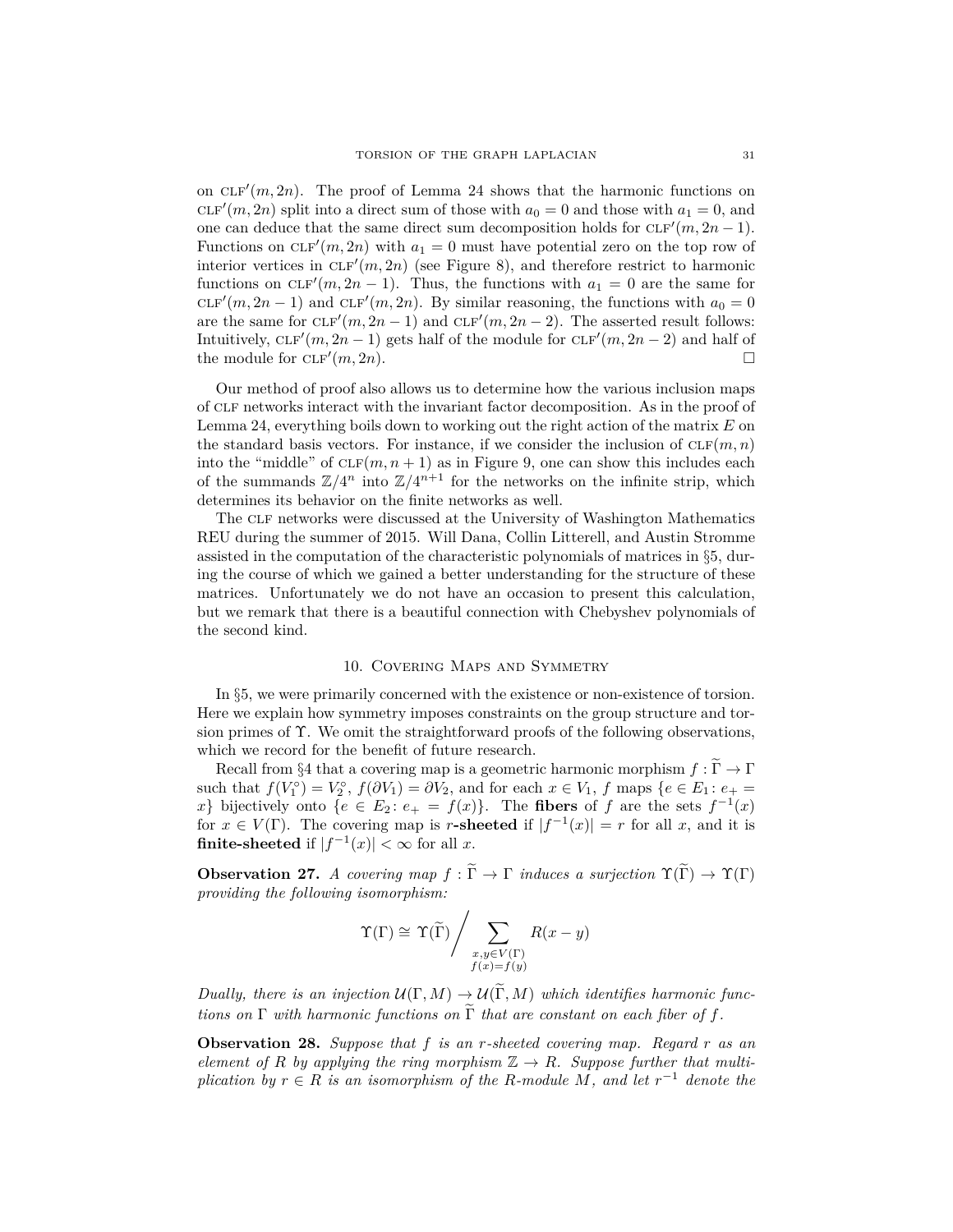on  $CLF'(m, 2n)$ . The proof of Lemma 24 shows that the harmonic functions on  $CLF'(m, 2n)$  split into a direct sum of those with  $a_0 = 0$  and those with  $a_1 = 0$ , and one can deduce that the same direct sum decomposition holds for  $CLF'(m, 2n - 1)$ . Functions on  $CLF'(m, 2n)$  with  $a_1 = 0$  must have potential zero on the top row of interior vertices in  $CLF'(m, 2n)$  (see Figure 8), and therefore restrict to harmonic functions on  $CLF'(m, 2n - 1)$ . Thus, the functions with  $a_1 = 0$  are the same for  $CLF'(m, 2n-1)$  and  $CLF'(m, 2n)$ . By similar reasoning, the functions with  $a_0 = 0$ are the same for  $CLF'(m, 2n-1)$  and  $CLF'(m, 2n-2)$ . The asserted result follows: Intuitively,  $CLF'(m, 2n - 1)$  gets half of the module for  $CLF'(m, 2n - 2)$  and half of the module for  $CLF'(m, 2n)$ .

Our method of proof also allows us to determine how the various inclusion maps of clf networks interact with the invariant factor decomposition. As in the proof of Lemma 24, everything boils down to working out the right action of the matrix *E* on the standard basis vectors. For instance, if we consider the inclusion of  $CLF(m, n)$ into the "middle" of  $CLF(m, n + 1)$  as in Figure 9, one can show this includes each of the summands  $\mathbb{Z}/4^n$  into  $\mathbb{Z}/4^{n+1}$  for the networks on the infinite strip, which determines its behavior on the finite networks as well.

The clf networks were discussed at the University of Washington Mathematics REU during the summer of 2015. Will Dana, Collin Litterell, and Austin Stromme assisted in the computation of the characteristic polynomials of matrices in §5, during the course of which we gained a better understanding for the structure of these matrices. Unfortunately we do not have an occasion to present this calculation, but we remark that there is a beautiful connection with Chebyshev polynomials of the second kind.

# 10. Covering Maps and Symmetry

In §5, we were primarily concerned with the existence or non-existence of torsion. Here we explain how symmetry imposes constraints on the group structure and torsion primes of Υ. We omit the straightforward proofs of the following observations, which we record for the benefit of future research.

Recall from  $\S 4$  that a covering map is a geometric harmonic morphism  $f:\widetilde{\Gamma}\to \Gamma$ such that  $f(V_1^{\circ}) = V_2^{\circ}$ ,  $f(\partial V_1) = \partial V_2$ , and for each  $x \in V_1$ ,  $f$  maps  $\{e \in E_1 : e_+ =$ *x*} bijectively onto  $\{e \in E_2 : e_+ = f(x)\}.$  The **fibers** of *f* are the sets  $f^{-1}(x)$ for  $x \in V(\Gamma)$ . The covering map is *r***-sheeted** if  $|f^{-1}(x)| = r$  for all *x*, and it is **finite-sheeted** if  $|f^{-1}(x)| < \infty$  for all *x*.

**Observation 27.** *A covering map*  $f : \widetilde{\Gamma} \to \Gamma$  *induces a surjection*  $\Upsilon(\widetilde{\Gamma}) \to \Upsilon(\Gamma)$ *providing the following isomorphism:*

$$
\Upsilon(\Gamma) \cong \Upsilon(\widetilde{\Gamma}) / \sum_{\substack{x,y \in V(\Gamma) \\ f(x) = f(y)}} R(x - y)
$$

*Dually, there is an injection*  $U(\Gamma, M) \to U(\widetilde{\Gamma}, M)$  *which identifies harmonic functions on*  $\Gamma$  *with harmonic functions on*  $\widetilde{\Gamma}$  *that are constant on each fiber of f.* 

**Observation 28.** *Suppose that f is an r-sheeted covering map. Regard r as an element of R by applying the ring morphism*  $\mathbb{Z} \to R$ *. Suppose further that multiplication by*  $r \in R$  *is an isomorphism of the R-module M, and let*  $r^{-1}$  *denote the*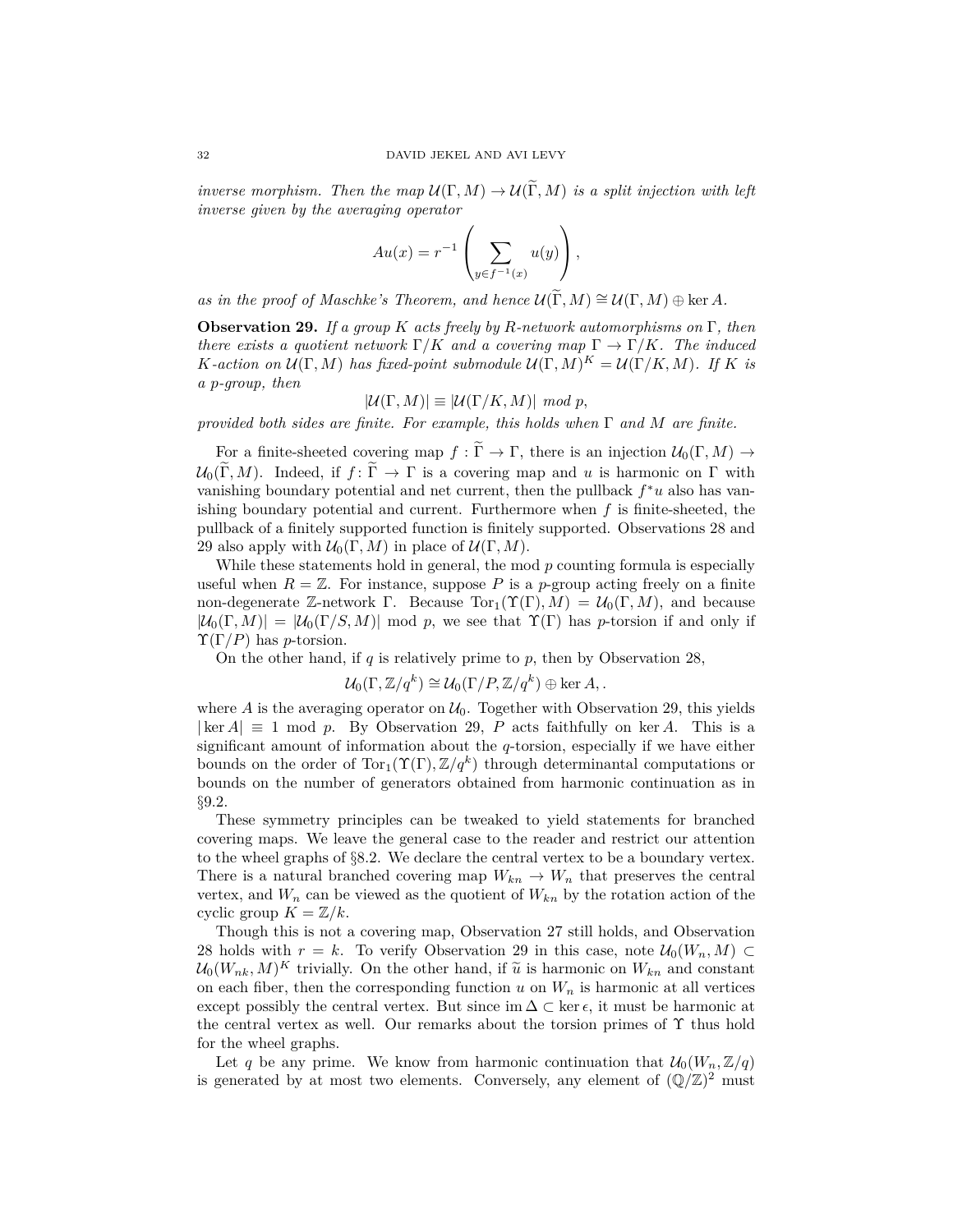*inverse morphism. Then the map*  $\mathcal{U}(\Gamma, M) \to \mathcal{U}(\widetilde{\Gamma}, M)$  *is a split injection with left inverse given by the averaging operator*

$$
Au(x) = r^{-1} \left( \sum_{y \in f^{-1}(x)} u(y) \right),
$$

*as in the proof of Maschke's Theorem, and hence*  $\mathcal{U}(\widetilde{\Gamma}, M) \cong \mathcal{U}(\Gamma, M) \oplus \ker A$ .

**Observation 29.** *If a group K acts freely by R-network automorphisms on* Γ*, then there exists a quotient network*  $\Gamma/K$  *and a covering map*  $\Gamma \to \Gamma/K$ *. The induced K*-action on  $\mathcal{U}(\Gamma, M)$  has fixed-point submodule  $\mathcal{U}(\Gamma, M)^K = \mathcal{U}(\Gamma/K, M)$ . If *K* is *a p-group, then*

$$
|\mathcal{U}(\Gamma, M)| \equiv |\mathcal{U}(\Gamma/K, M)| \mod p,
$$

*provided both sides are finite. For example, this holds when* Γ *and M are finite.*

For a finite-sheeted covering map  $f : \widetilde{\Gamma} \to \Gamma$ , there is an injection  $\mathcal{U}_0(\Gamma, M) \to$  $\mathcal{U}_0(\widetilde{\Gamma}, M)$ . Indeed, if  $f: \widetilde{\Gamma} \to \Gamma$  is a covering map and *u* is harmonic on  $\Gamma$  with vanishing boundary potential and net current, then the pullback *f* <sup>∗</sup>*u* also has vanishing boundary potential and current. Furthermore when *f* is finite-sheeted, the pullback of a finitely supported function is finitely supported. Observations 28 and 29 also apply with  $\mathcal{U}_0(\Gamma, M)$  in place of  $\mathcal{U}(\Gamma, M)$ .

While these statements hold in general, the mod *p* counting formula is especially useful when  $R = \mathbb{Z}$ . For instance, suppose P is a p-group acting freely on a finite non-degenerate Z-network Γ. Because  $\text{Tor}_1(\Upsilon(\Gamma), M) = \mathcal{U}_0(\Gamma, M)$ , and because  $|\mathcal{U}_0(\Gamma, M)| = |\mathcal{U}_0(\Gamma/S, M)| \text{ mod } p$ , we see that  $\Upsilon(\Gamma)$  has *p*-torsion if and only if  $\Upsilon(\Gamma/P)$  has *p*-torsion.

On the other hand, if *q* is relatively prime to *p*, then by Observation 28,

$$
\mathcal{U}_0(\Gamma,\mathbb{Z}/q^k) \cong \mathcal{U}_0(\Gamma/P,\mathbb{Z}/q^k) \oplus \ker A, .
$$

where  $A$  is the averaging operator on  $U_0$ . Together with Observation 29, this yields  $|\ker A| \equiv 1 \mod p$ . By Observation 29, *P* acts faithfully on ker *A*. This is a significant amount of information about the *q*-torsion, especially if we have either bounds on the order of  $\text{Tor}_1(\Upsilon(\Gamma), \mathbb{Z}/q^k)$  through determinantal computations or bounds on the number of generators obtained from harmonic continuation as in §9.2.

These symmetry principles can be tweaked to yield statements for branched covering maps. We leave the general case to the reader and restrict our attention to the wheel graphs of  $\S 8.2$ . We declare the central vertex to be a boundary vertex. There is a natural branched covering map  $W_{kn} \to W_n$  that preserves the central vertex, and  $W_n$  can be viewed as the quotient of  $W_{kn}$  by the rotation action of the cyclic group  $K = \mathbb{Z}/k$ .

Though this is not a covering map, Observation 27 still holds, and Observation 28 holds with  $r = k$ . To verify Observation 29 in this case, note  $\mathcal{U}_0(W_n, M) \subset$  $\mathcal{U}_0(W_{nk}, M)^K$  trivially. On the other hand, if  $\tilde{u}$  is harmonic on  $W_{kn}$  and constant on each fiber, then the corresponding function  $u$  on  $W_n$  is harmonic at all vertices except possibly the central vertex. But since im  $\Delta \subset \ker \epsilon$ , it must be harmonic at the central vertex as well. Our remarks about the torsion primes of  $\Upsilon$  thus hold for the wheel graphs.

Let *q* be any prime. We know from harmonic continuation that  $\mathcal{U}_0(W_n, \mathbb{Z}/q)$ is generated by at most two elements. Conversely, any element of  $(\mathbb{Q}/\mathbb{Z})^2$  must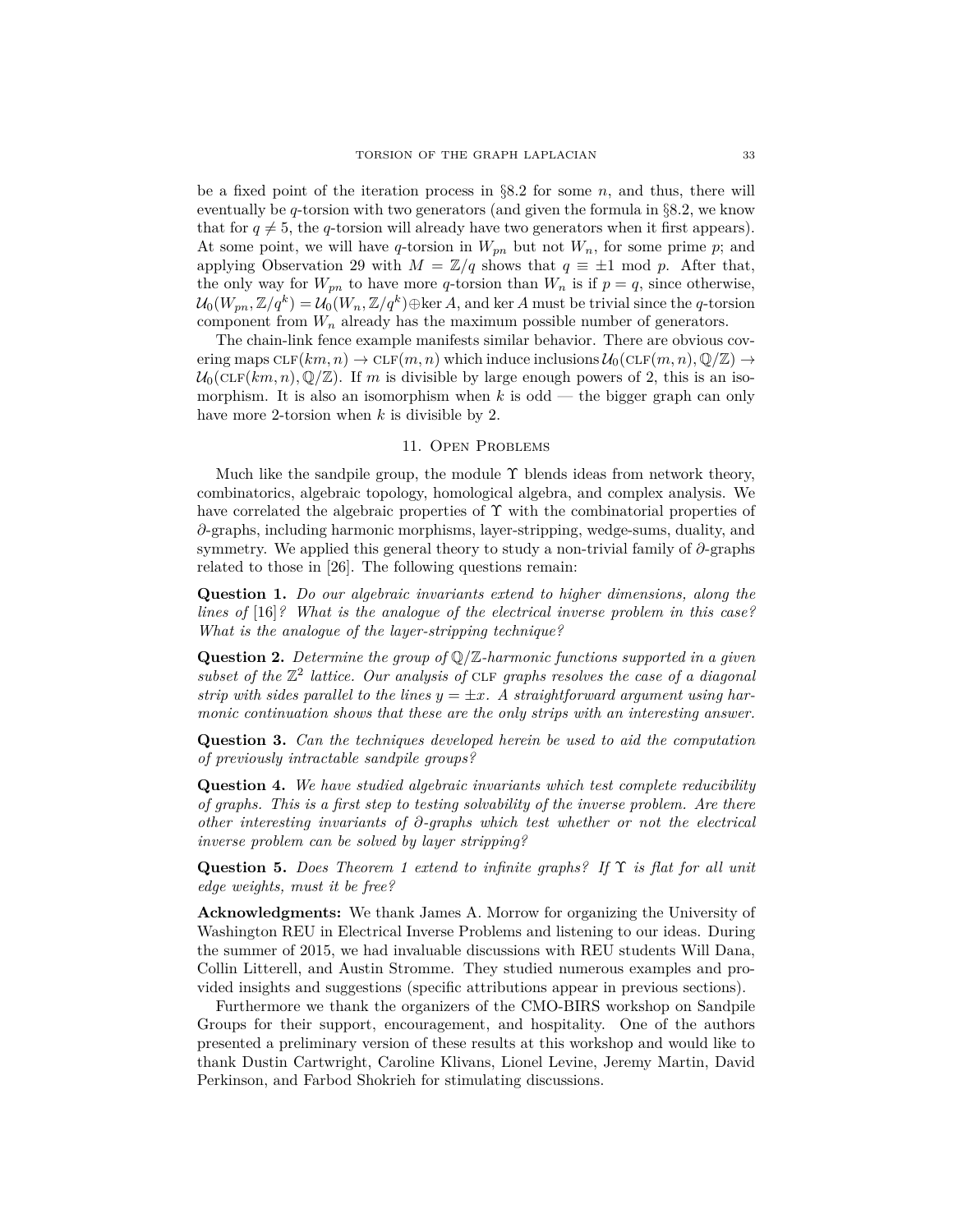be a fixed point of the iteration process in §8.2 for some *n*, and thus, there will eventually be *q*-torsion with two generators (and given the formula in §8.2, we know that for  $q \neq 5$ , the *q*-torsion will already have two generators when it first appears). At some point, we will have *q*-torsion in  $W_{pn}$  but not  $W_n$ , for some prime *p*; and applying Observation 29 with  $M = \mathbb{Z}/q$  shows that  $q \equiv \pm 1 \mod p$ . After that, the only way for  $W_{pn}$  to have more *q*-torsion than  $W_n$  is if  $p = q$ , since otherwise,  $\mathcal{U}_0(W_{pn}, \mathbb{Z}/q^k) = \mathcal{U}_0(W_n, \mathbb{Z}/q^k) \oplus \ker A$ , and ker *A* must be trivial since the *q*-torsion component from  $W_n$  already has the maximum possible number of generators.

The chain-link fence example manifests similar behavior. There are obvious covering maps  $CLF(km, n) \to CLF(m, n)$  which induce inclusions  $\mathcal{U}_0(CLF(m, n), \mathbb{Q}/\mathbb{Z}) \to$  $U_0(\text{CLF}(km, n), \mathbb{Q}/\mathbb{Z})$ . If *m* is divisible by large enough powers of 2, this is an isomorphism. It is also an isomorphism when *k* is odd — the bigger graph can only have more 2-torsion when *k* is divisible by 2.

## 11. Open Problems

Much like the sandpile group, the module  $\Upsilon$  blends ideas from network theory, combinatorics, algebraic topology, homological algebra, and complex analysis. We have correlated the algebraic properties of  $\Upsilon$  with the combinatorial properties of *∂*-graphs, including harmonic morphisms, layer-stripping, wedge-sums, duality, and symmetry. We applied this general theory to study a non-trivial family of *∂*-graphs related to those in [26]. The following questions remain:

**Question 1.** *Do our algebraic invariants extend to higher dimensions, along the lines of* [16]*? What is the analogue of the electrical inverse problem in this case? What is the analogue of the layer-stripping technique?*

**Question 2.** *Determine the group of* Q*/*Z*-harmonic functions supported in a given* subset of the  $\mathbb{Z}^2$  lattice. Our analysis of CLF *graphs resolves the case of a diagonal* strip with sides parallel to the lines  $y = \pm x$ . A straightforward argument using har*monic continuation shows that these are the only strips with an interesting answer.*

**Question 3.** *Can the techniques developed herein be used to aid the computation of previously intractable sandpile groups?*

**Question 4.** *We have studied algebraic invariants which test complete reducibility of graphs. This is a first step to testing solvability of the inverse problem. Are there other interesting invariants of ∂-graphs which test whether or not the electrical inverse problem can be solved by layer stripping?*

**Question 5.** *Does Theorem 1 extend to infinite graphs? If* Υ *is flat for all unit edge weights, must it be free?*

**Acknowledgments:** We thank James A. Morrow for organizing the University of Washington REU in Electrical Inverse Problems and listening to our ideas. During the summer of 2015, we had invaluable discussions with REU students Will Dana, Collin Litterell, and Austin Stromme. They studied numerous examples and provided insights and suggestions (specific attributions appear in previous sections).

Furthermore we thank the organizers of the CMO-BIRS workshop on Sandpile Groups for their support, encouragement, and hospitality. One of the authors presented a preliminary version of these results at this workshop and would like to thank Dustin Cartwright, Caroline Klivans, Lionel Levine, Jeremy Martin, David Perkinson, and Farbod Shokrieh for stimulating discussions.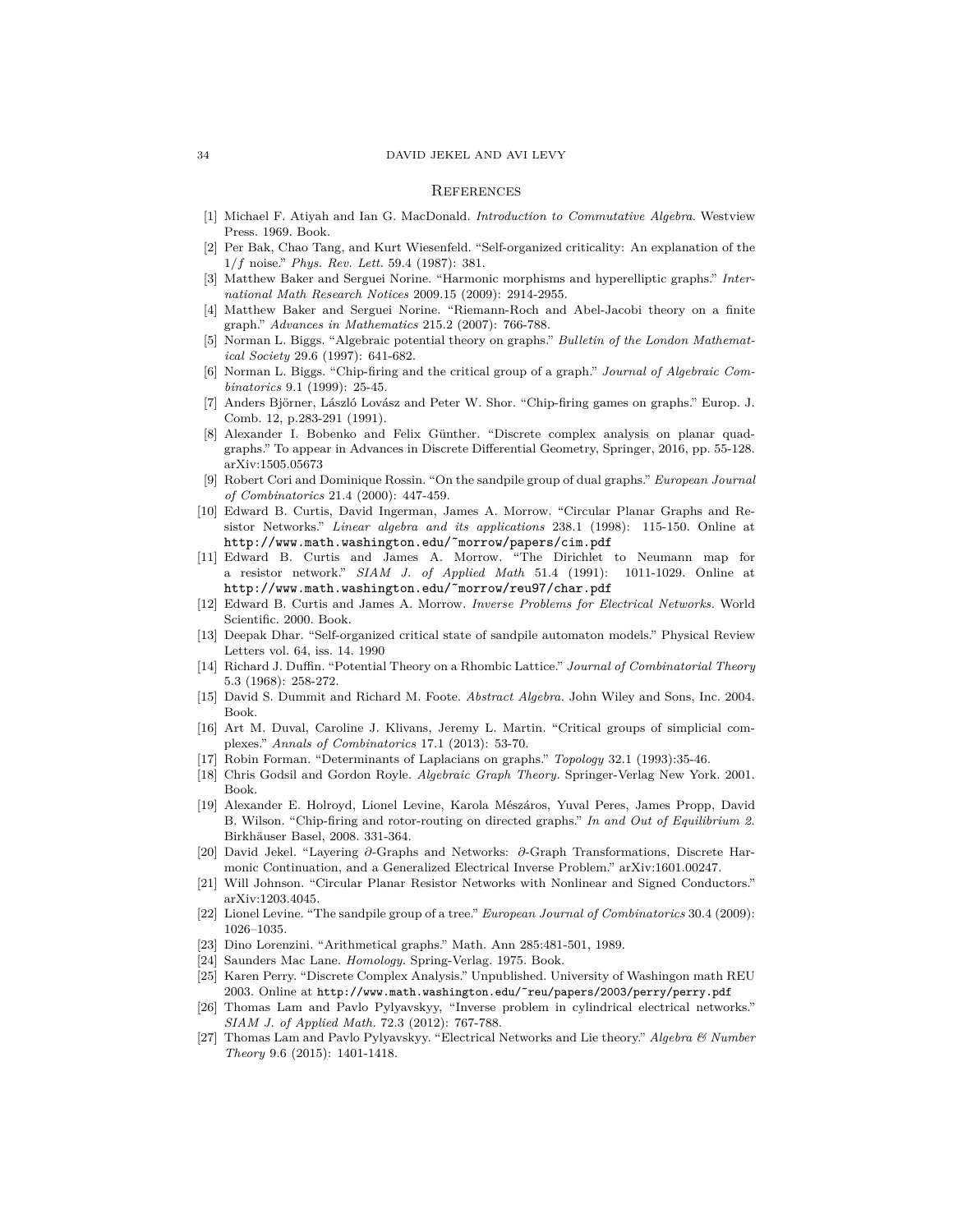#### 34 DAVID JEKEL AND AVI LEVY

#### **REFERENCES**

- [1] Michael F. Atiyah and Ian G. MacDonald. *Introduction to Commutative Algebra*. Westview Press. 1969. Book.
- [2] Per Bak, Chao Tang, and Kurt Wiesenfeld. "Self-organized criticality: An explanation of the 1*/f* noise." *Phys. Rev. Lett.* 59.4 (1987): 381.
- [3] Matthew Baker and Serguei Norine. "Harmonic morphisms and hyperelliptic graphs." *International Math Research Notices* 2009.15 (2009): 2914-2955.
- [4] Matthew Baker and Serguei Norine. "Riemann-Roch and Abel-Jacobi theory on a finite graph." *Advances in Mathematics* 215.2 (2007): 766-788.
- [5] Norman L. Biggs. "Algebraic potential theory on graphs." *Bulletin of the London Mathematical Society* 29.6 (1997): 641-682.
- [6] Norman L. Biggs. "Chip-firing and the critical group of a graph." *Journal of Algebraic Combinatorics* 9.1 (1999): 25-45.
- [7] Anders Björner, László Lovász and Peter W. Shor. "Chip-firing games on graphs." Europ. J. Comb. 12, p.283-291 (1991).
- [8] Alexander I. Bobenko and Felix Günther. "Discrete complex analysis on planar quadgraphs." To appear in Advances in Discrete Differential Geometry, Springer, 2016, pp. 55-128. arXiv:1505.05673
- [9] Robert Cori and Dominique Rossin. "On the sandpile group of dual graphs." *European Journal of Combinatorics* 21.4 (2000): 447-459.
- [10] Edward B. Curtis, David Ingerman, James A. Morrow. "Circular Planar Graphs and Resistor Networks." *Linear algebra and its applications* 238.1 (1998): 115-150. Online at http://www.math.washington.edu/˜morrow/papers/cim.pdf
- [11] Edward B. Curtis and James A. Morrow. "The Dirichlet to Neumann map for a resistor network." *SIAM J. of Applied Math* 51.4 (1991): 1011-1029. Online at http://www.math.washington.edu/˜morrow/reu97/char.pdf
- [12] Edward B. Curtis and James A. Morrow. *Inverse Problems for Electrical Networks.* World Scientific. 2000. Book.
- [13] Deepak Dhar. "Self-organized critical state of sandpile automaton models." Physical Review Letters vol. 64, iss. 14. 1990
- [14] Richard J. Duffin. "Potential Theory on a Rhombic Lattice." *Journal of Combinatorial Theory* 5.3 (1968): 258-272.
- [15] David S. Dummit and Richard M. Foote. *Abstract Algebra.* John Wiley and Sons, Inc. 2004. Book.
- [16] Art M. Duval, Caroline J. Klivans, Jeremy L. Martin. "Critical groups of simplicial complexes." *Annals of Combinatorics* 17.1 (2013): 53-70.
- [17] Robin Forman. "Determinants of Laplacians on graphs." *Topology* 32.1 (1993):35-46.
- [18] Chris Godsil and Gordon Royle. *Algebraic Graph Theory.* Springer-Verlag New York. 2001. Book.
- [19] Alexander E. Holroyd, Lionel Levine, Karola Mészáros, Yuval Peres, James Propp, David B. Wilson. "Chip-firing and rotor-routing on directed graphs." *In and Out of Equilibrium 2.* Birkhäuser Basel, 2008. 331-364.
- [20] David Jekel. "Layering *∂*-Graphs and Networks: *∂*-Graph Transformations, Discrete Harmonic Continuation, and a Generalized Electrical Inverse Problem." arXiv:1601.00247.
- [21] Will Johnson. "Circular Planar Resistor Networks with Nonlinear and Signed Conductors." arXiv:1203.4045.
- [22] Lionel Levine. "The sandpile group of a tree." *European Journal of Combinatorics* 30.4 (2009): 1026–1035.
- [23] Dino Lorenzini. "Arithmetical graphs." Math. Ann 285:481-501, 1989.
- [24] Saunders Mac Lane. *Homology.* Spring-Verlag. 1975. Book.
- [25] Karen Perry. "Discrete Complex Analysis." Unpublished. University of Washingon math REU 2003. Online at http://www.math.washington.edu/˜reu/papers/2003/perry/perry.pdf
- [26] Thomas Lam and Pavlo Pylyavskyy, "Inverse problem in cylindrical electrical networks." *SIAM J. of Applied Math.* 72.3 (2012): 767-788.
- [27] Thomas Lam and Pavlo Pylyavskyy. "Electrical Networks and Lie theory." *Algebra & Number Theory* 9.6 (2015): 1401-1418.